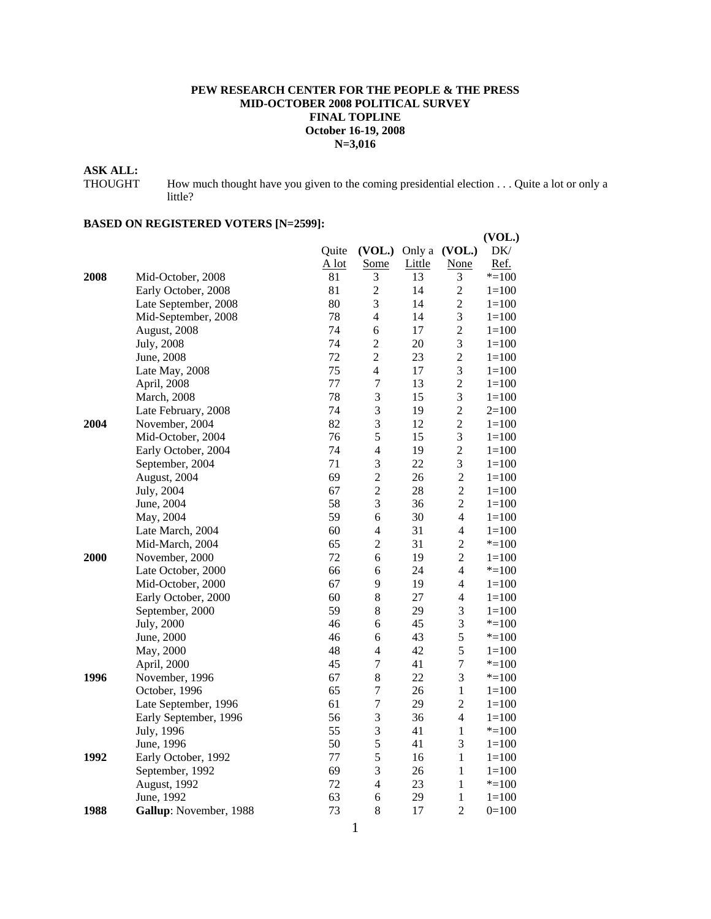#### **PEW RESEARCH CENTER FOR THE PEOPLE & THE PRESS MID-OCTOBER 2008 POLITICAL SURVEY FINAL TOPLINE October 16-19, 2008 N=3,016**

# **ASK ALL:**

THOUGHT How much thought have you given to the coming presidential election . . . Quite a lot or only a little?

|      |                        |         |                  |        |                          | (VOL.)    |
|------|------------------------|---------|------------------|--------|--------------------------|-----------|
|      |                        | Quite   | (VOL.)           |        | Only a (VOL.)            | DK/       |
|      |                        | $A$ lot | <b>Some</b>      | Little | <b>None</b>              | Ref.      |
| 2008 | Mid-October, 2008      | 81      | 3                | 13     | 3                        | $* = 100$ |
|      | Early October, 2008    | 81      | $\overline{c}$   | 14     | $\overline{c}$           | $1 = 100$ |
|      | Late September, 2008   | 80      | 3                | 14     | $\overline{c}$           | $1 = 100$ |
|      | Mid-September, 2008    | 78      | $\overline{4}$   | 14     | 3                        | $1 = 100$ |
|      | August, 2008           | 74      | 6                | 17     | $\overline{c}$           | $1 = 100$ |
|      | <b>July</b> , 2008     | 74      | $\overline{c}$   | 20     | 3                        | $1 = 100$ |
|      | June, 2008             | 72      | $\overline{2}$   | 23     | $\overline{c}$           | $1 = 100$ |
|      | Late May, 2008         | 75      | $\overline{4}$   | 17     | 3                        | $1 = 100$ |
|      | April, 2008            | 77      | $\boldsymbol{7}$ | 13     | $\overline{c}$           | $1 = 100$ |
|      | March, 2008            | 78      | 3                | 15     | 3                        | $1 = 100$ |
|      | Late February, 2008    | 74      | 3                | 19     | $\overline{c}$           | $2=100$   |
| 2004 | November, 2004         | 82      | 3                | 12     | $\overline{c}$           | $1 = 100$ |
|      | Mid-October, 2004      | 76      | 5                | 15     | 3                        | $1 = 100$ |
|      | Early October, 2004    | 74      | $\overline{4}$   | 19     | $\overline{2}$           | $1 = 100$ |
|      | September, 2004        | 71      | 3                | 22     | 3                        | $1 = 100$ |
|      | August, 2004           | 69      | $\overline{c}$   | 26     | $\overline{c}$           | $1 = 100$ |
|      | July, 2004             | 67      | $\overline{2}$   | 28     | $\overline{2}$           | $1 = 100$ |
|      | June, 2004             | 58      | 3                | 36     | $\overline{c}$           | $1 = 100$ |
|      | May, 2004              | 59      | 6                | 30     | $\overline{4}$           | $1 = 100$ |
|      | Late March, 2004       | 60      | 4                | 31     | $\overline{\mathcal{L}}$ | $1 = 100$ |
|      | Mid-March, 2004        | 65      | $\overline{c}$   | 31     | $\overline{c}$           | $* = 100$ |
| 2000 | November, 2000         | 72      | 6                | 19     | $\overline{2}$           | $1=100$   |
|      | Late October, 2000     | 66      | 6                | 24     | 4                        | $* = 100$ |
|      | Mid-October, 2000      | 67      | 9                | 19     | $\overline{4}$           | $1=100$   |
|      | Early October, 2000    | 60      | 8                | 27     | $\overline{4}$           | $1 = 100$ |
|      | September, 2000        | 59      | 8                | 29     | 3                        | $1 = 100$ |
|      | July, 2000             | 46      | 6                | 45     | 3                        | $* = 100$ |
|      | June, 2000             | 46      | 6                | 43     | 5                        | $* = 100$ |
|      | May, 2000              | 48      | 4                | 42     | 5                        | $1 = 100$ |
|      | April, 2000            | 45      | $\boldsymbol{7}$ | 41     | $\boldsymbol{7}$         | $* = 100$ |
| 1996 | November, 1996         | 67      | 8                | 22     | 3                        | $* = 100$ |
|      | October, 1996          | 65      | $\tau$           | 26     | $\mathbf{1}$             | $1 = 100$ |
|      | Late September, 1996   | 61      | $\overline{7}$   | 29     | $\overline{c}$           | $1 = 100$ |
|      | Early September, 1996  | 56      | 3                | 36     | $\overline{4}$           | $1 = 100$ |
|      | July, 1996             | 55      | 3                | 41     | $\mathbf{1}$             | $* = 100$ |
|      | June, 1996             | 50      | 5                | 41     | 3                        | $1 = 100$ |
| 1992 | Early October, 1992    | 77      | 5                | 16     | $\mathbf{1}$             | $1 = 100$ |
|      | September, 1992        | 69      | 3                | 26     | $\mathbf{1}$             | $1 = 100$ |
|      | August, 1992           | 72      | 4                | 23     | $\mathbf{1}$             | $* = 100$ |
|      | June, 1992             | 63      | 6                | 29     | $\mathbf{1}$             | $1 = 100$ |
| 1988 | Gallup: November, 1988 | 73      | 8                | 17     | $\overline{2}$           | $0=100$   |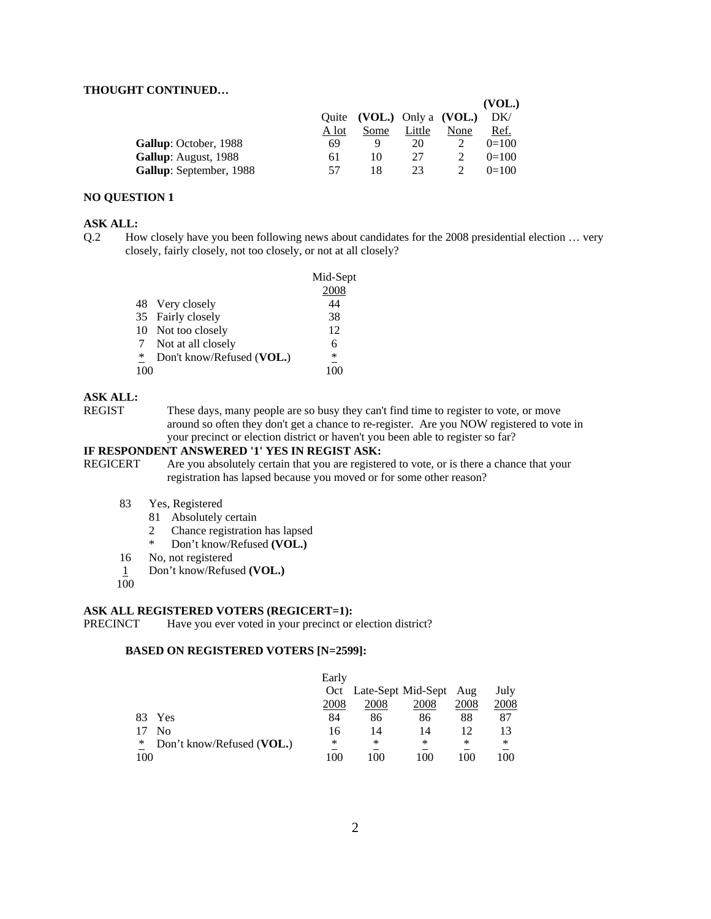#### **THOUGHT CONTINUED…**

|                         |       |                            |        |      | (VOL.)  |
|-------------------------|-------|----------------------------|--------|------|---------|
|                         |       | Quite (VOL.) Only a (VOL.) |        |      | DK/     |
|                         | A lot | Some                       | Little | None | Ref.    |
| Gallup: October, 1988   | 69    |                            | 20     |      | $0=100$ |
| Gallup: August, 1988    | 61    | 10                         | 27     |      | $0=100$ |
| Gallup: September, 1988 | 57    | 18                         | 23.    |      | $0=100$ |

#### **NO QUESTION 1**

#### **ASK ALL:**

Q.2 How closely have you been following news about candidates for the 2008 presidential election … very closely, fairly closely, not too closely, or not at all closely?

|   |                           | Mid-Sept<br>2008 |
|---|---------------------------|------------------|
|   | 48 Very closely           | 44               |
|   | 35 Fairly closely         | 38               |
|   | 10 Not too closely        | 12               |
|   | Not at all closely        | 6                |
| ∗ | Don't know/Refused (VOL.) | ∗                |
|   |                           |                  |

#### **ASK ALL:**

REGIST These days, many people are so busy they can't find time to register to vote, or move around so often they don't get a chance to re-register. Are you NOW registered to vote in your precinct or election district or haven't you been able to register so far?

#### **IF RESPONDENT ANSWERED '1' YES IN REGIST ASK:**

 REGICERT Are you absolutely certain that you are registered to vote, or is there a chance that your registration has lapsed because you moved or for some other reason?

#### 83 Yes, Registered

- 81 Absolutely certain
- 2 Chance registration has lapsed
- \* Don't know/Refused **(VOL.)**
- 16 No, not registered
- 1 Don't know/Refused **(VOL.)**
- 100

#### **ASK ALL REGISTERED VOTERS (REGICERT=1):**

PRECINCT Have you ever voted in your precinct or election district?

|     |                           | Early |      |                            |      |      |
|-----|---------------------------|-------|------|----------------------------|------|------|
|     |                           |       |      | Oct Late-Sept Mid-Sept Aug |      | July |
|     |                           | 2008  | 2008 | 2008                       | 2008 | 2008 |
| 83. | Yes                       | 84    | 86   | 86                         | 88   | 87   |
|     | Nο                        | 16    | 14   | 14                         | 12   |      |
| ∗   | Don't know/Refused (VOL.) | ∗     | *    | $\ast$                     | ∗    | ∗    |
| 100 |                           | 100   | 100  | 100                        | 100  | 100  |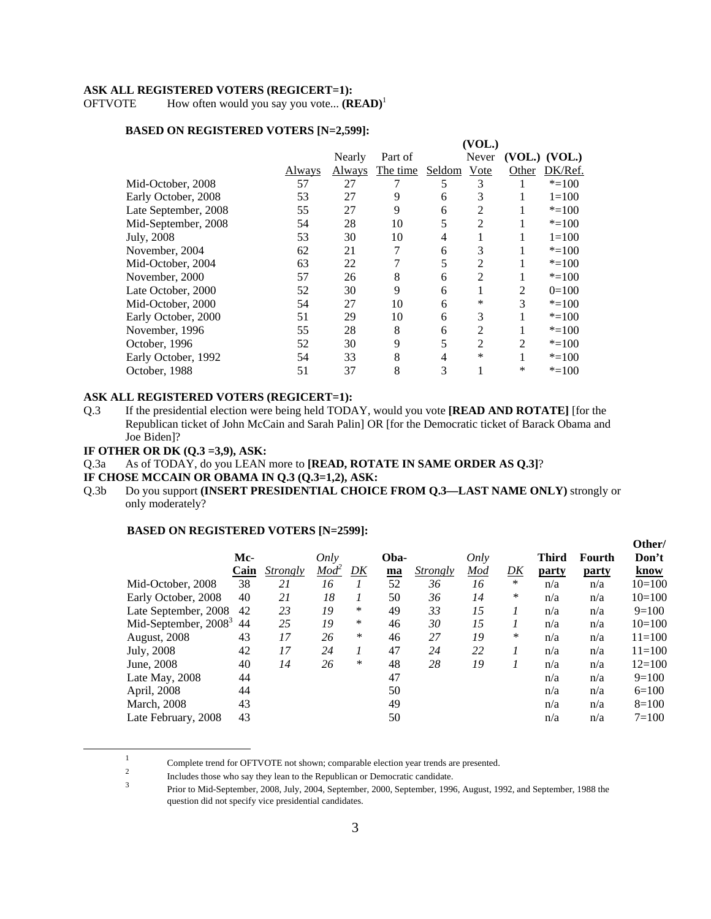#### **ASK ALL REGISTERED VOTERS (REGICERT=1):**

OFTVOTE How often would you say you vote... **(READ)**<sup>1</sup>

#### **BASED ON REGISTERED VOTERS [N=2,599]:**

|                      |        |        |          |        | (VOL.)         |                |                   |
|----------------------|--------|--------|----------|--------|----------------|----------------|-------------------|
|                      |        | Nearly | Part of  |        | Never          |                | $(VOL.)$ $(VOL.)$ |
|                      | Always | Always | The time | Seldom | Vote           | Other          | DK/Ref.           |
| Mid-October, 2008    | 57     | 27     |          | 5      | 3              |                | $* = 100$         |
| Early October, 2008  | 53     | 27     | 9        | 6      | 3              |                | $1 = 100$         |
| Late September, 2008 | 55     | 27     | 9        | 6      | 2              |                | $* = 100$         |
| Mid-September, 2008  | 54     | 28     | 10       | 5      | 2              |                | $* = 100$         |
| July, 2008           | 53     | 30     | 10       | 4      |                |                | $1 = 100$         |
| November, 2004       | 62     | 21     | 7        | 6      | 3              |                | $* = 100$         |
| Mid-October, 2004    | 63     | 22     | 7        | 5      | $\overline{2}$ |                | $* = 100$         |
| November, 2000       | 57     | 26     | 8        | 6      | 2              |                | $* = 100$         |
| Late October, 2000   | 52     | 30     | 9        | 6      | 1              | 2              | $0=100$           |
| Mid-October, 2000    | 54     | 27     | 10       | 6      | *              | 3              | $* = 100$         |
| Early October, 2000  | 51     | 29     | 10       | 6      | 3              |                | $* = 100$         |
| November, 1996       | 55     | 28     | 8        | 6      | 2              |                | $* = 100$         |
| October, 1996        | 52     | 30     | 9        | 5      | 2              | $\overline{2}$ | $* = 100$         |
| Early October, 1992  | 54     | 33     | 8        | 4      | *              |                | $* = 100$         |
| October, 1988        | 51     | 37     | 8        | 3      |                | ∗              | $* = 100$         |
|                      |        |        |          |        |                |                |                   |

#### **ASK ALL REGISTERED VOTERS (REGICERT=1):**

Q.3 If the presidential election were being held TODAY, would you vote **[READ AND ROTATE]** [for the Republican ticket of John McCain and Sarah Palin] OR [for the Democratic ticket of Barack Obama and Joe Biden]?

#### **IF OTHER OR DK (Q.3 =3,9), ASK:**

- Q.3a As of TODAY, do you LEAN more to **[READ, ROTATE IN SAME ORDER AS Q.3]**?
- **IF CHOSE MCCAIN OR OBAMA IN Q.3 (Q.3=1,2), ASK:**
- Q.3b Do you support **(INSERT PRESIDENTIAL CHOICE FROM Q.3—LAST NAME ONLY)** strongly or only moderately?

|                        |      |                               |                  |        |      |                 |      |        |              |              | Other/     |
|------------------------|------|-------------------------------|------------------|--------|------|-----------------|------|--------|--------------|--------------|------------|
|                        | Mc-  |                               | Only             |        | Oba- |                 | Only |        | <b>Third</b> | Fourth       | Don't      |
|                        | Cain | <i><u><b>Strongly</b></u></i> | Mod <sup>2</sup> | DK     | ma   | <i>Strongly</i> | Mod  | DK     | party        | <u>party</u> | know       |
| Mid-October, 2008      | 38   | 21                            | 16               |        | 52   | 36              | 16   | *      | n/a          | n/a          | $10=100$   |
| Early October, 2008    | 40   | 21                            | 18               |        | 50   | 36              | 14   | ∗      | n/a          | n/a          | $10=100$   |
| Late September, 2008   | 42   | 23                            | 19               | $\ast$ | 49   | 33              | 15   |        | n/a          | n/a          | $9=100$    |
| Mid-September, $20083$ | 44   | 25                            | 19               | $\ast$ | 46   | 30              | 15   |        | n/a          | n/a          | $10=100$   |
| August, 2008           | 43   | 17                            | 26               | $\ast$ | 46   | 27              | 19   | $\ast$ | n/a          | n/a          | $11 = 100$ |
| July, 2008             | 42   | 17                            | 24               | 1      | 47   | 24              | 22   |        | n/a          | n/a          | $11 = 100$ |
| June, 2008             | 40   | 14                            | 26               | $\ast$ | 48   | 28              | 19   |        | n/a          | n/a          | $12=100$   |
| Late May, 2008         | 44   |                               |                  |        | 47   |                 |      |        | n/a          | n/a          | $9=100$    |
| April, 2008            | 44   |                               |                  |        | 50   |                 |      |        | n/a          | n/a          | $6=100$    |
| <b>March</b> , 2008    | 43   |                               |                  |        | 49   |                 |      |        | n/a          | n/a          | $8=100$    |
| Late February, 2008    | 43   |                               |                  |        | 50   |                 |      |        | n/a          | n/a          | $7=100$    |
|                        |      |                               |                  |        |      |                 |      |        |              |              |            |

 $\frac{1}{1}$ <sup>1</sup> Complete trend for OFTVOTE not shown; comparable election year trends are presented.<br><sup>2</sup> Includes those who say they lean to the Republican or Democratic candidate.

Includes those who say they lean to the Republican or Democratic candidate. <sup>3</sup> Prior to Mid-September, 2008, July, 2004, September, 2000, September, 1996, August, 1992, and September, 1988 the question did not specify vice presidential candidates.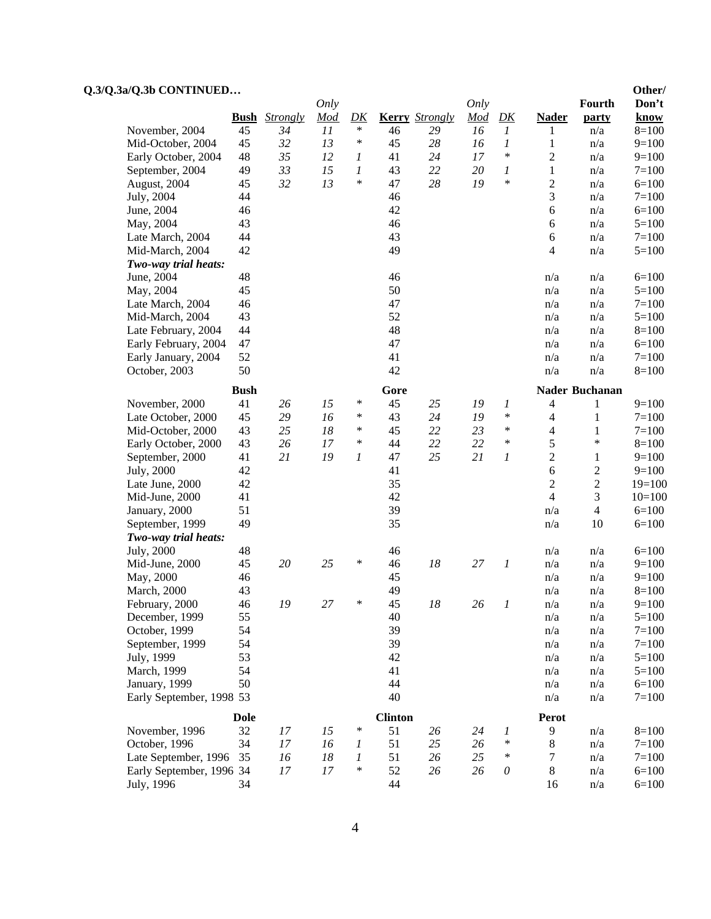| <b>Kerry</b> Strongly<br>Strongly<br>Mod<br>D K<br>Mod<br>D K<br><b>Nader</b><br>know<br><b>Bush</b><br>party<br>$\ast$<br>November, 2004<br>45<br>11<br>16<br>$\boldsymbol{l}$<br>$8=100$<br>34<br>46<br>29<br>n/a<br>1<br>13<br>45<br>32<br>$\ast$<br>$28\,$<br>45<br>16<br>1<br>$9=100$<br>Mid-October, 2004<br>$\mathbf{1}$<br>n/a<br>$\ast$<br>48<br>35<br>12<br>24<br>17<br>$\boldsymbol{2}$<br>$9=100$<br>Early October, 2004<br>41<br>1<br>n/a<br>33<br>15<br>22<br>49<br>1<br>43<br>20<br>1<br>$\mathbf{1}$<br>$7=100$<br>September, 2004<br>n/a<br>13<br>$\ast$<br>*<br>$\sqrt{2}$<br>45<br>32<br>28<br>19<br>August, 2004<br>47<br>$6=100$<br>n/a<br>3<br>44<br>$7 = 100$<br>July, 2004<br>46<br>n/a<br>42<br>June, 2004<br>46<br>6<br>$6=100$<br>n/a<br>43<br>46<br>$5=100$<br>May, 2004<br>$\boldsymbol{6}$<br>n/a<br>44<br>43<br>$7 = 100$<br>Late March, 2004<br>$\boldsymbol{6}$<br>n/a<br>42<br>49<br>$\overline{4}$<br>$5=100$<br>Mid-March, 2004<br>n/a<br>Two-way trial heats:<br>48<br>46<br>$6=100$<br>June, 2004<br>n/a<br>n/a<br>50<br>45<br>$5=100$<br>May, 2004<br>n/a<br>n/a<br>46<br>47<br>Late March, 2004<br>$7 = 100$<br>n/a<br>n/a<br>52<br>43<br>Mid-March, 2004<br>n/a<br>$5=100$<br>n/a<br>44<br>48<br>$8=100$<br>Late February, 2004<br>n/a<br>n/a<br>47<br>47<br>$6=100$<br>Early February, 2004<br>n/a<br>n/a<br>52<br>41<br>$7 = 100$<br>Early January, 2004<br>n/a<br>n/a<br>50<br>42<br>$8=100$<br>October, 2003<br>n/a<br>n/a<br><b>Bush</b><br>Gore<br><b>Nader Buchanan</b><br>November, 2000<br>41<br>26<br>15<br>$\ast$<br>45<br>25<br>19<br>1<br>$9=100$<br>4<br>1<br>29<br>16<br>$\ast$<br>19<br>*<br>$7 = 100$<br>Late October, 2000<br>45<br>43<br>24<br>$\overline{4}$<br>$\mathbf{1}$<br>$\ast$<br>25<br>18<br>45<br>22<br>23<br>*<br>$\overline{4}$<br>$7=100$<br>Mid-October, 2000<br>43<br>1<br>$\ast$<br>5<br>$\ast$<br>26<br>17<br>$\ast$<br>44<br>22<br>22<br>$8=100$<br>Early October, 2000<br>43<br>$\sqrt{2}$<br>19<br>25<br>21<br>41<br>21<br>1<br>47<br>1<br>$\mathbf{1}$<br>$9=100$<br>September, 2000<br>6<br>$\boldsymbol{2}$<br>42<br>41<br>$9=100$<br>July, 2000<br>$\sqrt{2}$<br>$\sqrt{2}$<br>42<br>35<br>Late June, 2000<br>$19=100$<br>3<br>$\overline{4}$<br>42<br>Mid-June, 2000<br>41<br>$10=100$<br>39<br>$\overline{4}$<br>51<br>$6=100$<br>January, 2000<br>n/a<br>35<br>49<br>$6=100$<br>n/a<br>10<br>September, 1999<br>Two-way trial heats:<br>July, 2000<br>48<br>$6=100$<br>46<br>n/a<br>n/a<br>$20\,$<br>25<br>45<br>∗<br>46<br>18<br>27<br>$\boldsymbol{l}$<br>$9=100$<br>Mid-June, 2000<br>n/a<br>n/a<br>46<br>45<br>$9=100$<br>May, 2000<br>n/a<br>n/a<br>49<br>$8=100$<br>March, 2000<br>43<br>n/a<br>n/a<br>$18\,$<br>19<br>February, 2000<br>46<br>27<br>45<br>26<br>1<br>n/a<br>n/a<br>$9=100$<br>December, 1999<br>55<br>40<br>$5=100$<br>n/a<br>n/a<br>39<br>54<br>$7 = 100$<br>October, 1999<br>n/a<br>n/a<br>54<br>39<br>September, 1999<br>$\mathrm{n}/\mathrm{a}$<br>$7 = 100$<br>n/a<br>53<br>42<br>July, 1999<br>$5=100$<br>n/a<br>n/a<br>54<br>41<br>March, 1999<br>$5 = 100$<br>n/a<br>n/a<br>50<br>44<br>$6=100$<br>January, 1999<br>n/a<br>n/a<br>40<br>$7 = 100$<br>Early September, 1998 53<br>n/a<br>n/a<br><b>Clinton</b><br><b>Dole</b><br>Perot<br>32<br>$\ast$<br>51<br>9<br>$8=100$<br>November, 1996<br>17<br>15<br>26<br>24<br>1<br>n/a<br>34<br>*<br>October, 1996<br>17<br>16<br>51<br>25<br>26<br>$7=100$<br>$\boldsymbol{l}$<br>8<br>n/a<br>Late September, 1996<br>51<br>25<br>*<br>$7=100$<br>35<br>16<br>18<br>1<br>26<br>7<br>n/a<br>52<br>Early September, 1996 34<br>17<br>17<br>∗<br>26<br>26<br>$\mathcal O$<br>8<br>$6=100$<br>n/a | Q.3/Q.3a/Q.3b CONTINUED |    |             |    |      |    |        | Other/  |
|------------------------------------------------------------------------------------------------------------------------------------------------------------------------------------------------------------------------------------------------------------------------------------------------------------------------------------------------------------------------------------------------------------------------------------------------------------------------------------------------------------------------------------------------------------------------------------------------------------------------------------------------------------------------------------------------------------------------------------------------------------------------------------------------------------------------------------------------------------------------------------------------------------------------------------------------------------------------------------------------------------------------------------------------------------------------------------------------------------------------------------------------------------------------------------------------------------------------------------------------------------------------------------------------------------------------------------------------------------------------------------------------------------------------------------------------------------------------------------------------------------------------------------------------------------------------------------------------------------------------------------------------------------------------------------------------------------------------------------------------------------------------------------------------------------------------------------------------------------------------------------------------------------------------------------------------------------------------------------------------------------------------------------------------------------------------------------------------------------------------------------------------------------------------------------------------------------------------------------------------------------------------------------------------------------------------------------------------------------------------------------------------------------------------------------------------------------------------------------------------------------------------------------------------------------------------------------------------------------------------------------------------------------------------------------------------------------------------------------------------------------------------------------------------------------------------------------------------------------------------------------------------------------------------------------------------------------------------------------------------------------------------------------------------------------------------------------------------------------------------------------------------------------------------------------------------------------------------------------------------------------------------------------------------------------------------------------------------------------------------------------------------------------------------------------------------------------------------------------------------------------------------------------------------------------------------------------------------------------------------------------------------------------------|-------------------------|----|-------------|----|------|----|--------|---------|
|                                                                                                                                                                                                                                                                                                                                                                                                                                                                                                                                                                                                                                                                                                                                                                                                                                                                                                                                                                                                                                                                                                                                                                                                                                                                                                                                                                                                                                                                                                                                                                                                                                                                                                                                                                                                                                                                                                                                                                                                                                                                                                                                                                                                                                                                                                                                                                                                                                                                                                                                                                                                                                                                                                                                                                                                                                                                                                                                                                                                                                                                                                                                                                                                                                                                                                                                                                                                                                                                                                                                                                                                                                                                  |                         |    | <b>Only</b> |    | Only |    | Fourth | Don't   |
|                                                                                                                                                                                                                                                                                                                                                                                                                                                                                                                                                                                                                                                                                                                                                                                                                                                                                                                                                                                                                                                                                                                                                                                                                                                                                                                                                                                                                                                                                                                                                                                                                                                                                                                                                                                                                                                                                                                                                                                                                                                                                                                                                                                                                                                                                                                                                                                                                                                                                                                                                                                                                                                                                                                                                                                                                                                                                                                                                                                                                                                                                                                                                                                                                                                                                                                                                                                                                                                                                                                                                                                                                                                                  |                         |    |             |    |      |    |        |         |
|                                                                                                                                                                                                                                                                                                                                                                                                                                                                                                                                                                                                                                                                                                                                                                                                                                                                                                                                                                                                                                                                                                                                                                                                                                                                                                                                                                                                                                                                                                                                                                                                                                                                                                                                                                                                                                                                                                                                                                                                                                                                                                                                                                                                                                                                                                                                                                                                                                                                                                                                                                                                                                                                                                                                                                                                                                                                                                                                                                                                                                                                                                                                                                                                                                                                                                                                                                                                                                                                                                                                                                                                                                                                  |                         |    |             |    |      |    |        |         |
|                                                                                                                                                                                                                                                                                                                                                                                                                                                                                                                                                                                                                                                                                                                                                                                                                                                                                                                                                                                                                                                                                                                                                                                                                                                                                                                                                                                                                                                                                                                                                                                                                                                                                                                                                                                                                                                                                                                                                                                                                                                                                                                                                                                                                                                                                                                                                                                                                                                                                                                                                                                                                                                                                                                                                                                                                                                                                                                                                                                                                                                                                                                                                                                                                                                                                                                                                                                                                                                                                                                                                                                                                                                                  |                         |    |             |    |      |    |        |         |
|                                                                                                                                                                                                                                                                                                                                                                                                                                                                                                                                                                                                                                                                                                                                                                                                                                                                                                                                                                                                                                                                                                                                                                                                                                                                                                                                                                                                                                                                                                                                                                                                                                                                                                                                                                                                                                                                                                                                                                                                                                                                                                                                                                                                                                                                                                                                                                                                                                                                                                                                                                                                                                                                                                                                                                                                                                                                                                                                                                                                                                                                                                                                                                                                                                                                                                                                                                                                                                                                                                                                                                                                                                                                  |                         |    |             |    |      |    |        |         |
|                                                                                                                                                                                                                                                                                                                                                                                                                                                                                                                                                                                                                                                                                                                                                                                                                                                                                                                                                                                                                                                                                                                                                                                                                                                                                                                                                                                                                                                                                                                                                                                                                                                                                                                                                                                                                                                                                                                                                                                                                                                                                                                                                                                                                                                                                                                                                                                                                                                                                                                                                                                                                                                                                                                                                                                                                                                                                                                                                                                                                                                                                                                                                                                                                                                                                                                                                                                                                                                                                                                                                                                                                                                                  |                         |    |             |    |      |    |        |         |
|                                                                                                                                                                                                                                                                                                                                                                                                                                                                                                                                                                                                                                                                                                                                                                                                                                                                                                                                                                                                                                                                                                                                                                                                                                                                                                                                                                                                                                                                                                                                                                                                                                                                                                                                                                                                                                                                                                                                                                                                                                                                                                                                                                                                                                                                                                                                                                                                                                                                                                                                                                                                                                                                                                                                                                                                                                                                                                                                                                                                                                                                                                                                                                                                                                                                                                                                                                                                                                                                                                                                                                                                                                                                  |                         |    |             |    |      |    |        |         |
|                                                                                                                                                                                                                                                                                                                                                                                                                                                                                                                                                                                                                                                                                                                                                                                                                                                                                                                                                                                                                                                                                                                                                                                                                                                                                                                                                                                                                                                                                                                                                                                                                                                                                                                                                                                                                                                                                                                                                                                                                                                                                                                                                                                                                                                                                                                                                                                                                                                                                                                                                                                                                                                                                                                                                                                                                                                                                                                                                                                                                                                                                                                                                                                                                                                                                                                                                                                                                                                                                                                                                                                                                                                                  |                         |    |             |    |      |    |        |         |
|                                                                                                                                                                                                                                                                                                                                                                                                                                                                                                                                                                                                                                                                                                                                                                                                                                                                                                                                                                                                                                                                                                                                                                                                                                                                                                                                                                                                                                                                                                                                                                                                                                                                                                                                                                                                                                                                                                                                                                                                                                                                                                                                                                                                                                                                                                                                                                                                                                                                                                                                                                                                                                                                                                                                                                                                                                                                                                                                                                                                                                                                                                                                                                                                                                                                                                                                                                                                                                                                                                                                                                                                                                                                  |                         |    |             |    |      |    |        |         |
|                                                                                                                                                                                                                                                                                                                                                                                                                                                                                                                                                                                                                                                                                                                                                                                                                                                                                                                                                                                                                                                                                                                                                                                                                                                                                                                                                                                                                                                                                                                                                                                                                                                                                                                                                                                                                                                                                                                                                                                                                                                                                                                                                                                                                                                                                                                                                                                                                                                                                                                                                                                                                                                                                                                                                                                                                                                                                                                                                                                                                                                                                                                                                                                                                                                                                                                                                                                                                                                                                                                                                                                                                                                                  |                         |    |             |    |      |    |        |         |
|                                                                                                                                                                                                                                                                                                                                                                                                                                                                                                                                                                                                                                                                                                                                                                                                                                                                                                                                                                                                                                                                                                                                                                                                                                                                                                                                                                                                                                                                                                                                                                                                                                                                                                                                                                                                                                                                                                                                                                                                                                                                                                                                                                                                                                                                                                                                                                                                                                                                                                                                                                                                                                                                                                                                                                                                                                                                                                                                                                                                                                                                                                                                                                                                                                                                                                                                                                                                                                                                                                                                                                                                                                                                  |                         |    |             |    |      |    |        |         |
|                                                                                                                                                                                                                                                                                                                                                                                                                                                                                                                                                                                                                                                                                                                                                                                                                                                                                                                                                                                                                                                                                                                                                                                                                                                                                                                                                                                                                                                                                                                                                                                                                                                                                                                                                                                                                                                                                                                                                                                                                                                                                                                                                                                                                                                                                                                                                                                                                                                                                                                                                                                                                                                                                                                                                                                                                                                                                                                                                                                                                                                                                                                                                                                                                                                                                                                                                                                                                                                                                                                                                                                                                                                                  |                         |    |             |    |      |    |        |         |
|                                                                                                                                                                                                                                                                                                                                                                                                                                                                                                                                                                                                                                                                                                                                                                                                                                                                                                                                                                                                                                                                                                                                                                                                                                                                                                                                                                                                                                                                                                                                                                                                                                                                                                                                                                                                                                                                                                                                                                                                                                                                                                                                                                                                                                                                                                                                                                                                                                                                                                                                                                                                                                                                                                                                                                                                                                                                                                                                                                                                                                                                                                                                                                                                                                                                                                                                                                                                                                                                                                                                                                                                                                                                  |                         |    |             |    |      |    |        |         |
|                                                                                                                                                                                                                                                                                                                                                                                                                                                                                                                                                                                                                                                                                                                                                                                                                                                                                                                                                                                                                                                                                                                                                                                                                                                                                                                                                                                                                                                                                                                                                                                                                                                                                                                                                                                                                                                                                                                                                                                                                                                                                                                                                                                                                                                                                                                                                                                                                                                                                                                                                                                                                                                                                                                                                                                                                                                                                                                                                                                                                                                                                                                                                                                                                                                                                                                                                                                                                                                                                                                                                                                                                                                                  |                         |    |             |    |      |    |        |         |
|                                                                                                                                                                                                                                                                                                                                                                                                                                                                                                                                                                                                                                                                                                                                                                                                                                                                                                                                                                                                                                                                                                                                                                                                                                                                                                                                                                                                                                                                                                                                                                                                                                                                                                                                                                                                                                                                                                                                                                                                                                                                                                                                                                                                                                                                                                                                                                                                                                                                                                                                                                                                                                                                                                                                                                                                                                                                                                                                                                                                                                                                                                                                                                                                                                                                                                                                                                                                                                                                                                                                                                                                                                                                  |                         |    |             |    |      |    |        |         |
|                                                                                                                                                                                                                                                                                                                                                                                                                                                                                                                                                                                                                                                                                                                                                                                                                                                                                                                                                                                                                                                                                                                                                                                                                                                                                                                                                                                                                                                                                                                                                                                                                                                                                                                                                                                                                                                                                                                                                                                                                                                                                                                                                                                                                                                                                                                                                                                                                                                                                                                                                                                                                                                                                                                                                                                                                                                                                                                                                                                                                                                                                                                                                                                                                                                                                                                                                                                                                                                                                                                                                                                                                                                                  |                         |    |             |    |      |    |        |         |
|                                                                                                                                                                                                                                                                                                                                                                                                                                                                                                                                                                                                                                                                                                                                                                                                                                                                                                                                                                                                                                                                                                                                                                                                                                                                                                                                                                                                                                                                                                                                                                                                                                                                                                                                                                                                                                                                                                                                                                                                                                                                                                                                                                                                                                                                                                                                                                                                                                                                                                                                                                                                                                                                                                                                                                                                                                                                                                                                                                                                                                                                                                                                                                                                                                                                                                                                                                                                                                                                                                                                                                                                                                                                  |                         |    |             |    |      |    |        |         |
|                                                                                                                                                                                                                                                                                                                                                                                                                                                                                                                                                                                                                                                                                                                                                                                                                                                                                                                                                                                                                                                                                                                                                                                                                                                                                                                                                                                                                                                                                                                                                                                                                                                                                                                                                                                                                                                                                                                                                                                                                                                                                                                                                                                                                                                                                                                                                                                                                                                                                                                                                                                                                                                                                                                                                                                                                                                                                                                                                                                                                                                                                                                                                                                                                                                                                                                                                                                                                                                                                                                                                                                                                                                                  |                         |    |             |    |      |    |        |         |
|                                                                                                                                                                                                                                                                                                                                                                                                                                                                                                                                                                                                                                                                                                                                                                                                                                                                                                                                                                                                                                                                                                                                                                                                                                                                                                                                                                                                                                                                                                                                                                                                                                                                                                                                                                                                                                                                                                                                                                                                                                                                                                                                                                                                                                                                                                                                                                                                                                                                                                                                                                                                                                                                                                                                                                                                                                                                                                                                                                                                                                                                                                                                                                                                                                                                                                                                                                                                                                                                                                                                                                                                                                                                  |                         |    |             |    |      |    |        |         |
|                                                                                                                                                                                                                                                                                                                                                                                                                                                                                                                                                                                                                                                                                                                                                                                                                                                                                                                                                                                                                                                                                                                                                                                                                                                                                                                                                                                                                                                                                                                                                                                                                                                                                                                                                                                                                                                                                                                                                                                                                                                                                                                                                                                                                                                                                                                                                                                                                                                                                                                                                                                                                                                                                                                                                                                                                                                                                                                                                                                                                                                                                                                                                                                                                                                                                                                                                                                                                                                                                                                                                                                                                                                                  |                         |    |             |    |      |    |        |         |
|                                                                                                                                                                                                                                                                                                                                                                                                                                                                                                                                                                                                                                                                                                                                                                                                                                                                                                                                                                                                                                                                                                                                                                                                                                                                                                                                                                                                                                                                                                                                                                                                                                                                                                                                                                                                                                                                                                                                                                                                                                                                                                                                                                                                                                                                                                                                                                                                                                                                                                                                                                                                                                                                                                                                                                                                                                                                                                                                                                                                                                                                                                                                                                                                                                                                                                                                                                                                                                                                                                                                                                                                                                                                  |                         |    |             |    |      |    |        |         |
|                                                                                                                                                                                                                                                                                                                                                                                                                                                                                                                                                                                                                                                                                                                                                                                                                                                                                                                                                                                                                                                                                                                                                                                                                                                                                                                                                                                                                                                                                                                                                                                                                                                                                                                                                                                                                                                                                                                                                                                                                                                                                                                                                                                                                                                                                                                                                                                                                                                                                                                                                                                                                                                                                                                                                                                                                                                                                                                                                                                                                                                                                                                                                                                                                                                                                                                                                                                                                                                                                                                                                                                                                                                                  |                         |    |             |    |      |    |        |         |
|                                                                                                                                                                                                                                                                                                                                                                                                                                                                                                                                                                                                                                                                                                                                                                                                                                                                                                                                                                                                                                                                                                                                                                                                                                                                                                                                                                                                                                                                                                                                                                                                                                                                                                                                                                                                                                                                                                                                                                                                                                                                                                                                                                                                                                                                                                                                                                                                                                                                                                                                                                                                                                                                                                                                                                                                                                                                                                                                                                                                                                                                                                                                                                                                                                                                                                                                                                                                                                                                                                                                                                                                                                                                  |                         |    |             |    |      |    |        |         |
|                                                                                                                                                                                                                                                                                                                                                                                                                                                                                                                                                                                                                                                                                                                                                                                                                                                                                                                                                                                                                                                                                                                                                                                                                                                                                                                                                                                                                                                                                                                                                                                                                                                                                                                                                                                                                                                                                                                                                                                                                                                                                                                                                                                                                                                                                                                                                                                                                                                                                                                                                                                                                                                                                                                                                                                                                                                                                                                                                                                                                                                                                                                                                                                                                                                                                                                                                                                                                                                                                                                                                                                                                                                                  |                         |    |             |    |      |    |        |         |
|                                                                                                                                                                                                                                                                                                                                                                                                                                                                                                                                                                                                                                                                                                                                                                                                                                                                                                                                                                                                                                                                                                                                                                                                                                                                                                                                                                                                                                                                                                                                                                                                                                                                                                                                                                                                                                                                                                                                                                                                                                                                                                                                                                                                                                                                                                                                                                                                                                                                                                                                                                                                                                                                                                                                                                                                                                                                                                                                                                                                                                                                                                                                                                                                                                                                                                                                                                                                                                                                                                                                                                                                                                                                  |                         |    |             |    |      |    |        |         |
|                                                                                                                                                                                                                                                                                                                                                                                                                                                                                                                                                                                                                                                                                                                                                                                                                                                                                                                                                                                                                                                                                                                                                                                                                                                                                                                                                                                                                                                                                                                                                                                                                                                                                                                                                                                                                                                                                                                                                                                                                                                                                                                                                                                                                                                                                                                                                                                                                                                                                                                                                                                                                                                                                                                                                                                                                                                                                                                                                                                                                                                                                                                                                                                                                                                                                                                                                                                                                                                                                                                                                                                                                                                                  |                         |    |             |    |      |    |        |         |
|                                                                                                                                                                                                                                                                                                                                                                                                                                                                                                                                                                                                                                                                                                                                                                                                                                                                                                                                                                                                                                                                                                                                                                                                                                                                                                                                                                                                                                                                                                                                                                                                                                                                                                                                                                                                                                                                                                                                                                                                                                                                                                                                                                                                                                                                                                                                                                                                                                                                                                                                                                                                                                                                                                                                                                                                                                                                                                                                                                                                                                                                                                                                                                                                                                                                                                                                                                                                                                                                                                                                                                                                                                                                  |                         |    |             |    |      |    |        |         |
|                                                                                                                                                                                                                                                                                                                                                                                                                                                                                                                                                                                                                                                                                                                                                                                                                                                                                                                                                                                                                                                                                                                                                                                                                                                                                                                                                                                                                                                                                                                                                                                                                                                                                                                                                                                                                                                                                                                                                                                                                                                                                                                                                                                                                                                                                                                                                                                                                                                                                                                                                                                                                                                                                                                                                                                                                                                                                                                                                                                                                                                                                                                                                                                                                                                                                                                                                                                                                                                                                                                                                                                                                                                                  |                         |    |             |    |      |    |        |         |
|                                                                                                                                                                                                                                                                                                                                                                                                                                                                                                                                                                                                                                                                                                                                                                                                                                                                                                                                                                                                                                                                                                                                                                                                                                                                                                                                                                                                                                                                                                                                                                                                                                                                                                                                                                                                                                                                                                                                                                                                                                                                                                                                                                                                                                                                                                                                                                                                                                                                                                                                                                                                                                                                                                                                                                                                                                                                                                                                                                                                                                                                                                                                                                                                                                                                                                                                                                                                                                                                                                                                                                                                                                                                  |                         |    |             |    |      |    |        |         |
|                                                                                                                                                                                                                                                                                                                                                                                                                                                                                                                                                                                                                                                                                                                                                                                                                                                                                                                                                                                                                                                                                                                                                                                                                                                                                                                                                                                                                                                                                                                                                                                                                                                                                                                                                                                                                                                                                                                                                                                                                                                                                                                                                                                                                                                                                                                                                                                                                                                                                                                                                                                                                                                                                                                                                                                                                                                                                                                                                                                                                                                                                                                                                                                                                                                                                                                                                                                                                                                                                                                                                                                                                                                                  |                         |    |             |    |      |    |        |         |
|                                                                                                                                                                                                                                                                                                                                                                                                                                                                                                                                                                                                                                                                                                                                                                                                                                                                                                                                                                                                                                                                                                                                                                                                                                                                                                                                                                                                                                                                                                                                                                                                                                                                                                                                                                                                                                                                                                                                                                                                                                                                                                                                                                                                                                                                                                                                                                                                                                                                                                                                                                                                                                                                                                                                                                                                                                                                                                                                                                                                                                                                                                                                                                                                                                                                                                                                                                                                                                                                                                                                                                                                                                                                  |                         |    |             |    |      |    |        |         |
|                                                                                                                                                                                                                                                                                                                                                                                                                                                                                                                                                                                                                                                                                                                                                                                                                                                                                                                                                                                                                                                                                                                                                                                                                                                                                                                                                                                                                                                                                                                                                                                                                                                                                                                                                                                                                                                                                                                                                                                                                                                                                                                                                                                                                                                                                                                                                                                                                                                                                                                                                                                                                                                                                                                                                                                                                                                                                                                                                                                                                                                                                                                                                                                                                                                                                                                                                                                                                                                                                                                                                                                                                                                                  |                         |    |             |    |      |    |        |         |
|                                                                                                                                                                                                                                                                                                                                                                                                                                                                                                                                                                                                                                                                                                                                                                                                                                                                                                                                                                                                                                                                                                                                                                                                                                                                                                                                                                                                                                                                                                                                                                                                                                                                                                                                                                                                                                                                                                                                                                                                                                                                                                                                                                                                                                                                                                                                                                                                                                                                                                                                                                                                                                                                                                                                                                                                                                                                                                                                                                                                                                                                                                                                                                                                                                                                                                                                                                                                                                                                                                                                                                                                                                                                  |                         |    |             |    |      |    |        |         |
|                                                                                                                                                                                                                                                                                                                                                                                                                                                                                                                                                                                                                                                                                                                                                                                                                                                                                                                                                                                                                                                                                                                                                                                                                                                                                                                                                                                                                                                                                                                                                                                                                                                                                                                                                                                                                                                                                                                                                                                                                                                                                                                                                                                                                                                                                                                                                                                                                                                                                                                                                                                                                                                                                                                                                                                                                                                                                                                                                                                                                                                                                                                                                                                                                                                                                                                                                                                                                                                                                                                                                                                                                                                                  |                         |    |             |    |      |    |        |         |
|                                                                                                                                                                                                                                                                                                                                                                                                                                                                                                                                                                                                                                                                                                                                                                                                                                                                                                                                                                                                                                                                                                                                                                                                                                                                                                                                                                                                                                                                                                                                                                                                                                                                                                                                                                                                                                                                                                                                                                                                                                                                                                                                                                                                                                                                                                                                                                                                                                                                                                                                                                                                                                                                                                                                                                                                                                                                                                                                                                                                                                                                                                                                                                                                                                                                                                                                                                                                                                                                                                                                                                                                                                                                  |                         |    |             |    |      |    |        |         |
|                                                                                                                                                                                                                                                                                                                                                                                                                                                                                                                                                                                                                                                                                                                                                                                                                                                                                                                                                                                                                                                                                                                                                                                                                                                                                                                                                                                                                                                                                                                                                                                                                                                                                                                                                                                                                                                                                                                                                                                                                                                                                                                                                                                                                                                                                                                                                                                                                                                                                                                                                                                                                                                                                                                                                                                                                                                                                                                                                                                                                                                                                                                                                                                                                                                                                                                                                                                                                                                                                                                                                                                                                                                                  |                         |    |             |    |      |    |        |         |
|                                                                                                                                                                                                                                                                                                                                                                                                                                                                                                                                                                                                                                                                                                                                                                                                                                                                                                                                                                                                                                                                                                                                                                                                                                                                                                                                                                                                                                                                                                                                                                                                                                                                                                                                                                                                                                                                                                                                                                                                                                                                                                                                                                                                                                                                                                                                                                                                                                                                                                                                                                                                                                                                                                                                                                                                                                                                                                                                                                                                                                                                                                                                                                                                                                                                                                                                                                                                                                                                                                                                                                                                                                                                  |                         |    |             |    |      |    |        |         |
|                                                                                                                                                                                                                                                                                                                                                                                                                                                                                                                                                                                                                                                                                                                                                                                                                                                                                                                                                                                                                                                                                                                                                                                                                                                                                                                                                                                                                                                                                                                                                                                                                                                                                                                                                                                                                                                                                                                                                                                                                                                                                                                                                                                                                                                                                                                                                                                                                                                                                                                                                                                                                                                                                                                                                                                                                                                                                                                                                                                                                                                                                                                                                                                                                                                                                                                                                                                                                                                                                                                                                                                                                                                                  |                         |    |             |    |      |    |        |         |
|                                                                                                                                                                                                                                                                                                                                                                                                                                                                                                                                                                                                                                                                                                                                                                                                                                                                                                                                                                                                                                                                                                                                                                                                                                                                                                                                                                                                                                                                                                                                                                                                                                                                                                                                                                                                                                                                                                                                                                                                                                                                                                                                                                                                                                                                                                                                                                                                                                                                                                                                                                                                                                                                                                                                                                                                                                                                                                                                                                                                                                                                                                                                                                                                                                                                                                                                                                                                                                                                                                                                                                                                                                                                  |                         |    |             |    |      |    |        |         |
|                                                                                                                                                                                                                                                                                                                                                                                                                                                                                                                                                                                                                                                                                                                                                                                                                                                                                                                                                                                                                                                                                                                                                                                                                                                                                                                                                                                                                                                                                                                                                                                                                                                                                                                                                                                                                                                                                                                                                                                                                                                                                                                                                                                                                                                                                                                                                                                                                                                                                                                                                                                                                                                                                                                                                                                                                                                                                                                                                                                                                                                                                                                                                                                                                                                                                                                                                                                                                                                                                                                                                                                                                                                                  |                         |    |             |    |      |    |        |         |
|                                                                                                                                                                                                                                                                                                                                                                                                                                                                                                                                                                                                                                                                                                                                                                                                                                                                                                                                                                                                                                                                                                                                                                                                                                                                                                                                                                                                                                                                                                                                                                                                                                                                                                                                                                                                                                                                                                                                                                                                                                                                                                                                                                                                                                                                                                                                                                                                                                                                                                                                                                                                                                                                                                                                                                                                                                                                                                                                                                                                                                                                                                                                                                                                                                                                                                                                                                                                                                                                                                                                                                                                                                                                  |                         |    |             |    |      |    |        |         |
|                                                                                                                                                                                                                                                                                                                                                                                                                                                                                                                                                                                                                                                                                                                                                                                                                                                                                                                                                                                                                                                                                                                                                                                                                                                                                                                                                                                                                                                                                                                                                                                                                                                                                                                                                                                                                                                                                                                                                                                                                                                                                                                                                                                                                                                                                                                                                                                                                                                                                                                                                                                                                                                                                                                                                                                                                                                                                                                                                                                                                                                                                                                                                                                                                                                                                                                                                                                                                                                                                                                                                                                                                                                                  |                         |    |             |    |      |    |        |         |
|                                                                                                                                                                                                                                                                                                                                                                                                                                                                                                                                                                                                                                                                                                                                                                                                                                                                                                                                                                                                                                                                                                                                                                                                                                                                                                                                                                                                                                                                                                                                                                                                                                                                                                                                                                                                                                                                                                                                                                                                                                                                                                                                                                                                                                                                                                                                                                                                                                                                                                                                                                                                                                                                                                                                                                                                                                                                                                                                                                                                                                                                                                                                                                                                                                                                                                                                                                                                                                                                                                                                                                                                                                                                  |                         |    |             |    |      |    |        |         |
|                                                                                                                                                                                                                                                                                                                                                                                                                                                                                                                                                                                                                                                                                                                                                                                                                                                                                                                                                                                                                                                                                                                                                                                                                                                                                                                                                                                                                                                                                                                                                                                                                                                                                                                                                                                                                                                                                                                                                                                                                                                                                                                                                                                                                                                                                                                                                                                                                                                                                                                                                                                                                                                                                                                                                                                                                                                                                                                                                                                                                                                                                                                                                                                                                                                                                                                                                                                                                                                                                                                                                                                                                                                                  |                         |    |             |    |      |    |        |         |
|                                                                                                                                                                                                                                                                                                                                                                                                                                                                                                                                                                                                                                                                                                                                                                                                                                                                                                                                                                                                                                                                                                                                                                                                                                                                                                                                                                                                                                                                                                                                                                                                                                                                                                                                                                                                                                                                                                                                                                                                                                                                                                                                                                                                                                                                                                                                                                                                                                                                                                                                                                                                                                                                                                                                                                                                                                                                                                                                                                                                                                                                                                                                                                                                                                                                                                                                                                                                                                                                                                                                                                                                                                                                  |                         |    |             |    |      |    |        |         |
|                                                                                                                                                                                                                                                                                                                                                                                                                                                                                                                                                                                                                                                                                                                                                                                                                                                                                                                                                                                                                                                                                                                                                                                                                                                                                                                                                                                                                                                                                                                                                                                                                                                                                                                                                                                                                                                                                                                                                                                                                                                                                                                                                                                                                                                                                                                                                                                                                                                                                                                                                                                                                                                                                                                                                                                                                                                                                                                                                                                                                                                                                                                                                                                                                                                                                                                                                                                                                                                                                                                                                                                                                                                                  |                         |    |             |    |      |    |        |         |
|                                                                                                                                                                                                                                                                                                                                                                                                                                                                                                                                                                                                                                                                                                                                                                                                                                                                                                                                                                                                                                                                                                                                                                                                                                                                                                                                                                                                                                                                                                                                                                                                                                                                                                                                                                                                                                                                                                                                                                                                                                                                                                                                                                                                                                                                                                                                                                                                                                                                                                                                                                                                                                                                                                                                                                                                                                                                                                                                                                                                                                                                                                                                                                                                                                                                                                                                                                                                                                                                                                                                                                                                                                                                  |                         |    |             |    |      |    |        |         |
|                                                                                                                                                                                                                                                                                                                                                                                                                                                                                                                                                                                                                                                                                                                                                                                                                                                                                                                                                                                                                                                                                                                                                                                                                                                                                                                                                                                                                                                                                                                                                                                                                                                                                                                                                                                                                                                                                                                                                                                                                                                                                                                                                                                                                                                                                                                                                                                                                                                                                                                                                                                                                                                                                                                                                                                                                                                                                                                                                                                                                                                                                                                                                                                                                                                                                                                                                                                                                                                                                                                                                                                                                                                                  |                         |    |             |    |      |    |        |         |
|                                                                                                                                                                                                                                                                                                                                                                                                                                                                                                                                                                                                                                                                                                                                                                                                                                                                                                                                                                                                                                                                                                                                                                                                                                                                                                                                                                                                                                                                                                                                                                                                                                                                                                                                                                                                                                                                                                                                                                                                                                                                                                                                                                                                                                                                                                                                                                                                                                                                                                                                                                                                                                                                                                                                                                                                                                                                                                                                                                                                                                                                                                                                                                                                                                                                                                                                                                                                                                                                                                                                                                                                                                                                  |                         |    |             |    |      |    |        |         |
|                                                                                                                                                                                                                                                                                                                                                                                                                                                                                                                                                                                                                                                                                                                                                                                                                                                                                                                                                                                                                                                                                                                                                                                                                                                                                                                                                                                                                                                                                                                                                                                                                                                                                                                                                                                                                                                                                                                                                                                                                                                                                                                                                                                                                                                                                                                                                                                                                                                                                                                                                                                                                                                                                                                                                                                                                                                                                                                                                                                                                                                                                                                                                                                                                                                                                                                                                                                                                                                                                                                                                                                                                                                                  |                         |    |             |    |      |    |        |         |
|                                                                                                                                                                                                                                                                                                                                                                                                                                                                                                                                                                                                                                                                                                                                                                                                                                                                                                                                                                                                                                                                                                                                                                                                                                                                                                                                                                                                                                                                                                                                                                                                                                                                                                                                                                                                                                                                                                                                                                                                                                                                                                                                                                                                                                                                                                                                                                                                                                                                                                                                                                                                                                                                                                                                                                                                                                                                                                                                                                                                                                                                                                                                                                                                                                                                                                                                                                                                                                                                                                                                                                                                                                                                  |                         |    |             |    |      |    |        |         |
|                                                                                                                                                                                                                                                                                                                                                                                                                                                                                                                                                                                                                                                                                                                                                                                                                                                                                                                                                                                                                                                                                                                                                                                                                                                                                                                                                                                                                                                                                                                                                                                                                                                                                                                                                                                                                                                                                                                                                                                                                                                                                                                                                                                                                                                                                                                                                                                                                                                                                                                                                                                                                                                                                                                                                                                                                                                                                                                                                                                                                                                                                                                                                                                                                                                                                                                                                                                                                                                                                                                                                                                                                                                                  | July, 1996              | 34 |             | 44 |      | 16 | n/a    | $6=100$ |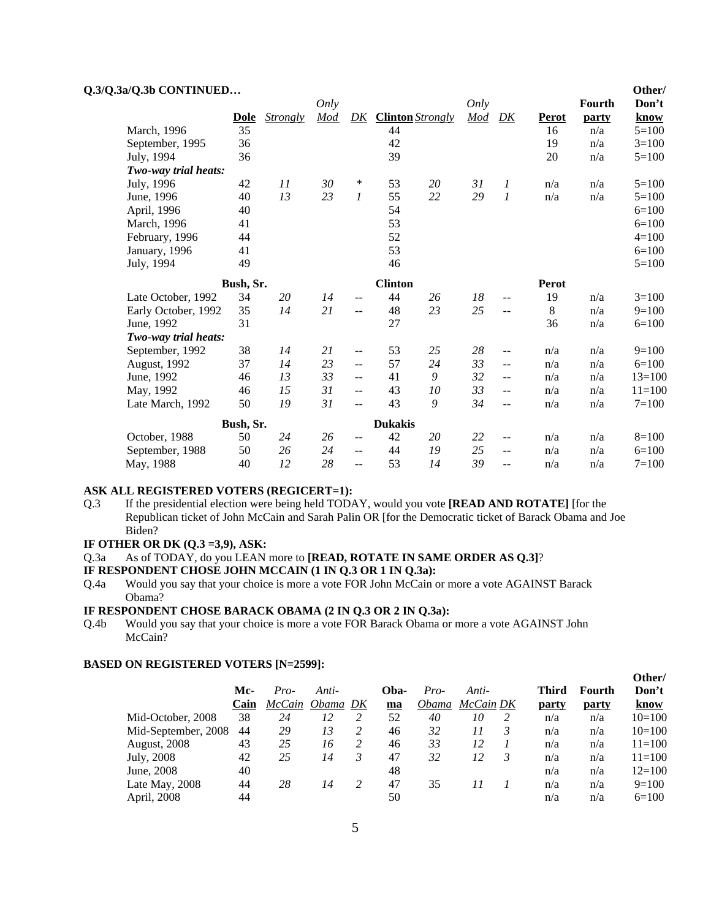|  | Q.3/Q.3a/Q.3b CONTINUED |
|--|-------------------------|
|--|-------------------------|

|                      |                                                                                        |                                                                                       |                                                |                         |         |                                        |                                                                         |                                       |          |                                | Other/                                      |
|----------------------|----------------------------------------------------------------------------------------|---------------------------------------------------------------------------------------|------------------------------------------------|-------------------------|---------|----------------------------------------|-------------------------------------------------------------------------|---------------------------------------|----------|--------------------------------|---------------------------------------------|
|                      |                                                                                        |                                                                                       |                                                |                         |         |                                        |                                                                         |                                       |          |                                | Don't                                       |
|                      |                                                                                        |                                                                                       |                                                |                         |         |                                        |                                                                         |                                       |          |                                | know                                        |
|                      |                                                                                        |                                                                                       |                                                |                         |         |                                        |                                                                         |                                       |          |                                | $5=100$                                     |
|                      |                                                                                        |                                                                                       |                                                |                         |         |                                        |                                                                         |                                       |          |                                | $3=100$                                     |
|                      |                                                                                        |                                                                                       |                                                |                         |         |                                        |                                                                         |                                       |          |                                | $5=100$                                     |
|                      |                                                                                        |                                                                                       |                                                |                         |         |                                        |                                                                         |                                       |          |                                |                                             |
|                      |                                                                                        |                                                                                       |                                                |                         |         |                                        |                                                                         |                                       | n/a      | n/a                            | $5=100$                                     |
| June, 1996           |                                                                                        |                                                                                       |                                                | 1                       |         |                                        |                                                                         | 1                                     |          | n/a                            | $5=100$                                     |
|                      | 40                                                                                     |                                                                                       |                                                |                         | 54      |                                        |                                                                         |                                       |          |                                | $6=100$                                     |
| March, 1996          | 41                                                                                     |                                                                                       |                                                |                         |         |                                        |                                                                         |                                       |          |                                | $6=100$                                     |
| February, 1996       | 44                                                                                     |                                                                                       |                                                |                         | 52      |                                        |                                                                         |                                       |          |                                | $4=100$                                     |
| January, 1996        | 41                                                                                     |                                                                                       |                                                |                         |         |                                        |                                                                         |                                       |          |                                | $6=100$                                     |
| July, 1994           | 49                                                                                     |                                                                                       |                                                |                         | 46      |                                        |                                                                         |                                       |          |                                | $5=100$                                     |
|                      |                                                                                        |                                                                                       |                                                |                         |         |                                        |                                                                         |                                       | Perot    |                                |                                             |
| Late October, 1992   | 34                                                                                     | 20                                                                                    | 14                                             | $\qquad \qquad -$       | 44      | 26                                     | 18                                                                      | --                                    | 19       | n/a                            | $3=100$                                     |
| Early October, 1992  | 35                                                                                     | 14                                                                                    | 21                                             | $=$ $-$                 | 48      | 23                                     | 25                                                                      | --                                    | 8        | n/a                            | $9=100$                                     |
| June, 1992           | 31                                                                                     |                                                                                       |                                                |                         | 27      |                                        |                                                                         |                                       | 36       | n/a                            | $6=100$                                     |
| Two-way trial heats: |                                                                                        |                                                                                       |                                                |                         |         |                                        |                                                                         |                                       |          |                                |                                             |
| September, 1992      | 38                                                                                     | 14                                                                                    | 21                                             | $-$                     | 53      | 25                                     | 28                                                                      | --                                    | n/a      | n/a                            | $9=100$                                     |
| August, 1992         | 37                                                                                     | 14                                                                                    | 23                                             | $\qquad \qquad -$       | 57      | 24                                     | 33                                                                      | --                                    | n/a      | n/a                            | $6=100$                                     |
| June, 1992           | 46                                                                                     | 13                                                                                    | 33                                             | $- -$                   | 41      | 9                                      | 32                                                                      | --                                    | n/a      | n/a                            | $13=100$                                    |
| May, 1992            | 46                                                                                     | 15                                                                                    | 31                                             | $- -$                   | 43      | 10                                     | 33                                                                      | --                                    | n/a      | n/a                            | $11 = 100$                                  |
| Late March, 1992     | 50                                                                                     | 19                                                                                    | 31                                             | $\overline{a}$          | 43      | 9                                      | 34                                                                      | --                                    | n/a      | n/a                            | $7 = 100$                                   |
|                      |                                                                                        |                                                                                       |                                                |                         |         |                                        |                                                                         |                                       |          |                                |                                             |
| October, 1988        | 50                                                                                     | 24                                                                                    | 26                                             | $- -$                   | 42      | 20                                     | 22                                                                      | $\qquad \qquad -$                     | n/a      | n/a                            | $8=100$                                     |
| September, 1988      | 50                                                                                     | 26                                                                                    | 24                                             | $\overline{a}$          | 44      | 19                                     | 25                                                                      | $\sim$ $\sim$                         | n/a      | n/a                            | $6=100$                                     |
|                      | 40                                                                                     | 12                                                                                    | 28                                             | $- -$                   | 53      | 14                                     | 39                                                                      | --                                    | n/a      | n/a                            | $7=100$                                     |
|                      | March, 1996<br>September, 1995<br>July, 1994<br>July, 1996<br>April, 1996<br>May, 1988 | Q.3/Q.3a/Q.3b CONTINUED<br>Dole<br>35<br>36<br>36<br>Two-way trial heats:<br>42<br>40 | Strongly<br>11<br>13<br>Bush, Sr.<br>Bush, Sr. | Only<br>Mod<br>30<br>23 | DK<br>∗ | 44<br>42<br>39<br>53<br>55<br>53<br>53 | <b>Clinton</b> Strongly<br>20<br>22<br><b>Clinton</b><br><b>Dukakis</b> | Only<br>$\underline{Mod}$<br>31<br>29 | D K<br>1 | Perot<br>16<br>19<br>20<br>n/a | <b>Fourth</b><br>party<br>n/a<br>n/a<br>n/a |

#### **ASK ALL REGISTERED VOTERS (REGICERT=1):**

Q.3 If the presidential election were being held TODAY, would you vote **[READ AND ROTATE]** [for the Republican ticket of John McCain and Sarah Palin OR [for the Democratic ticket of Barack Obama and Joe Biden?

### **IF OTHER OR DK (Q.3 =3,9), ASK:**

Q.3a As of TODAY, do you LEAN more to **[READ, ROTATE IN SAME ORDER AS Q.3]**?

**IF RESPONDENT CHOSE JOHN MCCAIN (1 IN Q.3 OR 1 IN Q.3a):**

Q.4a Would you say that your choice is more a vote FOR John McCain or more a vote AGAINST Barack Obama?

#### **IF RESPONDENT CHOSE BARACK OBAMA (2 IN Q.3 OR 2 IN Q.3a):**

Q.4b Would you say that your choice is more a vote FOR Barack Obama or more a vote AGAINST John McCain?

|                     |      |        |          |      |              |           |   |       |        | Other/     |
|---------------------|------|--------|----------|------|--------------|-----------|---|-------|--------|------------|
|                     | Mc-  | Pro-   | Anti-    | Oba- | Pro-         | Anti-     |   | Third | Fourth | Don't      |
|                     | Cain | McCain | Obama DK | ma   | <i>Obama</i> | McCain DK |   | party | party  | know       |
| Mid-October, 2008   | 38   | 24     | 12       | 52   | 40           | 10        | 2 | n/a   | n/a    | $10=100$   |
| Mid-September, 2008 | 44   | 29     | 13       | 46   | 32           | 11        | 3 | n/a   | n/a    | $10=100$   |
| <b>August, 2008</b> | 43   | 25     | 16       | 46   | 33           | 12        |   | n/a   | n/a    | $11 = 100$ |
| July, 2008          | 42   | 25     | 14       | 47   | 32           | 12        | 3 | n/a   | n/a    | $11 = 100$ |
| June, 2008          | 40   |        |          | 48   |              |           |   | n/a   | n/a    | $12=100$   |
| Late May, 2008      | 44   | 28     | 14       | 47   | 35           | 11        |   | n/a   | n/a    | $9=100$    |
| April, 2008         | 44   |        |          | 50   |              |           |   | n/a   | n/a    | $6=100$    |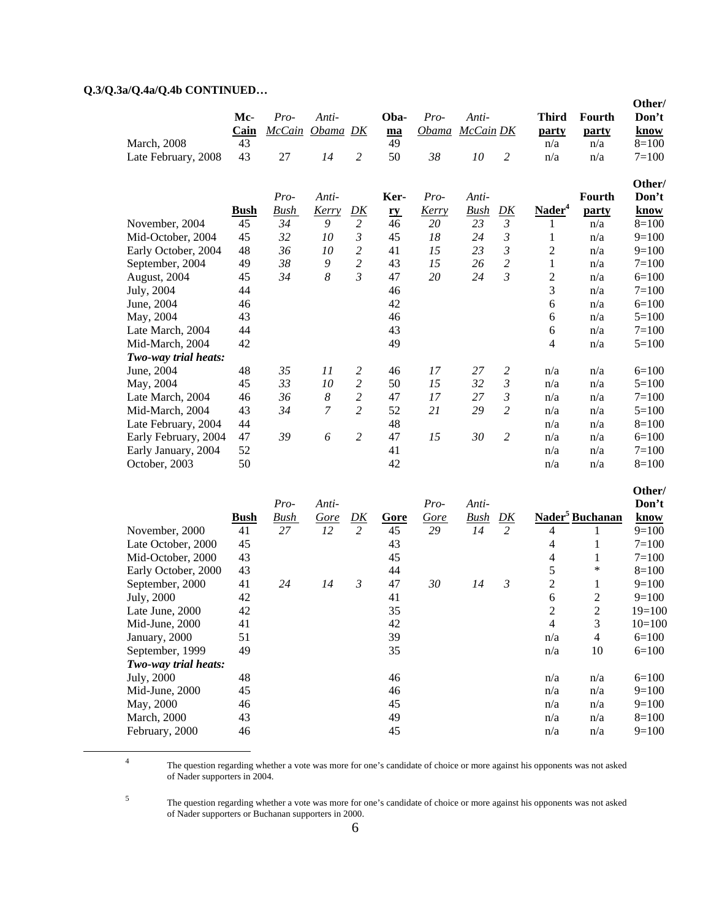# **Q.3/Q.3a/Q.4a/Q.4b CONTINUED…**

 $\frac{1}{4}$ 

5

|                      |             |               |                  |                |      |        |             |                |                          |                             | Other/    |
|----------------------|-------------|---------------|------------------|----------------|------|--------|-------------|----------------|--------------------------|-----------------------------|-----------|
|                      | Mc-         | Pro-          | Anti-            |                | Oba- | $Pro-$ | Anti-       |                | <b>Third</b>             | Fourth                      | Don't     |
|                      | Cain        | <b>McCain</b> | Obama DK         |                | ma   | Obama  | McCain DK   |                | party                    | party                       | know      |
| <b>March</b> , 2008  | 43          |               |                  |                | 49   |        |             |                | n/a                      | n/a                         | $8=100$   |
| Late February, 2008  | 43          | 27            | 14               | $\overline{c}$ | 50   | 38     | 10          | $\overline{c}$ | n/a                      | n/a                         | $7=100$   |
|                      |             |               |                  |                |      |        |             |                |                          |                             | Other/    |
|                      |             | Pro-          | Anti-            |                | Ker- | Pro-   | Anti-       |                |                          | Fourth                      | Don't     |
|                      | <b>Bush</b> | <b>Bush</b>   | Kerry            | <u>DK</u>      | ry   | Kerry  | <b>Bush</b> | D K            | Nader <sup>4</sup>       | party                       | know      |
| November, 2004       | 45          | 34            | 9                | $\overline{c}$ | 46   | 20     | 23          | $\mathfrak{Z}$ | 1                        | n/a                         | $8=100$   |
| Mid-October, 2004    | 45          | 32            | 10               | $\mathfrak{Z}$ | 45   | 18     | 24          | $\mathfrak{Z}$ | $\mathbf{1}$             | n/a                         | $9=100$   |
| Early October, 2004  | 48          | 36            | 10               | $\overline{c}$ | 41   | 15     | 23          | 3              | $\overline{c}$           | n/a                         | $9=100$   |
| September, 2004      | 49          | 38            | $\boldsymbol{9}$ | $\overline{2}$ | 43   | 15     | 26          | $\overline{c}$ | $\mathbf{1}$             | n/a                         | $7=100$   |
| August, 2004         | 45          | 34            | $\boldsymbol{8}$ | 3              | 47   | 20     | 24          | $\mathfrak{Z}$ | $\overline{2}$           | n/a                         | $6=100$   |
| July, 2004           | 44          |               |                  |                | 46   |        |             |                | 3                        | n/a                         | $7=100$   |
| June, 2004           | 46          |               |                  |                | 42   |        |             |                | 6                        | n/a                         | $6=100$   |
| May, 2004            | 43          |               |                  |                | 46   |        |             |                | 6                        | n/a                         | $5=100$   |
| Late March, 2004     | 44          |               |                  |                | 43   |        |             |                | 6                        | n/a                         | $7=100$   |
| Mid-March, 2004      | 42          |               |                  |                | 49   |        |             |                | $\overline{\mathcal{L}}$ | n/a                         | $5=100$   |
| Two-way trial heats: |             |               |                  |                |      |        |             |                |                          |                             |           |
| June, 2004           | 48          | 35            | 11               | $\overline{c}$ | 46   | 17     | 27          | 2              | n/a                      | n/a                         | $6=100$   |
| May, 2004            | 45          | 33            | 10               | $\overline{c}$ | 50   | 15     | 32          | $\mathfrak{Z}$ | n/a                      | n/a                         | $5=100$   |
| Late March, 2004     | 46          | 36            | $\boldsymbol{8}$ | $\overline{c}$ | 47   | 17     | 27          | $\mathfrak{Z}$ | n/a                      | n/a                         | $7 = 100$ |
| Mid-March, 2004      | 43          | 34            | 7                | $\overline{2}$ | 52   | 21     | 29          | $\overline{c}$ | n/a                      | n/a                         | $5=100$   |
| Late February, 2004  | 44          |               |                  |                | 48   |        |             |                | n/a                      | n/a                         | $8=100$   |
| Early February, 2004 | 47          | 39            | 6                | $\overline{2}$ | 47   | 15     | 30          | $\overline{2}$ | n/a                      | n/a                         | $6=100$   |
| Early January, 2004  | 52          |               |                  |                | 41   |        |             |                | n/a                      | n/a                         | $7=100$   |
| October, 2003        | 50          |               |                  |                | 42   |        |             |                | n/a                      | n/a                         | $8=100$   |
|                      |             |               |                  |                |      |        |             |                |                          |                             | Other/    |
|                      |             | Pro-          | Anti-            |                |      | Pro-   | Anti-       |                |                          |                             | Don't     |
|                      | <b>Bush</b> | <u>Bush</u>   | Gore             | D K            | Gore | Gore   | <b>Bush</b> | D K            |                          | Nader <sup>5</sup> Buchanan | know      |
| November, 2000       | 41          | 27            | 12               | $\overline{2}$ | 45   | 29     | 14          | $\overline{c}$ | $\overline{4}$           | 1                           | $9=100$   |
| Late October, 2000   | 45          |               |                  |                | 43   |        |             |                | 4                        | $\mathbf{1}$                | $7=100$   |
| Mid-October, 2000    | 43          |               |                  |                | 45   |        |             |                | 4                        | $\mathbf{1}$                | $7 = 100$ |
| Early October, 2000  | 43          |               |                  |                | 44   |        |             |                | 5                        | $\ast$                      | $8=100$   |
| September, 2000      | 41          | 24            | 14               | 3              | 47   | 30     | 14          | 3              | $\overline{2}$           | $\mathbf{1}$                | $9=100$   |
| July, 2000           | 42          |               |                  |                | 41   |        |             |                | 6                        | $\overline{c}$              | $9=100$   |
| Late June, 2000      | 42          |               |                  |                | 35   |        |             |                | $\overline{2}$           | $\overline{2}$              | $19=100$  |
| Mid-June, 2000       | 41          |               |                  |                | 42   |        |             |                | $\overline{4}$           | 3                           | $10=100$  |
| January, 2000        | 51          |               |                  |                | 39   |        |             |                | n/a                      | $\overline{4}$              | $6=100$   |
| September, 1999      | 49          |               |                  |                | 35   |        |             |                | n/a                      | 10                          | $6=100$   |
| Two-way trial heats: |             |               |                  |                |      |        |             |                |                          |                             |           |
| July, 2000           | 48          |               |                  |                | 46   |        |             |                | n/a                      | n/a                         | $6=100$   |
| Mid-June, 2000       | 45          |               |                  |                | 46   |        |             |                | n/a                      | n/a                         | $9=100$   |
| May, 2000            | 46          |               |                  |                | 45   |        |             |                | n/a                      | n/a                         | $9=100$   |
| March, 2000          | 43          |               |                  |                | 49   |        |             |                | n/a                      | n/a                         | $8=100$   |
| February, 2000       | 46          |               |                  |                | 45   |        |             |                | n/a                      | n/a                         | $9=100$   |
|                      |             |               |                  |                |      |        |             |                |                          |                             |           |

 The question regarding whether a vote was more for one's candidate of choice or more against his opponents was not asked of Nader supporters in 2004.

 The question regarding whether a vote was more for one's candidate of choice or more against his opponents was not asked of Nader supporters or Buchanan supporters in 2000.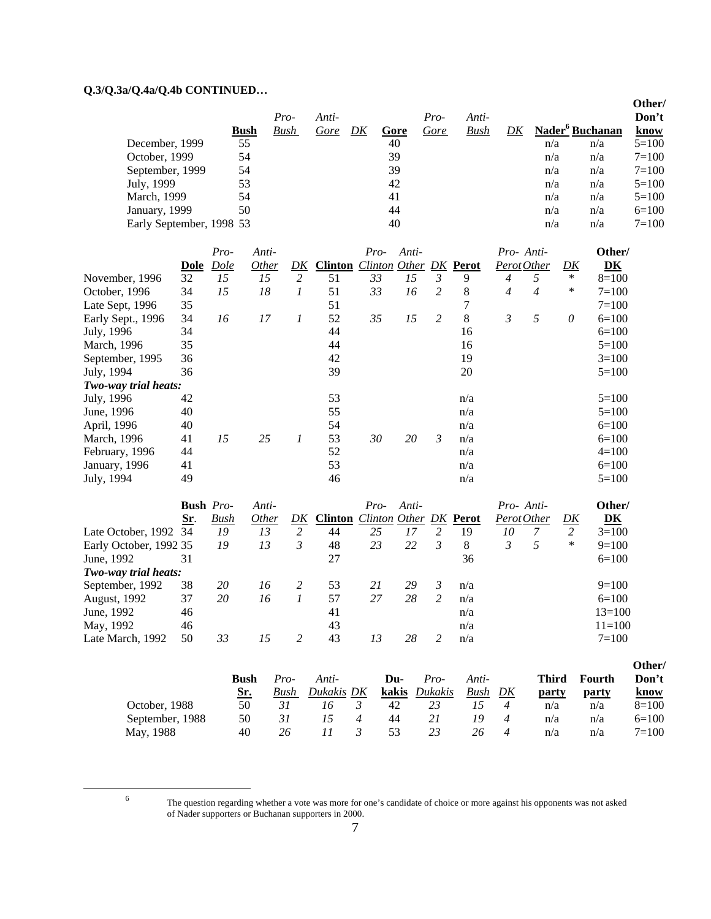# **Q.3/Q.3a/Q.4a/Q.4b CONTINUED…**

|                          |             |      |       |    |      |      |             |     |                             | Other/    |
|--------------------------|-------------|------|-------|----|------|------|-------------|-----|-----------------------------|-----------|
|                          |             | Pro- | Anti- |    |      | Pro- | Anti-       |     |                             | Don't     |
|                          | <b>Bush</b> | Bush | Gore  | DK | Gore | Gore | <b>Bush</b> |     | Nader <sup>6</sup> Buchanan | know      |
| December, 1999           | 55          |      |       |    | 40   |      |             | n/a | n/a                         | $5=100$   |
| October, 1999            | 54          |      |       |    | 39   |      |             | n/a | n/a                         | $7 = 100$ |
| September, 1999          | 54          |      |       |    | 39   |      |             | n/a | n/a                         | $7 = 100$ |
| July, 1999               | 53          |      |       |    | 42   |      |             | n/a | n/a                         | $5=100$   |
| March, 1999              | 54          |      |       |    | 41   |      |             | n/a | n/a                         | $5=100$   |
| January, 1999            | 50          |      |       |    | 44   |      |             | n/a | n/a                         | $6=100$   |
| Early September, 1998 53 |             |      |       |    | 40   |      |             | n/a | n/a                         | $7 = 100$ |

|                      |      | Pro-        | Anti-        |                  |                | $Pro-$                 | Anti- |   |     |   | Pro-Anti-      |        | Other/         |
|----------------------|------|-------------|--------------|------------------|----------------|------------------------|-------|---|-----|---|----------------|--------|----------------|
|                      | Dole | <b>Dole</b> | <i>Other</i> | DK               | <b>Clinton</b> | Clinton Other DK Perot |       |   |     |   | Perot Other    | DK     | D <sub>K</sub> |
| November, 1996       | 32   | 15          | 15           | 2                | 51             | 33                     | 15    | 3 | 9   | 4 | 5              | $\ast$ | $8=100$        |
| October, 1996        | 34   | 15          | 18           |                  | 51             | 33                     | 16    | 2 | 8   | 4 | $\overline{4}$ | ∗      | $7=100$        |
| Late Sept, 1996      | 35   |             |              |                  | 51             |                        |       |   |     |   |                |        | $7=100$        |
| Early Sept., 1996    | 34   | 16          | 17           |                  | 52             | 35                     | 15    | 2 | 8   | 3 | 5              | 0      | $6=100$        |
| July, 1996           | 34   |             |              |                  | 44             |                        |       |   | 16  |   |                |        | $6=100$        |
| March, 1996          | 35   |             |              |                  | 44             |                        |       |   | 16  |   |                |        | $5=100$        |
| September, 1995      | 36   |             |              |                  | 42             |                        |       |   | 19  |   |                |        | $3=100$        |
| July, 1994           | 36   |             |              |                  | 39             |                        |       |   | 20  |   |                |        | $5=100$        |
| Two-way trial heats: |      |             |              |                  |                |                        |       |   |     |   |                |        |                |
| July, 1996           | 42   |             |              |                  | 53             |                        |       |   | n/a |   |                |        | $5=100$        |
| June, 1996           | 40   |             |              |                  | 55             |                        |       |   | n/a |   |                |        | $5=100$        |
| April, 1996          | 40   |             |              |                  | 54             |                        |       |   | n/a |   |                |        | $6=100$        |
| March, 1996          | 41   | 15          | 25           | $\boldsymbol{l}$ | 53             | 30                     | 20    | 3 | n/a |   |                |        | $6=100$        |
| February, 1996       | 44   |             |              |                  | 52             |                        |       |   | n/a |   |                |        | $4=100$        |
| January, 1996        | 41   |             |              |                  | 53             |                        |       |   | n/a |   |                |        | $6=100$        |
| July, 1994           | 49   |             |              |                  | 46             |                        |       |   | n/a |   |                |        | $5=100$        |

|                        | <b>Bush</b> <i>Pro-</i> |      | Anti-        |    |                                              | $Pro-$ | Anti- |   |     | Pro-Anti-   |   |    | Other/         |
|------------------------|-------------------------|------|--------------|----|----------------------------------------------|--------|-------|---|-----|-------------|---|----|----------------|
|                        | Sr.                     | Bush | <i>Other</i> | DK | <b>Clinton</b> <i>Clinton Other DK</i> Perot |        |       |   |     | Perot Other |   | DK | D <sub>K</sub> |
| Late October, 1992 34  |                         | 19   | 13           | 2  | 44                                           | 25     | 17    | ∍ | 19  | 10          |   | 2  | $3=100$        |
| Early October, 1992 35 |                         | 19   | 13           | 3  | 48                                           | 23     | 22    |   | 8   | 3           | 5 | ∗  | $9=100$        |
| June, 1992             | 31                      |      |              |    | 27                                           |        |       |   | 36  |             |   |    | $6=100$        |
| Two-way trial heats:   |                         |      |              |    |                                              |        |       |   |     |             |   |    |                |
| September, 1992        | 38                      | 20   | 16           |    | 53                                           | 21     | 29    |   | n/a |             |   |    | $9=100$        |
| <b>August, 1992</b>    | 37                      | 20   | 16           |    | 57                                           | 27     | 28    |   | n/a |             |   |    | $6=100$        |
| June, 1992             | 46                      |      |              |    | 41                                           |        |       |   | n/a |             |   |    | $13=100$       |
| May, 1992              | 46                      |      |              |    | 43                                           |        |       |   | n/a |             |   |    | $11 = 100$     |
| Late March, 1992       | 50                      | 33   | 15           |    | 43                                           | 13     | 28    |   | n/a |             |   |    | $7 = 100$      |

|                 |            |      |            |       |         |       |                            |              |        | Other/      |
|-----------------|------------|------|------------|-------|---------|-------|----------------------------|--------------|--------|-------------|
|                 | Bush       | Pro- | Anti-      | Du-   | Pro-    | Anti- |                            | <b>Third</b> | Fourth | Don't       |
|                 | <u>Sr.</u> | Bush | Dukakis DK | kakis | Dukakis | Bush  | DK                         | party        | party  | <u>know</u> |
| October, 1988   | 50         |      |            | 42    |         |       | 4                          | n/a          | n/a    | $8=100$     |
| September, 1988 | 50         | 31   |            | 44    |         | 19    | $\boldsymbol{\mathcal{A}}$ | n/a          | n/a    | $6=100$     |
| May, 1988       | 40         | 26   |            | 53    |         | 26    | 4                          | n/a          | n/a    | $7 = 100$   |

6

The question regarding whether a vote was more for one's candidate of choice or more against his opponents was not asked of Nader supporters or Buchanan supporters in 2000.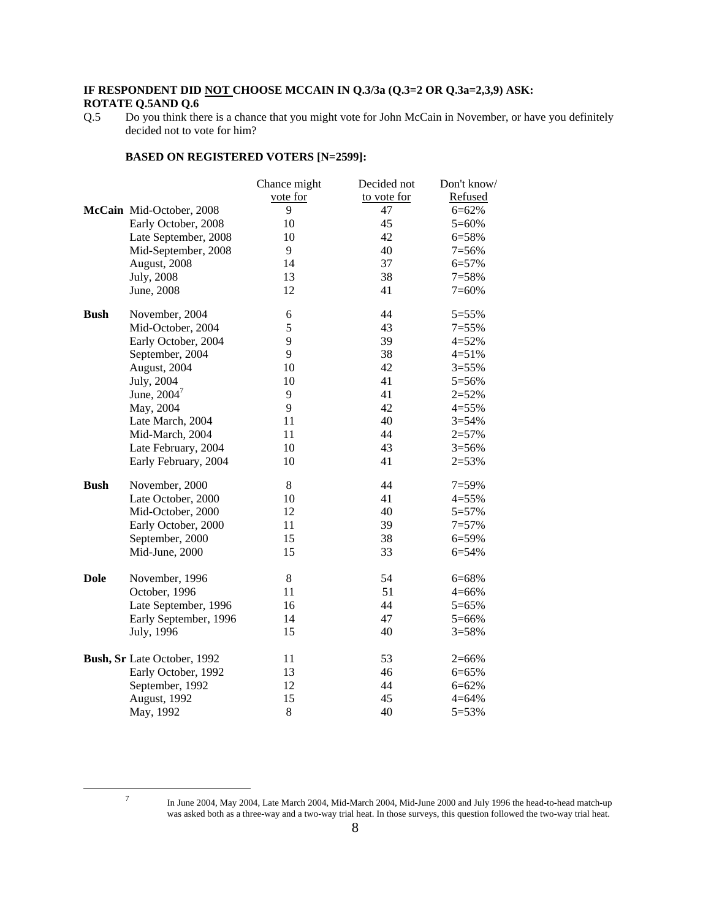#### **IF RESPONDENT DID NOT CHOOSE MCCAIN IN Q.3/3a (Q.3=2 OR Q.3a=2,3,9) ASK: ROTATE Q.5AND Q.6**

#### **BASED ON REGISTERED VOTERS [N=2599]:**

|             |                             | Chance might | Decided not | Don't know/ |
|-------------|-----------------------------|--------------|-------------|-------------|
|             |                             | vote for     | to vote for | Refused     |
|             | McCain Mid-October, 2008    | 9            | 47          | $6 = 62%$   |
|             | Early October, 2008         | 10           | 45          | $5=60%$     |
|             | Late September, 2008        | 10           | 42          | 6=58%       |
|             | Mid-September, 2008         | 9            | 40          | $7=56%$     |
|             | August, 2008                | 14           | 37          | 6=57%       |
|             | July, 2008                  | 13           | 38          | $7 = 58%$   |
|             | June, 2008                  | 12           | 41          | $7=60%$     |
| <b>Bush</b> | November, 2004              | 6            | 44          | 5=55%       |
|             | Mid-October, 2004           | 5            | 43          | $7 = 55%$   |
|             | Early October, 2004         | 9            | 39          | $4 = 52%$   |
|             | September, 2004             | 9            | 38          | $4 = 51%$   |
|             | August, 2004                | 10           | 42          | $3 = 55%$   |
|             | July, 2004                  | 10           | 41          | 5=56%       |
|             | June, 2004 <sup>7</sup>     | 9            | 41          | $2 = 52%$   |
|             | May, 2004                   | 9            | 42          | $4 = 55%$   |
|             | Late March, 2004            | 11           | 40          | $3 = 54%$   |
|             | Mid-March, 2004             | 11           | 44          | $2 = 57%$   |
|             | Late February, 2004         | 10           | 43          | $3 = 56%$   |
|             | Early February, 2004        | 10           | 41          | $2=53%$     |
| <b>Bush</b> | November, 2000              | $8\,$        | 44          | $7=59%$     |
|             | Late October, 2000          | 10           | 41          | $4 = 55%$   |
|             | Mid-October, 2000           | 12           | 40          | $5 = 57%$   |
|             | Early October, 2000         | 11           | 39          | $7 = 57%$   |
|             | September, 2000             | 15           | 38          | 6=59%       |
|             | Mid-June, 2000              | 15           | 33          | 6=54%       |
| <b>Dole</b> | November, 1996              | $8\,$        | 54          | 6=68%       |
|             | October, 1996               | 11           | 51          | $4 = 66%$   |
|             | Late September, 1996        | 16           | 44          | 5=65%       |
|             | Early September, 1996       | 14           | 47          | 5=66%       |
|             | July, 1996                  | 15           | 40          | $3 = 58%$   |
|             | Bush, Sr Late October, 1992 | 11           | 53          | $2=66%$     |
|             | Early October, 1992         | 13           | 46          | 6=65%       |
|             | September, 1992             | 12           | 44          | $6 = 62%$   |
|             | August, 1992                | 15           | 45          | $4 = 64%$   |
|             | May, 1992                   | $8\,$        | 40          | 5=53%       |
|             |                             |              |             |             |

7

Q.5 Do you think there is a chance that you might vote for John McCain in November, or have you definitely decided not to vote for him?

In June 2004, May 2004, Late March 2004, Mid-March 2004, Mid-June 2000 and July 1996 the head-to-head match-up was asked both as a three-way and a two-way trial heat. In those surveys, this question followed the two-way trial heat.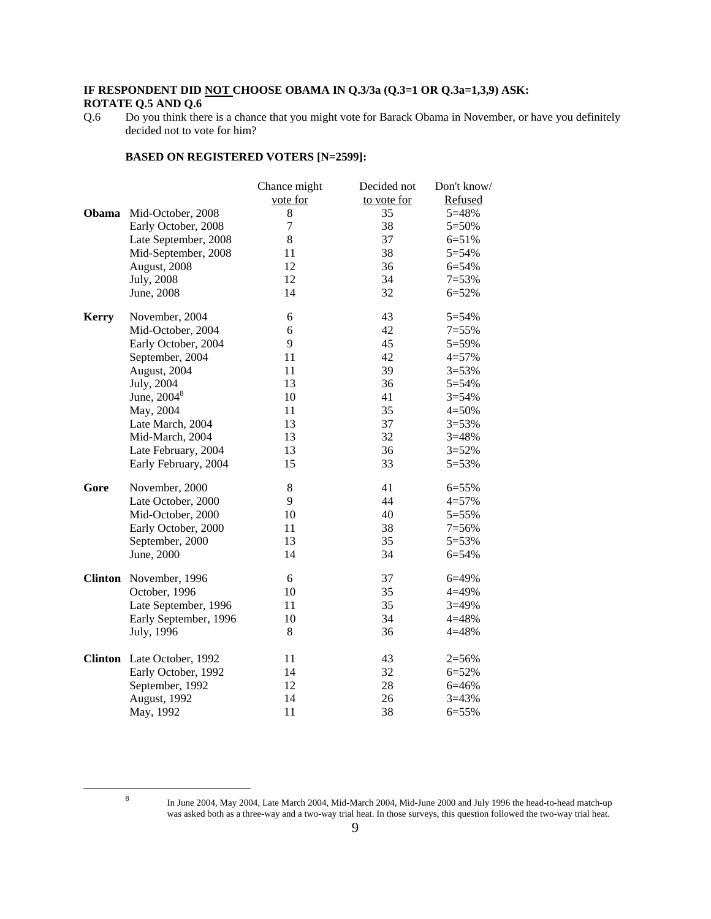#### **IF RESPONDENT DID NOT CHOOSE OBAMA IN Q.3/3a (Q.3=1 OR Q.3a=1,3,9) ASK: ROTATE Q.5 AND Q.6**

#### **BASED ON REGISTERED VOTERS [N=2599]:**

|              |                            | Chance might | Decided not | Don't know/ |
|--------------|----------------------------|--------------|-------------|-------------|
|              |                            | vote for     | to vote for | Refused     |
| Obama        | Mid-October, 2008          | 8            | 35          | 5=48%       |
|              | Early October, 2008        | 7            | 38          | 5=50%       |
|              | Late September, 2008       | 8            | 37          | $6 = 51%$   |
|              | Mid-September, 2008        | 11           | 38          | 5=54%       |
|              | August, 2008               | 12           | 36          | 6=54%       |
|              | July, 2008                 | 12           | 34          | $7=53%$     |
|              | June, 2008                 | 14           | 32          | $6 = 52%$   |
| <b>Kerry</b> | November, 2004             | 6            | 43          | $5 = 54%$   |
|              | Mid-October, 2004          | 6            | 42          | $7=55%$     |
|              | Early October, 2004        | 9            | 45          | $5 = 59%$   |
|              | September, 2004            | 11           | 42          | $4 = 57%$   |
|              | August, 2004               | 11           | 39          | $3 = 53%$   |
|              | July, 2004                 | 13           | 36          | 5=54%       |
|              | June, $20048$              | 10           | 41          | $3 = 54%$   |
|              | May, 2004                  | 11           | 35          | $4 = 50%$   |
|              | Late March, 2004           | 13           | 37          | $3 = 53%$   |
|              | Mid-March, 2004            | 13           | 32          | $3 = 48%$   |
|              | Late February, 2004        | 13           | 36          | $3 = 52%$   |
|              | Early February, 2004       | 15           | 33          | 5=53%       |
| Gore         | November, 2000             | 8            | 41          | 6=55%       |
|              | Late October, 2000         | 9            | 44          | $4 = 57%$   |
|              | Mid-October, 2000          | 10           | 40          | 5=55%       |
|              | Early October, 2000        | 11           | 38          | $7=56%$     |
|              | September, 2000            | 13           | 35          | 5=53%       |
|              | June, 2000                 | 14           | 34          | 6=54%       |
|              | Clinton November, 1996     | 6            | 37          | 6=49%       |
|              | October, 1996              | 10           | 35          | $4 = 49%$   |
|              | Late September, 1996       | 11           | 35          | $3=49%$     |
|              | Early September, 1996      | 10           | 34          | 4=48%       |
|              | July, 1996                 | $\,8\,$      | 36          | 4=48%       |
|              | Clinton Late October, 1992 | 11           | 43          | $2 = 56%$   |
|              | Early October, 1992        | 14           | 32          | $6 = 52%$   |
|              | September, 1992            | 12           | 28          | 6=46%       |
|              | August, 1992               | 14           | 26          | $3 = 43%$   |
|              | May, 1992                  | 11           | 38          | 6=55%       |

 $\frac{1}{8}$ 

Q.6 Do you think there is a chance that you might vote for Barack Obama in November, or have you definitely decided not to vote for him?

In June 2004, May 2004, Late March 2004, Mid-March 2004, Mid-June 2000 and July 1996 the head-to-head match-up was asked both as a three-way and a two-way trial heat. In those surveys, this question followed the two-way trial heat.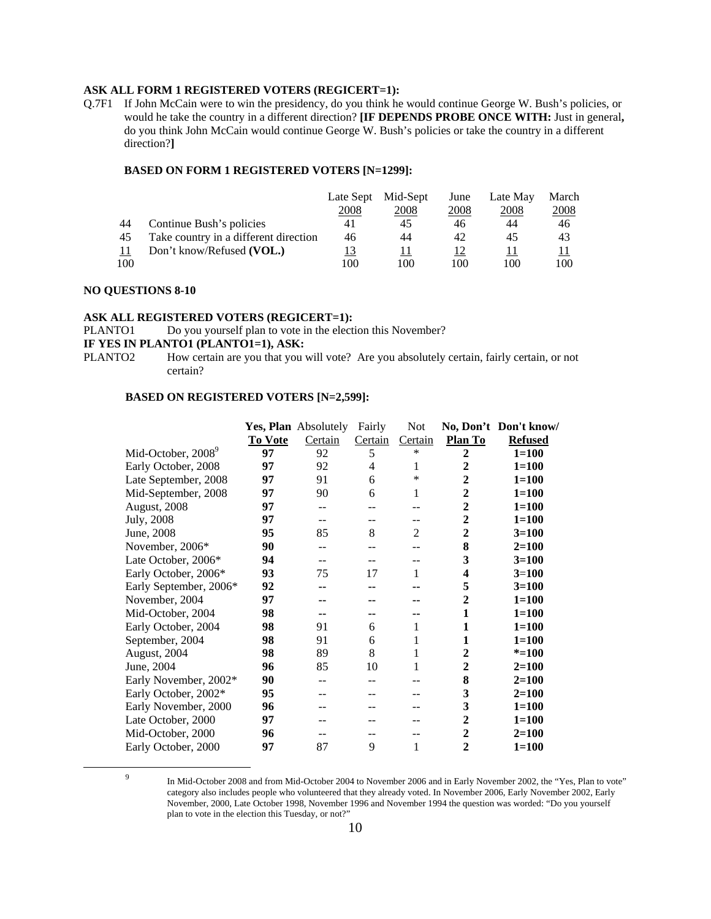#### **ASK ALL FORM 1 REGISTERED VOTERS (REGICERT=1):**

Q.7F1 If John McCain were to win the presidency, do you think he would continue George W. Bush's policies, or would he take the country in a different direction? **[IF DEPENDS PROBE ONCE WITH:** Just in general**,**  do you think John McCain would continue George W. Bush's policies or take the country in a different direction?**]**

#### **BASED ON FORM 1 REGISTERED VOTERS [N=1299]:**

|     |                                       | Late Sept | Mid-Sept | June | Late May | March         |
|-----|---------------------------------------|-----------|----------|------|----------|---------------|
|     |                                       | 2008      | 2008     | 2008 | 2008     | <u> 2008 </u> |
| 44  | Continue Bush's policies              | 41        | 45       | 46   | 44       | 46            |
| 45  | Take country in a different direction | 46        | 44       | 42   | 45       | 43            |
|     | Don't know/Refused (VOL.)             | <u>13</u> |          | 12   |          |               |
| 100 |                                       | 100       | 100      | 100  | 100      | 100           |

#### **NO QUESTIONS 8-10**

#### **ASK ALL REGISTERED VOTERS (REGICERT=1):**

PLANTO1 Do you yourself plan to vote in the election this November?

# **IF YES IN PLANTO1 (PLANTO1=1), ASK:**<br>PLANTO2 How certain are you that you

How certain are you that you will vote? Are you absolutely certain, fairly certain, or not certain?

|            |                                |                | Yes, Plan Absolutely | Fairly  | <b>Not</b> |                         | No, Don't Don't know/ |
|------------|--------------------------------|----------------|----------------------|---------|------------|-------------------------|-----------------------|
|            |                                | <b>To Vote</b> | Certain              | Certain | Certain    | Plan To                 | <b>Refused</b>        |
|            | Mid-October, 2008 <sup>9</sup> | 97             | 92                   | 5       | *          | $\boldsymbol{2}$        | $1 = 100$             |
|            | Early October, 2008            | 97             | 92                   | 4       | 1          | $\mathbf{2}$            | $1 = 100$             |
|            | Late September, 2008           | 97             | 91                   | 6       | $\ast$     | $\boldsymbol{2}$        | $1 = 100$             |
|            | Mid-September, 2008            | 97             | 90                   | 6       | 1          | $\boldsymbol{2}$        | $1 = 100$             |
|            | August, 2008                   | 97             | --                   |         |            | $\mathbf{2}$            | $1 = 100$             |
| July, 2008 |                                | 97             | --                   |         | --         | $\boldsymbol{2}$        | $1 = 100$             |
| June, 2008 |                                | 95             | 85                   | 8       | 2          | $\overline{2}$          | $3 = 100$             |
|            | November, 2006*                | 90             | --                   |         |            | 8                       | $2=100$               |
|            | Late October, 2006*            | 94             | --                   |         |            | 3                       | $3 = 100$             |
|            | Early October, 2006*           | 93             | 75                   | 17      | 1          | $\overline{\mathbf{4}}$ | $3=100$               |
|            | Early September, 2006*         | 92             | --                   |         |            | 5                       | $3=100$               |
|            | November, 2004                 | 97             | --                   |         |            | $\boldsymbol{2}$        | $1 = 100$             |
|            | Mid-October, 2004              | 98             | --                   |         |            | 1                       | $1 = 100$             |
|            | Early October, 2004            | 98             | 91                   | 6       | 1          | 1                       | $1 = 100$             |
|            | September, 2004                | 98             | 91                   | 6       | 1          | 1                       | $1 = 100$             |
|            | August, 2004                   | 98             | 89                   | 8       | 1          | $\mathbf{2}$            | $* = 100$             |
| June, 2004 |                                | 96             | 85                   | 10      | 1          | 2                       | $2=100$               |
|            | Early November, 2002*          | 90             | --                   |         |            | 8                       | $2=100$               |
|            | Early October, 2002*           | 95             |                      |         |            | 3                       | $2=100$               |
|            | Early November, 2000           | 96             | --                   |         |            | 3                       | $1 = 100$             |
|            | Late October, 2000             | 97             |                      |         |            | $\mathbf{2}$            | $1 = 100$             |
|            | Mid-October, 2000              | 96             | --                   |         |            | $\mathbf{2}$            | $2 = 100$             |
|            | Early October, 2000            | 97             | 87                   | 9       | 1          | $\mathbf{2}$            | $1 = 100$             |

 $\frac{1}{9}$ 

In Mid-October 2008 and from Mid-October 2004 to November 2006 and in Early November 2002, the "Yes, Plan to vote" category also includes people who volunteered that they already voted. In November 2006, Early November 2002, Early November, 2000, Late October 1998, November 1996 and November 1994 the question was worded: "Do you yourself plan to vote in the election this Tuesday, or not?"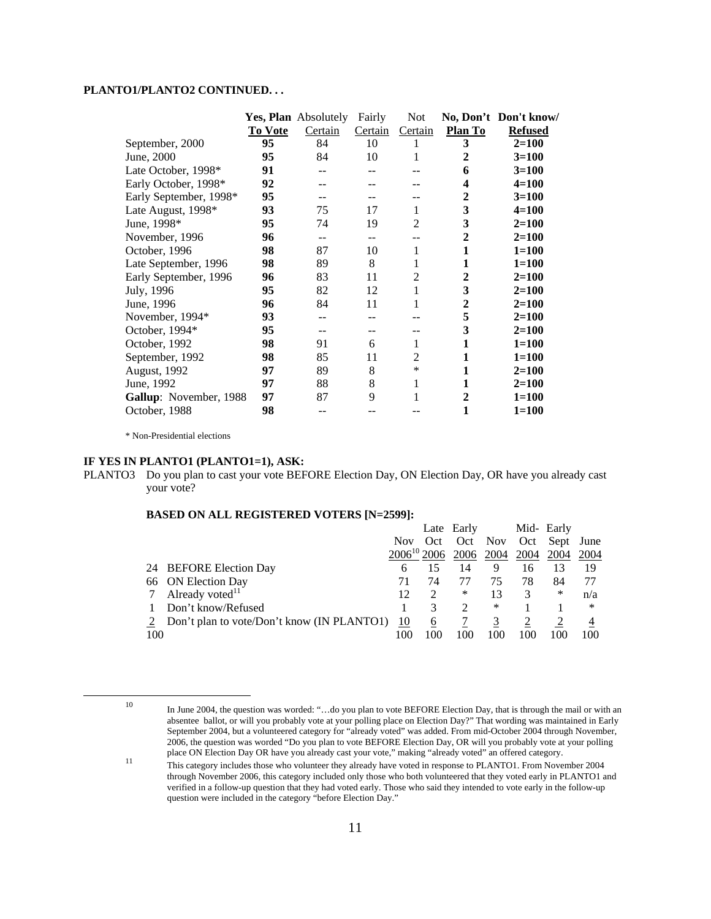### **PLANTO1/PLANTO2 CONTINUED. . .**

|                               |                | <b>Yes, Plan</b> Absolutely | Fairly  | Not            |                | No, Don't Don't know/ |
|-------------------------------|----------------|-----------------------------|---------|----------------|----------------|-----------------------|
|                               | <b>To Vote</b> | Certain                     | Certain | Certain        | Plan To        | <b>Refused</b>        |
| September, 2000               | 95             | 84                          | 10      |                | 3              | $2 = 100$             |
| June, 2000                    | 95             | 84                          | 10      |                | 2              | $3=100$               |
| Late October, 1998*           | 91             |                             |         |                | 6              | $3=100$               |
| Early October, 1998*          | 92             |                             |         |                | 4              | $4 = 100$             |
| Early September, 1998*        | 95             |                             |         |                | 2              | $3 = 100$             |
| Late August, 1998*            | 93             | 75                          | 17      | 1              | 3              | $4 = 100$             |
| June, 1998*                   | 95             | 74                          | 19      | $\overline{2}$ | 3              | $2 = 100$             |
| November, 1996                | 96             | --                          |         |                | 2              | $2=100$               |
| October, 1996                 | 98             | 87                          | 10      | 1              | 1              | $1 = 100$             |
| Late September, 1996          | 98             | 89                          | 8       | 1              | 1              | $1 = 100$             |
| Early September, 1996         | 96             | 83                          | 11      | 2              | 2              | $2 = 100$             |
| July, 1996                    | 95             | 82                          | 12      | 1              | 3              | $2=100$               |
| June, 1996                    | 96             | 84                          | 11      |                | $\mathbf{2}$   | $2=100$               |
| November, 1994*               | 93             |                             |         |                | 5              | $2 = 100$             |
| October, 1994*                | 95             |                             |         |                | 3              | $2 = 100$             |
| October, 1992                 | 98             | 91                          | 6       | 1              | 1              | $1 = 100$             |
| September, 1992               | 98             | 85                          | 11      | 2              | 1              | $1 = 100$             |
| August, 1992                  | 97             | 89                          | 8       | $\ast$         | 1              | $2=100$               |
| June, 1992                    | 97             | 88                          | 8       | 1              | 1              | $2=100$               |
| <b>Gallup:</b> November, 1988 | 97             | 87                          | 9       |                | $\overline{2}$ | $1 = 100$             |
| October, 1988                 | 98             | --                          |         |                | 1              | $1=100$               |

\* Non-Presidential elections

#### **IF YES IN PLANTO1 (PLANTO1=1), ASK:**

PLANTO3 Do you plan to cast your vote BEFORE Election Day, ON Election Day, OR have you already cast your vote?

|     |                                              |                  |     | Late Early |      |      | Mid- Early    |      |
|-----|----------------------------------------------|------------------|-----|------------|------|------|---------------|------|
|     |                                              | Nov Oct          |     | Oct Nov    |      |      | Oct Sept June |      |
|     |                                              | $2006^{10}$ 2006 |     | 2006       | 2004 | 2004 | 2004          | 2004 |
|     | 24 BEFORE Election Day                       | h                |     | 14         | 9    | 16   | 13            | 19   |
|     | 66 ON Election Day                           |                  | 74  |            | 75   | 78   | 84            |      |
|     | 7 Already voted <sup>11</sup>                | 12               | 2   | ∗          | 13   |      | ∗             | n/a  |
|     | Don't know/Refused                           |                  |     |            | *    |      |               | ∗    |
|     | 2 Don't plan to vote/Don't know (IN PLANTO1) | <u>10</u>        | 6   |            |      |      |               |      |
| 100 |                                              | 100              | 100 | 100        |      | 100  |               | 100  |

<sup>10</sup> In June 2004, the question was worded: "...do you plan to vote BEFORE Election Day, that is through the mail or with an absentee ballot, or will you probably vote at your polling place on Election Day?" That wording was maintained in Early September 2004, but a volunteered category for "already voted" was added. From mid-October 2004 through November, 2006, the question was worded "Do you plan to vote BEFORE Election Day, OR will you probably vote at your polling

place ON Election Day OR have you already cast your vote," making "already voted" an offered category.<br>This category includes those who volunteer they already have voted in response to PLANTO1. From November 2004 through November 2006, this category included only those who both volunteered that they voted early in PLANTO1 and verified in a follow-up question that they had voted early. Those who said they intended to vote early in the follow-up question were included in the category "before Election Day."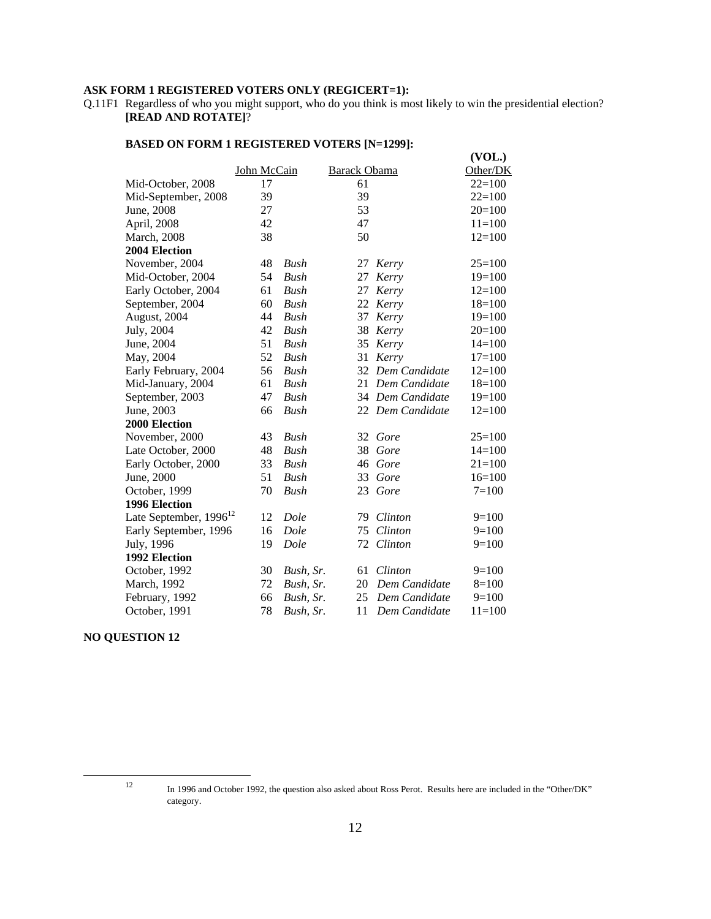#### **ASK FORM 1 REGISTERED VOTERS ONLY (REGICERT=1):**

Q.11F1 Regardless of who you might support, who do you think is most likely to win the presidential election? **[READ AND ROTATE]**?

|                             |             |             |                     |                  | (VOL.)     |
|-----------------------------|-------------|-------------|---------------------|------------------|------------|
|                             | John McCain |             | <b>Barack Obama</b> |                  | Other/DK   |
| Mid-October, 2008           | 17          |             | 61                  |                  | $22=100$   |
| Mid-September, 2008         | 39          |             | 39                  |                  | $22=100$   |
| June, 2008                  | 27          |             | 53                  |                  | $20=100$   |
| April, 2008                 | 42          |             | 47                  |                  | $11=100$   |
| <b>March</b> , 2008         | 38          |             | 50                  |                  | $12=100$   |
| 2004 Election               |             |             |                     |                  |            |
| November, 2004              | 48          | Bush        | 27                  | Kerry            | $25=100$   |
| Mid-October, 2004           | 54          | Bush        | 27                  | Kerry            | $19=100$   |
| Early October, 2004         | 61          | <b>Bush</b> | 27                  | Kerry            | $12=100$   |
| September, 2004             | 60          | Bush        | 22                  | Kerry            | $18=100$   |
| August, 2004                | 44          | Bush        | 37                  | Kerry            | $19=100$   |
| July, 2004                  | 42          | <b>Bush</b> | 38                  | Kerry            | $20=100$   |
| June, 2004                  | 51          | Bush        | 35                  | Kerry            | $14=100$   |
| May, 2004                   | 52          | Bush        | 31                  | Kerry            | $17=100$   |
| Early February, 2004        | 56          | <b>Bush</b> | 32                  | Dem Candidate    | $12=100$   |
| Mid-January, 2004           | 61          | Bush        |                     | 21 Dem Candidate | $18=100$   |
| September, 2003             | 47          | <b>Bush</b> |                     | 34 Dem Candidate | $19=100$   |
| June, 2003                  | 66          | Bush        |                     | 22 Dem Candidate | $12=100$   |
| <b>2000 Election</b>        |             |             |                     |                  |            |
| November, 2000              | 43          | Bush        |                     | 32 Gore          | $25=100$   |
| Late October, 2000          | 48          | Bush        | 38                  | Gore             | $14=100$   |
| Early October, 2000         | 33          | <b>Bush</b> | 46                  | Gore             | $21 = 100$ |
| June, 2000                  | 51          | <b>Bush</b> | 33                  | Gore             | $16=100$   |
| October, 1999               | 70          | Bush        |                     | 23 Gore          | $7=100$    |
| 1996 Election               |             |             |                     |                  |            |
| Late September, $1996^{12}$ | 12          | Dole        | 79                  | Clinton          | $9=100$    |
| Early September, 1996       | 16          | Dole        | 75                  | Clinton          | $9=100$    |
| July, 1996                  | 19          | Dole        | 72                  | Clinton          | $9=100$    |
| 1992 Election               |             |             |                     |                  |            |
| October, 1992               | 30          | Bush, Sr.   | 61                  | Clinton          | $9=100$    |
| March, 1992                 | 72          | Bush, Sr.   | 20                  | Dem Candidate    | $8=100$    |
| February, 1992              | 66          | Bush, Sr.   | 25                  | Dem Candidate    | $9=100$    |
| October, 1991               | 78          | Bush, Sr.   | 11                  | Dem Candidate    | $11 = 100$ |

#### **BASED ON FORM 1 REGISTERED VOTERS [N=1299]:**

#### **NO QUESTION 12**

 <sup>12</sup> In 1996 and October 1992, the question also asked about Ross Perot. Results here are included in the "Other/DK" category.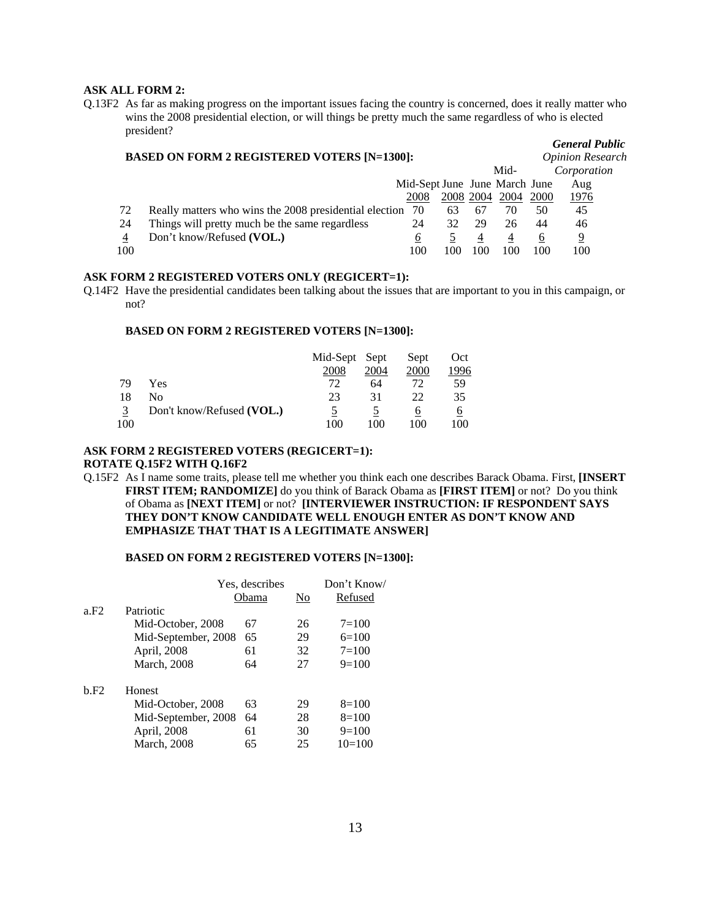#### **ASK ALL FORM 2:**

Q.13F2 As far as making progress on the important issues facing the country is concerned, does it really matter who wins the 2008 presidential election, or will things be pretty much the same regardless of who is elected president?

|     | <b>BASED ON FORM 2 REGISTERED VOTERS [N=1300]:</b>     |                               |           |    |      |          |             |  |
|-----|--------------------------------------------------------|-------------------------------|-----------|----|------|----------|-------------|--|
|     |                                                        |                               |           |    | Mid- |          | Corporation |  |
|     |                                                        | Mid-Sept June June March June |           |    |      |          | Aug         |  |
|     |                                                        | 2008                          | 2008 2004 |    | 2004 | 2000     | <u>1976</u> |  |
| 72  | Really matters who wins the 2008 presidential election | 70                            | 63        | 67 | 70   | 50       | 45          |  |
| 24  | Things will pretty much be the same regardless         | 24                            | 32        | 29 | 26   | 44       | 46          |  |
| 4   | Don't know/Refused (VOL.)                              | O                             |           | 4  | 4    | <u>t</u> | 9           |  |
| 100 |                                                        | 100                           | 100       |    | 100  | 100      | 100         |  |

*General Public*

#### **ASK FORM 2 REGISTERED VOTERS ONLY (REGICERT=1):**

Q.14F2 Have the presidential candidates been talking about the issues that are important to you in this campaign, or not?

#### **BASED ON FORM 2 REGISTERED VOTERS [N=1300]:**

|     |                           | Mid-Sept Sept |      | Sept | Oct  |
|-----|---------------------------|---------------|------|------|------|
|     |                           | 2008          | 2004 | 2000 | 1996 |
| 79  | Yes                       | 72            | 64   | 72   | 59   |
| 18  | Nο                        | 23            | 31   | 22   | 35   |
| 3   | Don't know/Refused (VOL.) |               |      |      |      |
| 100 |                           | 100           | 100  | 100  | 100  |

# **ASK FORM 2 REGISTERED VOTERS (REGICERT=1):**

# **ROTATE Q.15F2 WITH Q.16F2**

Q.15F2 As I name some traits, please tell me whether you think each one describes Barack Obama. First, **[INSERT FIRST ITEM; RANDOMIZE]** do you think of Barack Obama as **[FIRST ITEM]** or not? Do you think of Obama as **[NEXT ITEM]** or not? **[INTERVIEWER INSTRUCTION: IF RESPONDENT SAYS THEY DON'T KNOW CANDIDATE WELL ENOUGH ENTER AS DON'T KNOW AND EMPHASIZE THAT THAT IS A LEGITIMATE ANSWER]**

#### **BASED ON FORM 2 REGISTERED VOTERS [N=1300]:**

|      |                     | Yes, describes | Don't Know/ |           |
|------|---------------------|----------------|-------------|-----------|
|      |                     | Obama          | No          | Refused   |
| a.F2 | Patriotic           |                |             |           |
|      | Mid-October, 2008   | 67             | 26          | $7 = 100$ |
|      | Mid-September, 2008 | 65             | 29          | $6=100$   |
|      | April, 2008         | 61             | 32          | $7=100$   |
|      | <b>March</b> , 2008 | 64             | 27          | $9=100$   |
| b.F2 | Honest              |                |             |           |
|      | Mid-October, 2008   | 63             | 29          | $8=100$   |
|      | Mid-September, 2008 | 64             | 28          | $8=100$   |
|      | April, 2008         | 61             | 30          | $9=100$   |
|      | <b>March</b> , 2008 | 65             | 25          | $10=100$  |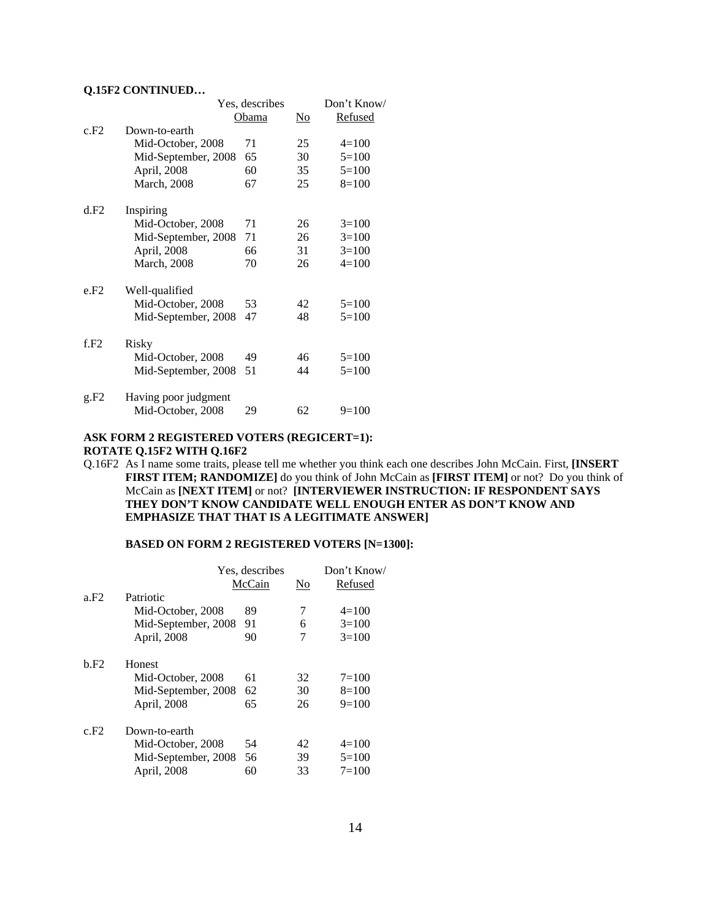#### **Q.15F2 CONTINUED…**

|      |                      | Yes, describes |    | Don't Know/ |
|------|----------------------|----------------|----|-------------|
|      |                      | Obama          | No | Refused     |
| c.F2 | Down-to-earth        |                |    |             |
|      | Mid-October, 2008    | 71             | 25 | $4=100$     |
|      | Mid-September, 2008  | 65             | 30 | $5=100$     |
|      | April, 2008          | 60             | 35 | $5=100$     |
|      | <b>March</b> , 2008  | 67             | 25 | $8=100$     |
| d.F2 | Inspiring            |                |    |             |
|      | Mid-October, 2008    | 71             | 26 | $3=100$     |
|      | Mid-September, 2008  | 71             | 26 | $3=100$     |
|      | April, 2008          | 66             | 31 | $3=100$     |
|      | <b>March</b> , 2008  | 70             | 26 | $4=100$     |
| e.F2 | Well-qualified       |                |    |             |
|      | Mid-October, 2008    | 53             | 42 | $5=100$     |
|      | Mid-September, 2008  | 47             | 48 | $5=100$     |
| f.F2 | Risky                |                |    |             |
|      | Mid-October, 2008    | 49             | 46 | $5=100$     |
|      | Mid-September, 2008  | 51             | 44 | $5=100$     |
| g.F2 | Having poor judgment |                |    |             |
|      | Mid-October, 2008    | 29             | 62 | $9=100$     |

#### **ASK FORM 2 REGISTERED VOTERS (REGICERT=1): ROTATE Q.15F2 WITH Q.16F2**

Q.16F2 As I name some traits, please tell me whether you think each one describes John McCain. First, **[INSERT FIRST ITEM; RANDOMIZE]** do you think of John McCain as **[FIRST ITEM]** or not? Do you think of McCain as **[NEXT ITEM]** or not? **[INTERVIEWER INSTRUCTION: IF RESPONDENT SAYS THEY DON'T KNOW CANDIDATE WELL ENOUGH ENTER AS DON'T KNOW AND EMPHASIZE THAT THAT IS A LEGITIMATE ANSWER]**

#### **BASED ON FORM 2 REGISTERED VOTERS [N=1300]:**

|      |                     | Yes, describes | Don't Know/ |           |
|------|---------------------|----------------|-------------|-----------|
|      |                     | McCain         | No          | Refused   |
| a.F2 | Patriotic           |                |             |           |
|      | Mid-October, 2008   | 89             | 7           | $4=100$   |
|      | Mid-September, 2008 | 91             | 6           | $3=100$   |
|      | April, 2008         | 90             | 7           | $3=100$   |
| b.F2 | Honest              |                |             |           |
|      | Mid-October, 2008   | 61             | 32          | $7 = 100$ |
|      | Mid-September, 2008 | 62             | 30          | $8=100$   |
|      | April, 2008         | 65             | 26          | $9=100$   |
| c.F2 | Down-to-earth       |                |             |           |
|      | Mid-October, 2008   | 54             | 42          | $4=100$   |
|      | Mid-September, 2008 | 56             | 39          | $5=100$   |
|      | April, 2008         | 60             | 33          | $7=100$   |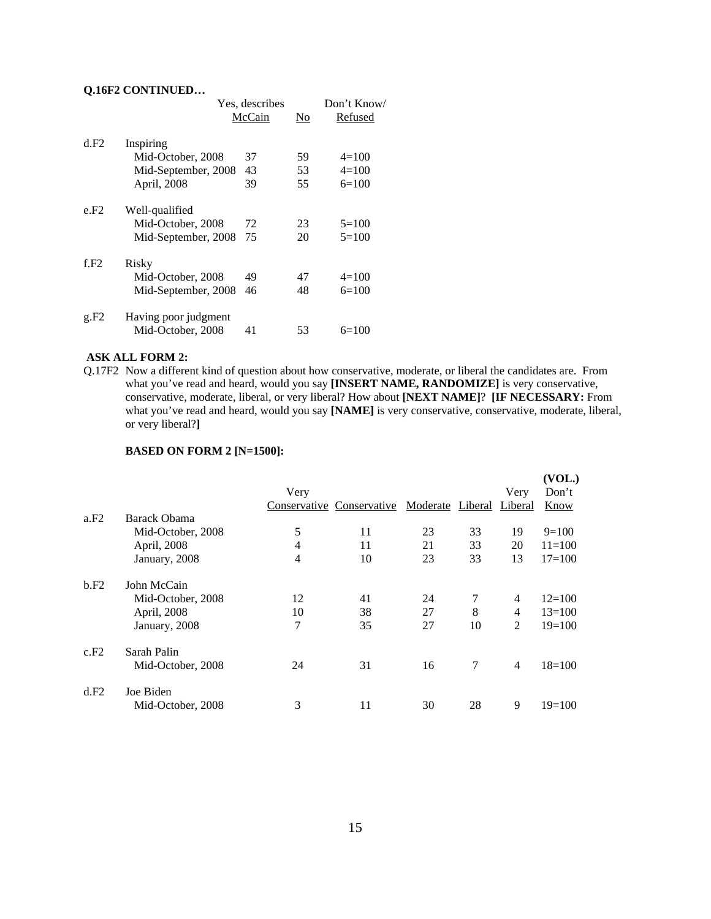#### **Q.16F2 CONTINUED…**

|      |                      | Yes, describes |    |           |  |  |
|------|----------------------|----------------|----|-----------|--|--|
|      |                      | McCain         | No | Refused   |  |  |
| d.F2 | Inspiring            |                |    |           |  |  |
|      | Mid-October, 2008    | 37             | 59 | $4=100$   |  |  |
|      | Mid-September, 2008  | 43             | 53 | $4=100$   |  |  |
|      | April, 2008          | 39             | 55 | $6=100$   |  |  |
| e.F2 | Well-qualified       |                |    |           |  |  |
|      | Mid-October, 2008    | 72             | 23 | $5=100$   |  |  |
|      | Mid-September, 2008  | 75             | 20 | $5=100$   |  |  |
| f.F2 | Risky                |                |    |           |  |  |
|      | Mid-October, 2008    | 49             | 47 | $4 = 100$ |  |  |
|      | Mid-September, 2008  | 46             | 48 | $6=100$   |  |  |
| g.F2 | Having poor judgment |                |    |           |  |  |
|      | Mid-October, 2008    | 41             | 53 | $6=100$   |  |  |

#### **ASK ALL FORM 2:**

Q.17F2 Now a different kind of question about how conservative, moderate, or liberal the candidates are. From what you've read and heard, would you say **[INSERT NAME, RANDOMIZE]** is very conservative, conservative, moderate, liberal, or very liberal? How about **[NEXT NAME]**? **[IF NECESSARY:** From what you've read and heard, would you say **[NAME]** is very conservative, conservative, moderate, liberal, or very liberal?**]** 

|      |                   |                |                           |                  |    |                | (VOL.)     |
|------|-------------------|----------------|---------------------------|------------------|----|----------------|------------|
|      |                   | Very           |                           |                  |    | Very           | Don't      |
|      |                   |                | Conservative Conservative | Moderate Liberal |    | Liberal        | Know       |
| a.F2 | Barack Obama      |                |                           |                  |    |                |            |
|      | Mid-October, 2008 | 5              | 11                        | 23               | 33 | 19             | $9=100$    |
|      | April, 2008       | $\overline{4}$ | 11                        | 21               | 33 | 20             | $11 = 100$ |
|      | January, 2008     | 4              | 10                        | 23               | 33 | 13             | $17 = 100$ |
| b.F2 | John McCain       |                |                           |                  |    |                |            |
|      | Mid-October, 2008 | 12             | 41                        | 24               | 7  | 4              | $12=100$   |
|      | April, 2008       | 10             | 38                        | 27               | 8  | 4              | $13=100$   |
|      | January, 2008     | 7              | 35                        | 27               | 10 | $\overline{2}$ | $19=100$   |
| c.F2 | Sarah Palin       |                |                           |                  |    |                |            |
|      | Mid-October, 2008 | 24             | 31                        | 16               | 7  | $\overline{4}$ | $18=100$   |
| d.F2 | Joe Biden         |                |                           |                  |    |                |            |
|      | Mid-October, 2008 | 3              | 11                        | 30               | 28 | 9              | $19=100$   |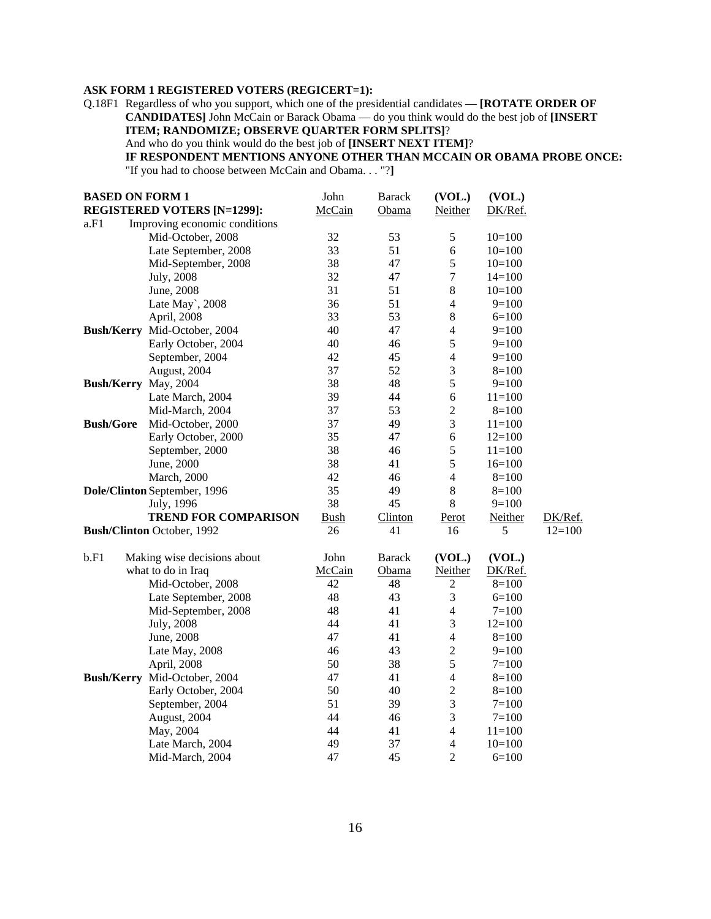### **ASK FORM 1 REGISTERED VOTERS (REGICERT=1):**

Q.18F1 Regardless of who you support, which one of the presidential candidates — **[ROTATE ORDER OF CANDIDATES]** John McCain or Barack Obama — do you think would do the best job of **[INSERT ITEM; RANDOMIZE; OBSERVE QUARTER FORM SPLITS]**?

And who do you think would do the best job of **[INSERT NEXT ITEM]**?

# **IF RESPONDENT MENTIONS ANYONE OTHER THAN MCCAIN OR OBAMA PROBE ONCE:**

"If you had to choose between McCain and Obama. . . "?**]** 

| <b>BASED ON FORM 1</b> |                                    | John        | <b>Barack</b> | (VOL.)           | (VOL.)     |          |
|------------------------|------------------------------------|-------------|---------------|------------------|------------|----------|
|                        | <b>REGISTERED VOTERS [N=1299]:</b> |             | Obama         | Neither          | DK/Ref.    |          |
| a.F1                   | Improving economic conditions      |             |               |                  |            |          |
|                        | Mid-October, 2008                  | 32          | 53            | $\sqrt{5}$       | $10=100$   |          |
|                        | Late September, 2008               | 33          | 51            | $\sqrt{6}$       | $10=100$   |          |
|                        | Mid-September, 2008                | 38          | 47            | $\sqrt{5}$       | $10=100$   |          |
|                        | July, 2008                         | 32          | 47            | $\boldsymbol{7}$ | $14=100$   |          |
|                        | June, 2008                         | 31          | 51            | $\,$ 8 $\,$      | $10=100$   |          |
|                        | Late May`, 2008                    | 36          | 51            | $\overline{4}$   | $9=100$    |          |
|                        | April, 2008                        | 33          | 53            | $\bf 8$          | $6=100$    |          |
|                        | Bush/Kerry Mid-October, 2004       | 40          | 47            | $\overline{4}$   | $9=100$    |          |
|                        | Early October, 2004                | 40          | 46            | 5                | $9=100$    |          |
|                        | September, 2004                    | 42          | 45            | $\overline{4}$   | $9=100$    |          |
|                        | August, 2004                       | 37          | 52            | $\mathfrak{Z}$   | $8=100$    |          |
|                        | Bush/Kerry May, 2004               | 38          | 48            | 5                | $9=100$    |          |
|                        | Late March, 2004                   | 39          | 44            | $\sqrt{6}$       | $11=100$   |          |
|                        | Mid-March, 2004                    | 37          | 53            | $\overline{c}$   | $8=100$    |          |
| <b>Bush/Gore</b>       | Mid-October, 2000                  | 37          | 49            | 3                | $11 = 100$ |          |
|                        | Early October, 2000                | 35          | 47            | 6                | $12=100$   |          |
|                        | September, 2000                    | 38          | 46            | $\sqrt{5}$       | $11=100$   |          |
|                        | June, 2000                         | 38          | 41            | 5                | $16=100$   |          |
|                        | March, 2000                        | 42          | 46            | $\overline{4}$   | $8=100$    |          |
|                        | Dole/Clinton September, 1996       | 35          | 49            | $\bf 8$          | $8=100$    |          |
|                        | July, 1996                         | 38          | 45            | 8                | $9=100$    |          |
|                        | <b>TREND FOR COMPARISON</b>        | <b>Bush</b> | Clinton       | Perot            | Neither    | DK/Ref.  |
|                        | <b>Bush/Clinton October, 1992</b>  | 26          | 41            | 16               | 5          | $12=100$ |
| b.F1                   | Making wise decisions about        | John        | <b>Barack</b> | (VOL.)           | (VOL.)     |          |
|                        | what to do in Iraq                 | McCain      | Obama         | Neither          | DK/Ref.    |          |
|                        | Mid-October, 2008                  | 42          | 48            | $\overline{c}$   | $8=100$    |          |
|                        | Late September, 2008               | 48          | 43            | $\mathfrak{Z}$   | $6=100$    |          |
|                        | Mid-September, 2008                | 48          | 41            | $\overline{4}$   | $7=100$    |          |
|                        | July, 2008                         | 44          | 41            | 3                | $12=100$   |          |
|                        | June, 2008                         | 47          | 41            | $\overline{4}$   | $8=100$    |          |
|                        | Late May, 2008                     | 46          | 43            | $\sqrt{2}$       | $9=100$    |          |
|                        | April, 2008                        | 50          | 38            | $\sqrt{5}$       | $7=100$    |          |
|                        | Bush/Kerry Mid-October, 2004       | 47          | 41            | $\overline{4}$   | $8=100$    |          |
|                        | Early October, 2004                | 50          | 40            | $\sqrt{2}$       | $8=100$    |          |
|                        | September, 2004                    | 51          | 39            | $\mathfrak{Z}$   | $7 = 100$  |          |
|                        | August, 2004                       | 44          | 46            | $\mathfrak{Z}$   | $7 = 100$  |          |
|                        | May, 2004                          | 44          | 41            | $\overline{4}$   | $11=100$   |          |
|                        | Late March, 2004                   | 49          | 37            | $\overline{4}$   | $10=100$   |          |
|                        | Mid-March, 2004                    | 47          | 45            | $\overline{2}$   | $6=100$    |          |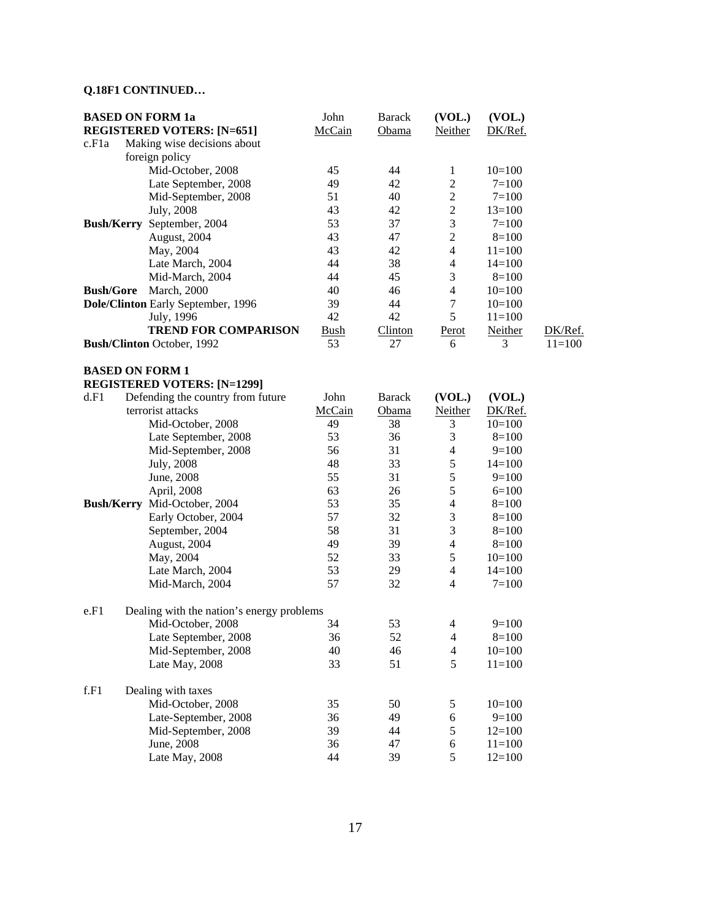# **Q.18F1 CONTINUED…**

|                    | <b>BASED ON FORM 1a</b>                   | John        | <b>Barack</b>  | (VOL.)                   | (VOL.)    |          |
|--------------------|-------------------------------------------|-------------|----------------|--------------------------|-----------|----------|
|                    | <b>REGISTERED VOTERS: [N=651]</b>         | McCain      | Obama          | Neither                  | DK/Ref.   |          |
| c.F <sub>1</sub> a | Making wise decisions about               |             |                |                          |           |          |
|                    | foreign policy                            |             |                |                          |           |          |
|                    | Mid-October, 2008                         | 45          | 44             | $\mathbf{1}$             | $10=100$  |          |
|                    | Late September, 2008                      | 49          | 42             | $\mathbf{2}$             | $7 = 100$ |          |
|                    | Mid-September, 2008                       | 51          | 40             | $\boldsymbol{2}$         | $7=100$   |          |
|                    | July, 2008                                | 43          | 42             | $\boldsymbol{2}$         | $13=100$  |          |
|                    | Bush/Kerry September, 2004                | 53          | 37             | $\mathfrak{Z}$           | $7 = 100$ |          |
|                    | August, 2004                              | 43          | 47             | $\overline{2}$           | $8=100$   |          |
|                    | May, 2004                                 | 43          | 42             | $\overline{4}$           | $11=100$  |          |
|                    | Late March, 2004                          | 44          | 38             | 4                        | $14=100$  |          |
|                    | Mid-March, 2004                           | 44          | 45             | 3                        | $8=100$   |          |
| <b>Bush/Gore</b>   | <b>March</b> , 2000                       | 40          | 46             | $\overline{4}$           | $10=100$  |          |
|                    | Dole/Clinton Early September, 1996        | 39          | 44             | $\tau$                   | $10=100$  |          |
|                    | July, 1996                                | 42          | 42             | 5                        | $11=100$  |          |
|                    | <b>TREND FOR COMPARISON</b>               | <b>Bush</b> | <b>Clinton</b> | Perot                    | Neither   | DK/Ref.  |
|                    | <b>Bush/Clinton</b> October, 1992         | 53          | 27             | 6                        | 3         | $11=100$ |
|                    |                                           |             |                |                          |           |          |
|                    | <b>BASED ON FORM 1</b>                    |             |                |                          |           |          |
|                    | <b>REGISTERED VOTERS: [N=1299]</b>        |             |                |                          |           |          |
| d.F1               | Defending the country from future         | John        | <b>Barack</b>  | (VOL.)                   | (VOL.)    |          |
|                    | terrorist attacks                         | McCain      | Obama          | <b>Neither</b>           | DK/Ref.   |          |
|                    | Mid-October, 2008                         | 49          | 38             | 3                        | $10=100$  |          |
|                    | Late September, 2008                      | 53          | 36             | 3                        | $8=100$   |          |
|                    | Mid-September, 2008                       | 56          | 31             | $\overline{4}$           | $9=100$   |          |
|                    | July, 2008                                | 48          | 33             | 5                        | $14=100$  |          |
|                    | June, 2008                                | 55          | 31             | 5                        | $9=100$   |          |
|                    | April, 2008                               | 63          | 26             | 5                        | $6=100$   |          |
|                    | Bush/Kerry Mid-October, 2004              | 53          | 35             | $\overline{\mathbf{4}}$  | $8=100$   |          |
|                    | Early October, 2004                       | 57          | 32             | $\mathfrak 3$            | $8=100$   |          |
|                    | September, 2004                           | 58          | 31             | $\mathfrak{Z}$           | $8=100$   |          |
|                    | August, 2004                              | 49          | 39             | $\overline{\mathcal{L}}$ | $8=100$   |          |
|                    | May, 2004                                 | 52          | 33             | 5                        | $10=100$  |          |
|                    | Late March, 2004                          | 53          | 29             | $\overline{4}$           | $14=100$  |          |
|                    | Mid-March, 2004                           | 57          | 32             | 4                        | $7=100$   |          |
| e.F1               | Dealing with the nation's energy problems |             |                |                          |           |          |
|                    | Mid-October, 2008                         | 34          | 53             | 4                        | $9=100$   |          |
|                    | Late September, 2008                      | 36          | 52             | 4                        | $8=100$   |          |
|                    | Mid-September, 2008                       | 40          | 46             | 4                        | $10=100$  |          |
|                    | Late May, 2008                            | 33          | 51             | 5                        | $11=100$  |          |
|                    |                                           |             |                |                          |           |          |
| f.F1               | Dealing with taxes                        |             |                |                          |           |          |
|                    | Mid-October, 2008                         | 35          | 50             | 5                        | $10=100$  |          |
|                    | Late-September, 2008                      | 36          | 49             | 6                        | $9=100$   |          |
|                    | Mid-September, 2008                       | 39          | 44             | $\mathfrak s$            | $12=100$  |          |
|                    | June, 2008                                | 36          | 47             | 6                        | $11=100$  |          |
|                    | Late May, 2008                            | 44          | 39             | 5                        | $12=100$  |          |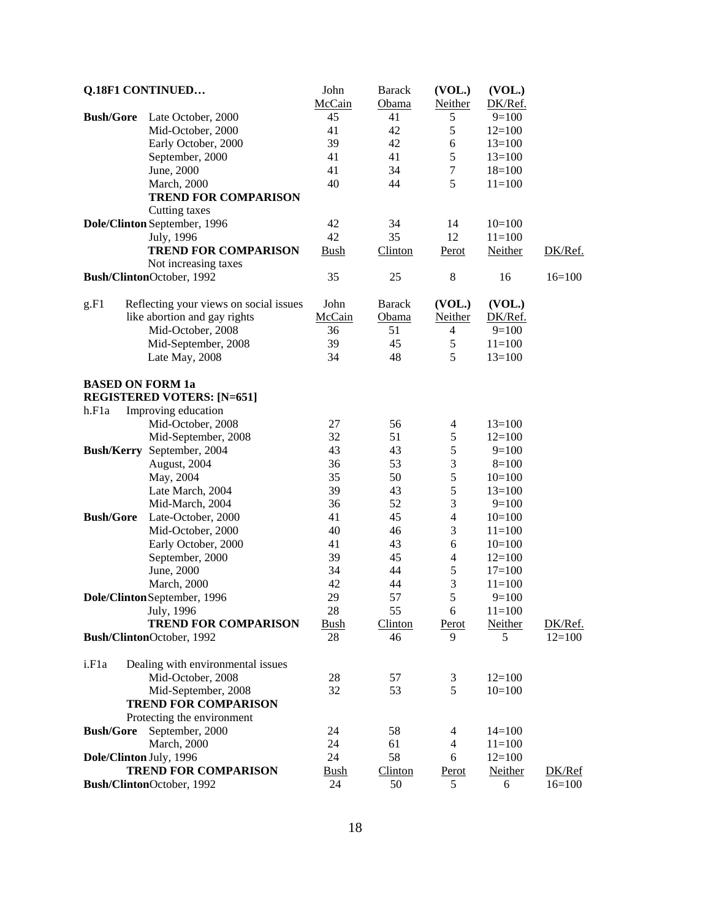| Q.18F1 CONTINUED   |                                        | John        | <b>Barack</b>  | (VOL.)         | (VOL.)     |          |
|--------------------|----------------------------------------|-------------|----------------|----------------|------------|----------|
|                    |                                        | McCain      | Obama          | Neither        | DK/Ref.    |          |
| <b>Bush/Gore</b>   | Late October, 2000                     | 45          | 41             | 5              | $9=100$    |          |
|                    | Mid-October, 2000                      | 41          | 42             | 5              | $12=100$   |          |
|                    | Early October, 2000                    | 39          | 42             | 6              | $13=100$   |          |
|                    | September, 2000                        | 41          | 41             | 5              | $13=100$   |          |
|                    | June, 2000                             | 41          | 34             | $\tau$         | $18=100$   |          |
|                    | <b>March</b> , 2000                    | 40          | 44             | 5              | $11=100$   |          |
|                    | <b>TREND FOR COMPARISON</b>            |             |                |                |            |          |
|                    | Cutting taxes                          |             |                |                |            |          |
|                    | Dole/Clinton September, 1996           | 42          | 34             | 14             | $10=100$   |          |
|                    | July, 1996                             | 42          | 35             | 12             | $11=100$   |          |
|                    | <b>TREND FOR COMPARISON</b>            |             |                |                |            |          |
|                    |                                        | <b>Bush</b> | <b>Clinton</b> | <u>Perot</u>   | Neither    | DK/Ref.  |
|                    | Not increasing taxes                   |             |                |                |            |          |
|                    | Bush/ClintonOctober, 1992              | 35          | 25             | $8\,$          | 16         | $16=100$ |
|                    |                                        |             |                |                |            |          |
| g.F1               | Reflecting your views on social issues | John        | <b>Barack</b>  | (VOL.)         | (VOL.)     |          |
|                    | like abortion and gay rights           | McCain      | Obama          | <b>Neither</b> | DK/Ref.    |          |
|                    | Mid-October, 2008                      | 36          | 51             | 4              | $9=100$    |          |
|                    | Mid-September, 2008                    | 39          | 45             | 5              | $11=100$   |          |
|                    | Late May, 2008                         | 34          | 48             | 5              | $13=100$   |          |
|                    |                                        |             |                |                |            |          |
|                    | <b>BASED ON FORM 1a</b>                |             |                |                |            |          |
|                    | <b>REGISTERED VOTERS: [N=651]</b>      |             |                |                |            |          |
| h.F1a              | Improving education                    |             |                |                |            |          |
|                    | Mid-October, 2008                      | 27          | 56             | 4              | $13=100$   |          |
|                    | Mid-September, 2008                    | 32          | 51             | 5              | $12=100$   |          |
|                    | Bush/Kerry September, 2004             | 43          | 43             | 5              | $9=100$    |          |
|                    | August, 2004                           | 36          | 53             | 3              | $8=100$    |          |
|                    | May, 2004                              | 35          | 50             | 5              | $10=100$   |          |
|                    | Late March, 2004                       | 39          | 43             | $\mathfrak s$  | $13=100$   |          |
|                    | Mid-March, 2004                        | 36          | 52             | 3              | $9=100$    |          |
| <b>Bush/Gore</b>   | Late-October, 2000                     | 41          | 45             | $\overline{4}$ | $10=100$   |          |
|                    | Mid-October, 2000                      | 40          | 46             | 3              | $11=100$   |          |
|                    | Early October, 2000                    | 41          | 43             | $\sqrt{6}$     | $10=100$   |          |
|                    | September, 2000                        | 39          | 45             | 4              | $12=100$   |          |
|                    | June, 2000                             | 34          | 44             | 5              | $17=100$   |          |
|                    | <b>March</b> , 2000                    | 42          | 44             | 3              | $11=100$   |          |
|                    | Dole/Clinton September, 1996           | 29          | 57             | 5              | $9=100$    |          |
|                    | July, 1996                             | 28          | 55             | 6              | $11 = 100$ |          |
|                    | <b>TREND FOR COMPARISON</b>            | <b>Bush</b> | <b>Clinton</b> | Perot          | Neither    | DK/Ref.  |
|                    | Bush/ClintonOctober, 1992              | 28          | 46             | 9              | 5          | $12=100$ |
|                    |                                        |             |                |                |            |          |
| i.F <sub>1</sub> a | Dealing with environmental issues      |             |                |                |            |          |
|                    | Mid-October, 2008                      | 28          | 57             | 3              | $12=100$   |          |
|                    | Mid-September, 2008                    | 32          | 53             | 5              | $10=100$   |          |
|                    | <b>TREND FOR COMPARISON</b>            |             |                |                |            |          |
|                    |                                        |             |                |                |            |          |
|                    | Protecting the environment             |             |                |                |            |          |
| <b>Bush/Gore</b>   | September, 2000                        | 24          | 58             | 4              | $14=100$   |          |
|                    | <b>March</b> , 2000                    | 24          | 61             | 4              | $11 = 100$ |          |
|                    | Dole/Clinton July, 1996                | 24          | 58             | 6              | $12=100$   |          |
|                    | <b>TREND FOR COMPARISON</b>            | <u>Bush</u> | <b>Clinton</b> | Perot          | Neither    | DK/Ref   |
|                    | Bush/ClintonOctober, 1992              | 24          | 50             | 5              | 6          | $16=100$ |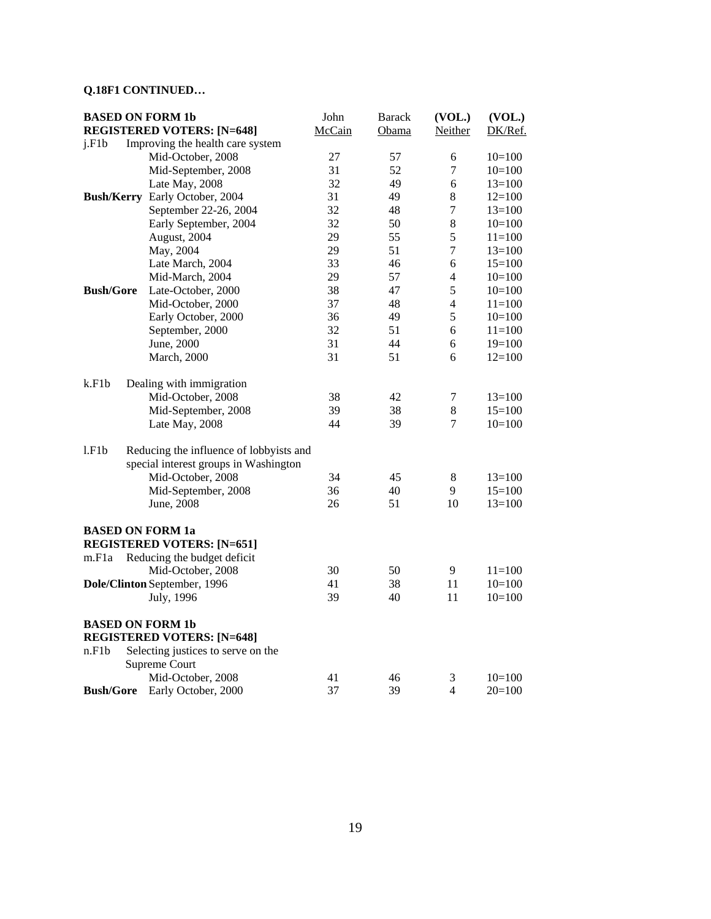# **Q.18F1 CONTINUED…**

|                  | <b>BASED ON FORM 1b</b>                 |        | <b>Barack</b> | (VOL.)           | (VOL.)     |
|------------------|-----------------------------------------|--------|---------------|------------------|------------|
|                  | <b>REGISTERED VOTERS: [N=648]</b>       | McCain | Obama         | Neither          | DK/Ref.    |
| j.F1b            | Improving the health care system        |        |               |                  |            |
|                  | Mid-October, 2008                       | 27     | 57            | 6                | $10=100$   |
|                  | Mid-September, 2008                     | 31     | 52            | $\tau$           | $10=100$   |
|                  | Late May, 2008                          | 32     | 49            | 6                | $13=100$   |
|                  | Bush/Kerry Early October, 2004          | 31     | 49            | 8                | $12=100$   |
|                  | September 22-26, 2004                   | 32     | 48            | $\boldsymbol{7}$ | $13=100$   |
|                  | Early September, 2004                   | 32     | 50            | 8                | $10=100$   |
|                  | August, 2004                            | 29     | 55            | 5                | $11 = 100$ |
|                  | May, 2004                               | 29     | 51            | $\tau$           | $13=100$   |
|                  | Late March, 2004                        | 33     | 46            | $\sqrt{6}$       | $15=100$   |
|                  | Mid-March, 2004                         | 29     | 57            | 4                | $10=100$   |
| <b>Bush/Gore</b> | Late-October, 2000                      | 38     | 47            | 5                | $10=100$   |
|                  | Mid-October, 2000                       | 37     | 48            | $\overline{4}$   | $11=100$   |
|                  | Early October, 2000                     | 36     | 49            | 5                | $10=100$   |
|                  | September, 2000                         | 32     | 51            | 6                | $11=100$   |
|                  | June, 2000                              | 31     | 44            | 6                | $19=100$   |
|                  | March, 2000                             | 31     | 51            | 6                | $12 = 100$ |
|                  |                                         |        |               |                  |            |
| k.F1b            | Dealing with immigration                |        |               |                  |            |
|                  | Mid-October, 2008                       | 38     | 42            | 7                | $13=100$   |
|                  | Mid-September, 2008                     | 39     | 38            | 8                | $15=100$   |
|                  | Late May, 2008                          | 44     | 39            | $\tau$           | $10=100$   |
| 1.F1b            | Reducing the influence of lobbyists and |        |               |                  |            |
|                  | special interest groups in Washington   |        |               |                  |            |
|                  | Mid-October, 2008                       | 34     | 45            | $8\phantom{1}$   | $13=100$   |
|                  | Mid-September, 2008                     | 36     | 40            | 9                | $15=100$   |
|                  | June, 2008                              | 26     | 51            | 10               | $13=100$   |
|                  |                                         |        |               |                  |            |
|                  | <b>BASED ON FORM 1a</b>                 |        |               |                  |            |
|                  | <b>REGISTERED VOTERS: [N=651]</b>       |        |               |                  |            |
| m.F1a            | Reducing the budget deficit             |        |               |                  |            |
|                  | Mid-October, 2008                       | 30     | 50            | 9                | $11 = 100$ |
|                  | Dole/Clinton September, 1996            | 41     | 38            | 11               | $10=100$   |
|                  | July, 1996                              | 39     | 40            | 11               | $10=100$   |
|                  | <b>BASED ON FORM 1b</b>                 |        |               |                  |            |
|                  | <b>REGISTERED VOTERS: [N=648]</b>       |        |               |                  |            |
| n.F1b            | Selecting justices to serve on the      |        |               |                  |            |
|                  | Supreme Court                           |        |               |                  |            |
|                  | Mid-October, 2008                       | 41     | 46            | 3                | $10=100$   |
| <b>Bush/Gore</b> | Early October, 2000                     | 37     | 39            | 4                | $20=100$   |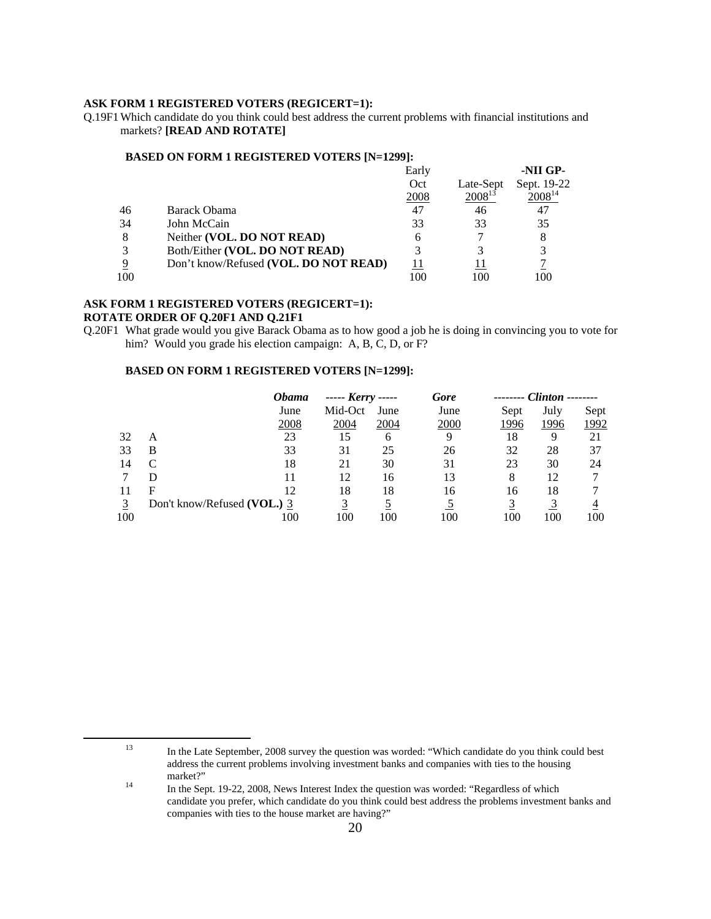#### **ASK FORM 1 REGISTERED VOTERS (REGICERT=1):**

Q.19F1 Which candidate do you think could best address the current problems with financial institutions and markets? **[READ AND ROTATE]** 

#### **BASED ON FORM 1 REGISTERED VOTERS [N=1299]:**

|     |                                       | Early       |             | -NII GP-    |
|-----|---------------------------------------|-------------|-------------|-------------|
|     |                                       | Oct         | Late-Sept   | Sept. 19-22 |
|     |                                       | <u>2008</u> | $2008^{13}$ | $2008^{14}$ |
| 46  | Barack Obama                          | 47          | 46          | 47          |
| 34  | John McCain                           | 33          | 33          | 35          |
| 8   | Neither (VOL. DO NOT READ)            | h           |             | 8           |
| 3   | Both/Either (VOL. DO NOT READ)        |             |             | 3           |
| 9   | Don't know/Refused (VOL. DO NOT READ) |             |             |             |
| 100 |                                       |             | 100         | 100         |

#### **ASK FORM 1 REGISTERED VOTERS (REGICERT=1): ROTATE ORDER OF Q.20F1 AND Q.21F1**

Q.20F1 What grade would you give Barack Obama as to how good a job he is doing in convincing you to vote for him? Would you grade his election campaign: A, B, C, D, or F?

#### **BASED ON FORM 1 REGISTERED VOTERS [N=1299]:**

|     |                             | Obama | ----- <i>Kerry</i> ----- |      | Gore | $Clinton$ ------- |      |      |
|-----|-----------------------------|-------|--------------------------|------|------|-------------------|------|------|
|     |                             | June  | Mid-Oct                  | June | June | Sept              | July | Sept |
|     |                             | 2008  | 2004                     | 2004 | 2000 | 1996              | 1996 | 1992 |
| 32  | А                           | 23    |                          | 6    | Q    | 18                | Q,   | 21   |
| 33  | В                           | 33    | 31                       | 25   | 26   | 32                | 28   | 37   |
| 14  |                             | 18    | 21                       | 30   | 31   | 23                | 30   | 24   |
|     |                             |       | 12                       | 16   | 13   | 8                 | 12   |      |
|     | F                           | 12    | 18                       | 18   | 16   | 16                | 18   |      |
|     | Don't know/Refused (VOL.) 3 |       |                          |      |      |                   |      |      |
| 100 |                             | 100   | 100                      | 100  | 100  | 100               | 100  | 100  |

 <sup>13</sup> In the Late September, 2008 survey the question was worded: "Which candidate do you think could best address the current problems involving investment banks and companies with ties to the housing

<sup>&</sup>lt;sup>14</sup> In the Sept. 19-22, 2008, News Interest Index the question was worded: "Regardless of which candidate you prefer, which candidate do you think could best address the problems investment banks and companies with ties to the house market are having?"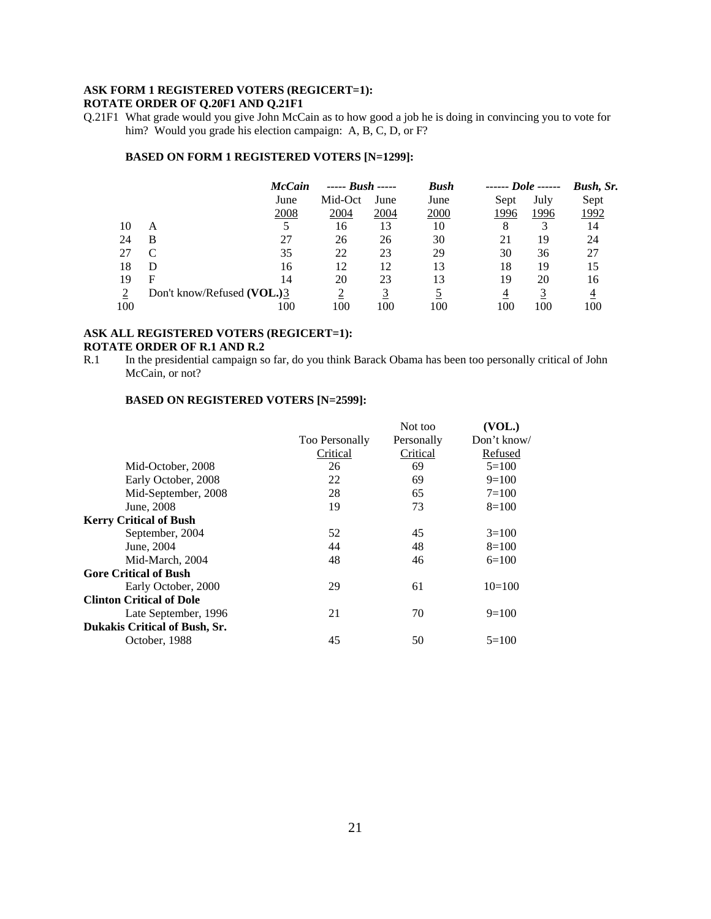# **ASK FORM 1 REGISTERED VOTERS (REGICERT=1):**

# **ROTATE ORDER OF Q.20F1 AND Q.21F1**

#### **BASED ON FORM 1 REGISTERED VOTERS [N=1299]:**

|     |                            | <b>McCain</b> | $  Bush$ $ -$ |             | <b>Bush</b> | $\frac{1}{2}$ Dole |      | Bush, Sr. |
|-----|----------------------------|---------------|---------------|-------------|-------------|--------------------|------|-----------|
|     |                            | June          | Mid-Oct       | June        | June        | Sept               | July | Sept      |
|     |                            | 2008          | 2004          | <u>2004</u> | 2000        | 1996               | 1996 | 1992      |
| 10  | А                          |               | 16            | 13          | 10          | 8                  |      | 14        |
| 24  | B                          | 27            | 26            | 26          | 30          | 21                 | 19   | 24        |
| 27  |                            | 35            | 22            | 23          | 29          | 30                 | 36   | 27        |
| 18  | D                          | 16            | 12            | 12          | 13          | 18                 | 19   | 15        |
| 19  | F                          | 14            | 20            | 23          | 13          | 19                 | 20   | 16        |
|     | Don't know/Refused (VOL.)3 |               |               |             |             | 4                  |      |           |
| 100 |                            | 100           | 100           | 100         | 100         | 100                | 100  | 100       |

#### **ASK ALL REGISTERED VOTERS (REGICERT=1): ROTATE ORDER OF R.1 AND R.2**

|                                 |                       | Not too    | (VOL.)         |
|---------------------------------|-----------------------|------------|----------------|
|                                 | <b>Too Personally</b> | Personally | Don't know/    |
|                                 | Critical              | Critical   | <b>Refused</b> |
| Mid-October, 2008               | 26                    | 69         | $5=100$        |
| Early October, 2008             | 22                    | 69         | $9=100$        |
| Mid-September, 2008             | 28                    | 65         | $7 = 100$      |
| June, 2008                      | 19                    | 73         | $8=100$        |
| <b>Kerry Critical of Bush</b>   |                       |            |                |
| September, 2004                 | 52                    | 45         | $3=100$        |
| June, 2004                      | 44                    | 48         | $8=100$        |
| Mid-March, 2004                 | 48                    | 46         | $6=100$        |
| <b>Gore Critical of Bush</b>    |                       |            |                |
| Early October, 2000             | 29                    | 61         | $10=100$       |
| <b>Clinton Critical of Dole</b> |                       |            |                |
| Late September, 1996            | 21                    | 70         | $9=100$        |
| Dukakis Critical of Bush, Sr.   |                       |            |                |
| October, 1988                   | 45                    | 50         | $5=100$        |
|                                 |                       |            |                |

Q.21F1 What grade would you give John McCain as to how good a job he is doing in convincing you to vote for him? Would you grade his election campaign: A, B, C, D, or F?

R.1 In the presidential campaign so far, do you think Barack Obama has been too personally critical of John McCain, or not?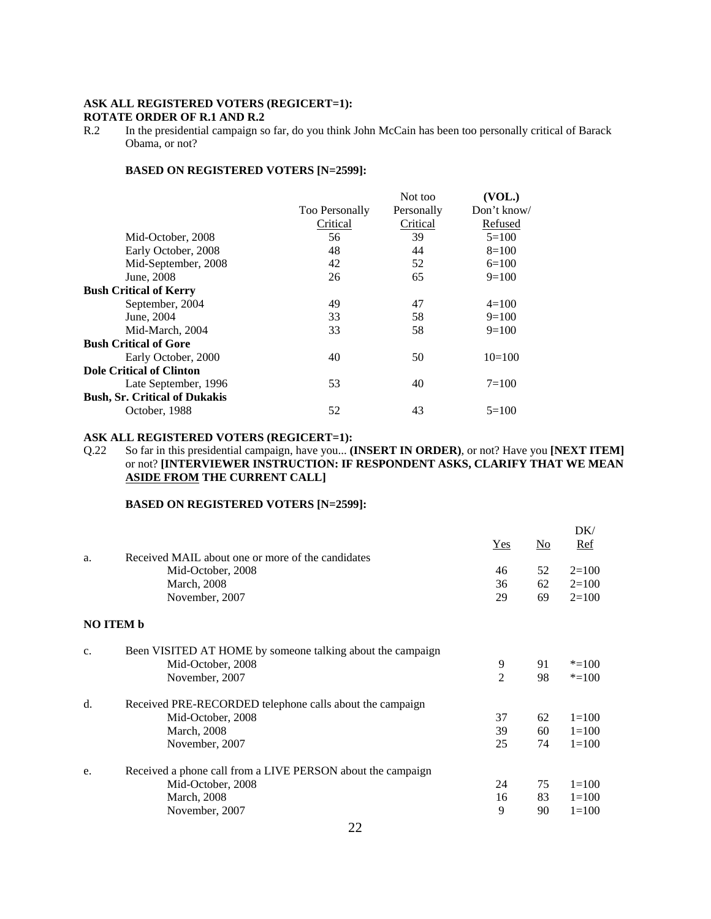#### **ASK ALL REGISTERED VOTERS (REGICERT=1): ROTATE ORDER OF R.1 AND R.2**

R.2 In the presidential campaign so far, do you think John McCain has been too personally critical of Barack Obama, or not?

#### **BASED ON REGISTERED VOTERS [N=2599]:**

|                                      |                       | Not too    | (VOL.)      |
|--------------------------------------|-----------------------|------------|-------------|
|                                      | <b>Too Personally</b> | Personally | Don't know/ |
|                                      | Critical              | Critical   | Refused     |
| Mid-October, 2008                    | 56                    | 39         | $5=100$     |
| Early October, 2008                  | 48                    | 44         | $8=100$     |
| Mid-September, 2008                  | 42                    | 52         | $6=100$     |
| June, 2008                           | 26                    | 65         | $9=100$     |
| <b>Bush Critical of Kerry</b>        |                       |            |             |
| September, 2004                      | 49                    | 47         | $4=100$     |
| June, 2004                           | 33                    | 58         | $9=100$     |
| Mid-March, 2004                      | 33                    | 58         | $9=100$     |
| <b>Bush Critical of Gore</b>         |                       |            |             |
| Early October, 2000                  | 40                    | 50         | $10=100$    |
| <b>Dole Critical of Clinton</b>      |                       |            |             |
| Late September, 1996                 | 53                    | 40         | $7 = 100$   |
| <b>Bush, Sr. Critical of Dukakis</b> |                       |            |             |
| October, 1988                        | 52                    | 43         | $5=100$     |

#### **ASK ALL REGISTERED VOTERS (REGICERT=1):**

Q.22 So far in this presidential campaign, have you... **(INSERT IN ORDER)**, or not? Have you **[NEXT ITEM]** or not? **[INTERVIEWER INSTRUCTION: IF RESPONDENT ASKS, CLARIFY THAT WE MEAN ASIDE FROM THE CURRENT CALL]**

|                |    | DK/       |
|----------------|----|-----------|
| Yes            | No | Ref       |
|                |    |           |
| 46             | 52 | $2=100$   |
| 36             | 62 | $2=100$   |
| 29             | 69 | $2=100$   |
|                |    |           |
|                |    |           |
| 9              | 91 | $* = 100$ |
| $\overline{2}$ | 98 | $* = 100$ |
|                |    |           |
| 37             | 62 | $1=100$   |
| 39             | 60 | $1=100$   |
| 25             | 74 | $1=100$   |
|                |    |           |
| 24             | 75 | $1=100$   |
| 16             | 83 | $1=100$   |
| 9              | 90 | $1 = 100$ |
|                |    |           |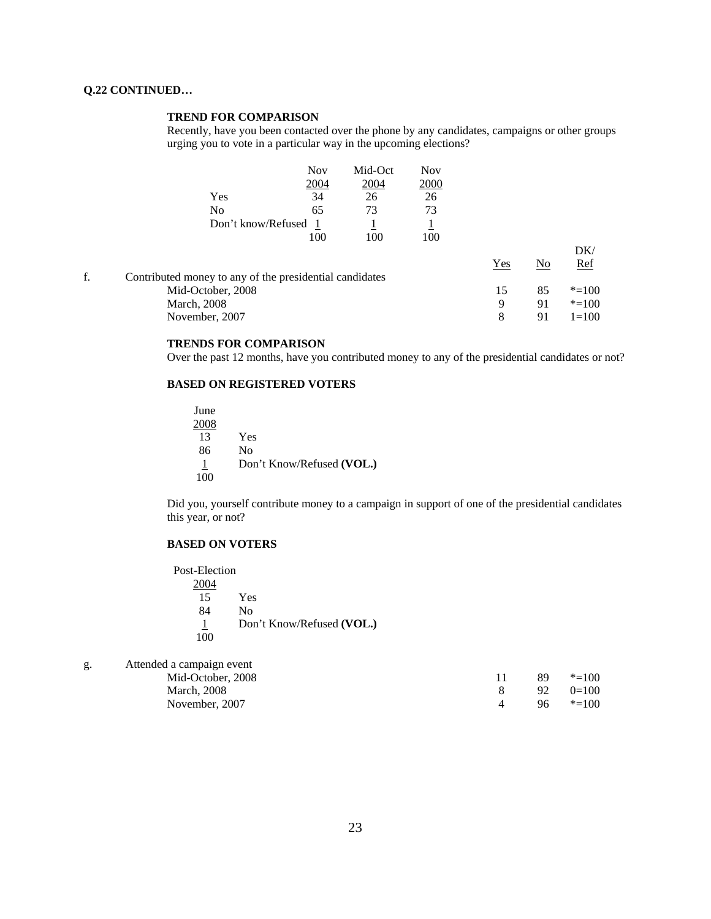#### **Q.22 CONTINUED…**

#### **TREND FOR COMPARISON**

Recently, have you been contacted over the phone by any candidates, campaigns or other groups urging you to vote in a particular way in the upcoming elections?

|    |                                                         | <b>Nov</b> | Mid-Oct | <b>Nov</b>     |     |    |            |
|----|---------------------------------------------------------|------------|---------|----------------|-----|----|------------|
|    |                                                         | 2004       | 2004    | 2000           |     |    |            |
|    | Yes                                                     | 34         | 26      | 26             |     |    |            |
|    | No.                                                     | 65         | 73      | 73             |     |    |            |
|    | Don't know/Refused 1                                    |            |         | $\overline{1}$ |     |    |            |
|    |                                                         | 100        | 100     | 100            |     |    |            |
|    |                                                         |            |         |                |     |    | DK/        |
|    |                                                         |            |         |                | Yes | No | <b>Ref</b> |
| f. | Contributed money to any of the presidential candidates |            |         |                |     |    |            |
|    | Mid-October, 2008                                       |            |         |                | 15  | 85 | $* = 100$  |
|    | March, 2008                                             |            |         |                | 9   | 91 | $* = 100$  |
|    | November, 2007                                          |            |         |                | 8   | 91 | $1 = 100$  |

#### **TRENDS FOR COMPARISON**

Over the past 12 months, have you contributed money to any of the presidential candidates or not?

#### **BASED ON REGISTERED VOTERS**

| June |                           |
|------|---------------------------|
| 2008 |                           |
| 13   | Yes                       |
| 86   | No                        |
|      | Don't Know/Refused (VOL.) |
| 100  |                           |

Did you, yourself contribute money to a campaign in support of one of the presidential candidates this year, or not?

#### **BASED ON VOTERS**

Post-Election 2004 15 Yes 84 No 1 Don't Know/Refused **(VOL.)**   $\frac{1}{100}$ 

g. Attended a campaign event Mid-October, 2008 March, 2008 November, 2007

| 11 | 89 | $* = 100$ |
|----|----|-----------|
| 8  | 92 | $0=100$   |
| 4  | 96 | $* = 100$ |
|    |    |           |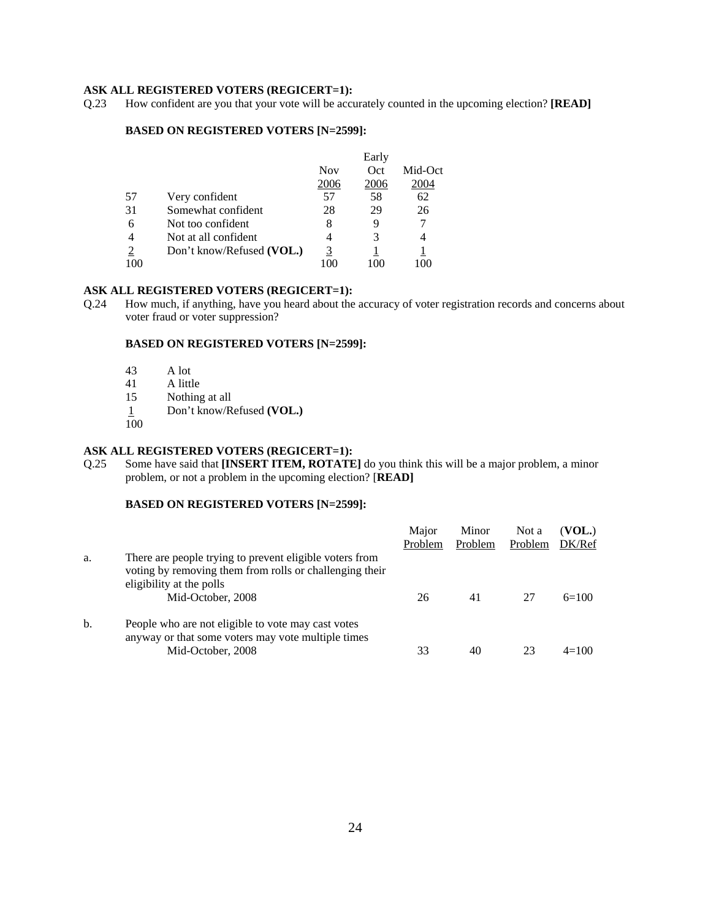# **ASK ALL REGISTERED VOTERS (REGICERT=1):** Q.23 How confident are you that your vote will be accu

How confident are you that your vote will be accurately counted in the upcoming election? **[READ]** 

#### **BASED ON REGISTERED VOTERS [N=2599]:**

|     |                           |            | Early |         |
|-----|---------------------------|------------|-------|---------|
|     |                           | <b>Nov</b> | Oct   | Mid-Oct |
|     |                           | 2006       | 2006  | 2004    |
| 57  | Very confident            | 57         | 58    | 62      |
| 31  | Somewhat confident        | 28         | 29    | 26      |
| 6   | Not too confident         | 8          | 9     |         |
| 4   | Not at all confident      | 4          | 3     | 4       |
|     | Don't know/Refused (VOL.) | 3          |       |         |
| 100 |                           |            |       |         |

#### **ASK ALL REGISTERED VOTERS (REGICERT=1):**

Q.24 How much, if anything, have you heard about the accuracy of voter registration records and concerns about voter fraud or voter suppression?

#### **BASED ON REGISTERED VOTERS [N=2599]:**

- 43 A lot
- 41 A little<br>15 Nothing
- Nothing at all
- 1 Don't know/Refused **(VOL.)**
- 100

#### **ASK ALL REGISTERED VOTERS (REGICERT=1):**

Q.25 Some have said that **[INSERT ITEM, ROTATE]** do you think this will be a major problem, a minor problem, or not a problem in the upcoming election? [**READ]**

|    |                                                                                                                                                                     | Major<br>Problem | Minor<br>Problem | Not a<br>Problem | (VOL.)<br>DK/Ref |
|----|---------------------------------------------------------------------------------------------------------------------------------------------------------------------|------------------|------------------|------------------|------------------|
| a. | There are people trying to prevent eligible voters from<br>voting by removing them from rolls or challenging their<br>eligibility at the polls<br>Mid-October, 2008 | 26               | 41               | 27               | $6=100$          |
| b. | People who are not eligible to vote may cast votes<br>anyway or that some voters may vote multiple times<br>Mid-October, 2008                                       | 33               | 40               | 23               | $4=100$          |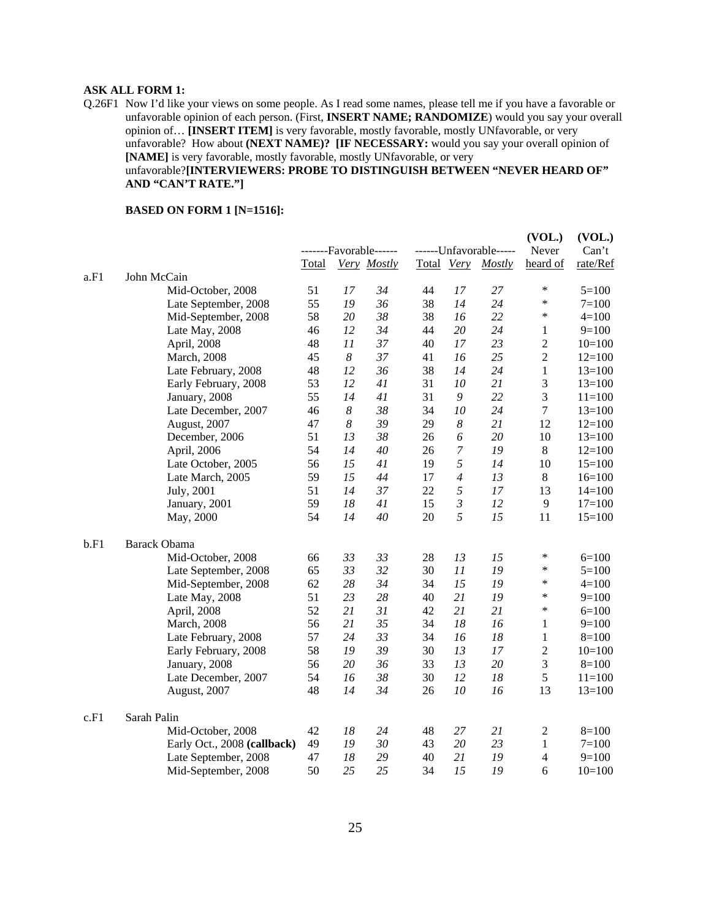# **ASK ALL FORM 1:**

Q.26F1 Now I'd like your views on some people. As I read some names, please tell me if you have a favorable or unfavorable opinion of each person. (First, **INSERT NAME; RANDOMIZE**) would you say your overall opinion of… **[INSERT ITEM]** is very favorable, mostly favorable, mostly UNfavorable, or very unfavorable? How about **(NEXT NAME)? [IF NECESSARY:** would you say your overall opinion of **[NAME]** is very favorable, mostly favorable, mostly UNfavorable, or very unfavorable?**[INTERVIEWERS: PROBE TO DISTINGUISH BETWEEN "NEVER HEARD OF" AND "CAN'T RATE."]**

#### **BASED ON FORM 1 [N=1516]:**

|      |                             |       |                  | -------Favorable------ |            |                  | ------Unfavorable----- | (VOL.)<br>Never | (VOL.)<br>Can't |
|------|-----------------------------|-------|------------------|------------------------|------------|------------------|------------------------|-----------------|-----------------|
|      |                             | Total |                  | Very Mostly            | Total Very |                  | Mostly                 | heard of        | rate/Ref        |
| a.F1 | John McCain                 |       |                  |                        |            |                  |                        |                 |                 |
|      | Mid-October, 2008           | 51    | 17               | 34                     | 44         | 17               | 27                     | $\ast$          | $5=100$         |
|      | Late September, 2008        | 55    | 19               | 36                     | 38         | 14               | 24                     | $\ast$          | $7 = 100$       |
|      | Mid-September, 2008         | 58    | 20               | 38                     | 38         | 16               | 22                     | $\ast$          | $4 = 100$       |
|      | Late May, 2008              | 46    | 12               | 34                     | 44         | 20               | 24                     | 1               | $9=100$         |
|      | April, 2008                 | 48    | 11               | 37                     | 40         | 17               | 23                     | $\overline{2}$  | $10=100$        |
|      | March, 2008                 | 45    | 8                | 37                     | 41         | 16               | 25                     | $\overline{2}$  | $12=100$        |
|      | Late February, 2008         | 48    | 12               | 36                     | 38         | 14               | 24                     | $\mathbf{1}$    | $13=100$        |
|      | Early February, 2008        | 53    | 12               | 41                     | 31         | 10               | 21                     | $\mathfrak{Z}$  | $13=100$        |
|      | January, 2008               | 55    | 14               | 41                     | 31         | $\boldsymbol{9}$ | 22                     | 3               | $11=100$        |
|      | Late December, 2007         | 46    | $\boldsymbol{8}$ | 38                     | 34         | 10               | 24                     | $\overline{7}$  | $13=100$        |
|      | August, 2007                | 47    | 8                | 39                     | 29         | $\boldsymbol{8}$ | 21                     | 12              | $12=100$        |
|      | December, 2006              | 51    | 13               | 38                     | 26         | 6                | 20                     | 10              | $13=100$        |
|      | April, 2006                 | 54    | 14               | 40                     | 26         | $\overline{7}$   | 19                     | $\,8\,$         | $12=100$        |
|      | Late October, 2005          | 56    | 15               | 41                     | 19         | 5                | 14                     | 10              | $15=100$        |
|      | Late March, 2005            | 59    | 15               | 44                     | 17         | $\overline{4}$   | 13                     | $8\,$           | $16=100$        |
|      | July, 2001                  | 51    | 14               | 37                     | 22         | 5                | 17                     | 13              | $14=100$        |
|      | January, 2001               | 59    | 18               | 41                     | 15         | $\mathfrak{Z}$   | 12                     | 9               | $17 = 100$      |
|      | May, 2000                   | 54    | 14               | 40                     | 20         | 5                | 15                     | 11              | $15=100$        |
|      |                             |       |                  |                        |            |                  |                        |                 |                 |
| b.F1 | <b>Barack Obama</b>         |       |                  |                        |            |                  |                        |                 |                 |
|      | Mid-October, 2008           | 66    | 33               | 33                     | 28         | 13               | 15                     | $\ast$          | $6=100$         |
|      | Late September, 2008        | 65    | 33               | 32                     | 30         | 11               | 19                     | $\ast$          | $5=100$         |
|      | Mid-September, 2008         | 62    | 28               | 34                     | 34         | 15               | 19                     | $\ast$          | $4 = 100$       |
|      | Late May, 2008              | 51    | 23               | 28                     | 40         | 21               | 19                     | $\ast$          | $9=100$         |
|      | April, 2008                 | 52    | 21               | 31                     | 42         | 21               | 21                     | $\ast$          | $6=100$         |
|      | March, 2008                 | 56    | 21               | 35                     | 34         | 18               | 16                     | $\mathbf{1}$    | $9=100$         |
|      | Late February, 2008         | 57    | 24               | 33                     | 34         | 16               | 18                     | 1               | $8=100$         |
|      | Early February, 2008        | 58    | 19               | 39                     | 30         | 13               | 17                     | $\overline{2}$  | $10=100$        |
|      | January, 2008               | 56    | 20               | 36                     | 33         | 13               | 20                     | $\mathfrak{Z}$  | $8=100$         |
|      | Late December, 2007         | 54    | 16               | 38                     | 30         | 12               | 18                     | 5               | $11 = 100$      |
|      | August, 2007                | 48    | 14               | 34                     | 26         | 10               | 16                     | 13              | $13=100$        |
| c.F1 | Sarah Palin                 |       |                  |                        |            |                  |                        |                 |                 |
|      | Mid-October, 2008           | 42    | 18               | 24                     | 48         | 27               | 21                     | $\overline{2}$  | $8=100$         |
|      | Early Oct., 2008 (callback) | 49    | 19               | 30                     | 43         | 20               | 23                     | 1               | $7 = 100$       |
|      | Late September, 2008        | 47    | 18               | 29                     | 40         | 21               | 19                     | $\overline{4}$  | $9=100$         |
|      | Mid-September, 2008         | 50    | 25               | 25                     | 34         | 15               | 19                     | 6               | $10=100$        |
|      |                             |       |                  |                        |            |                  |                        |                 |                 |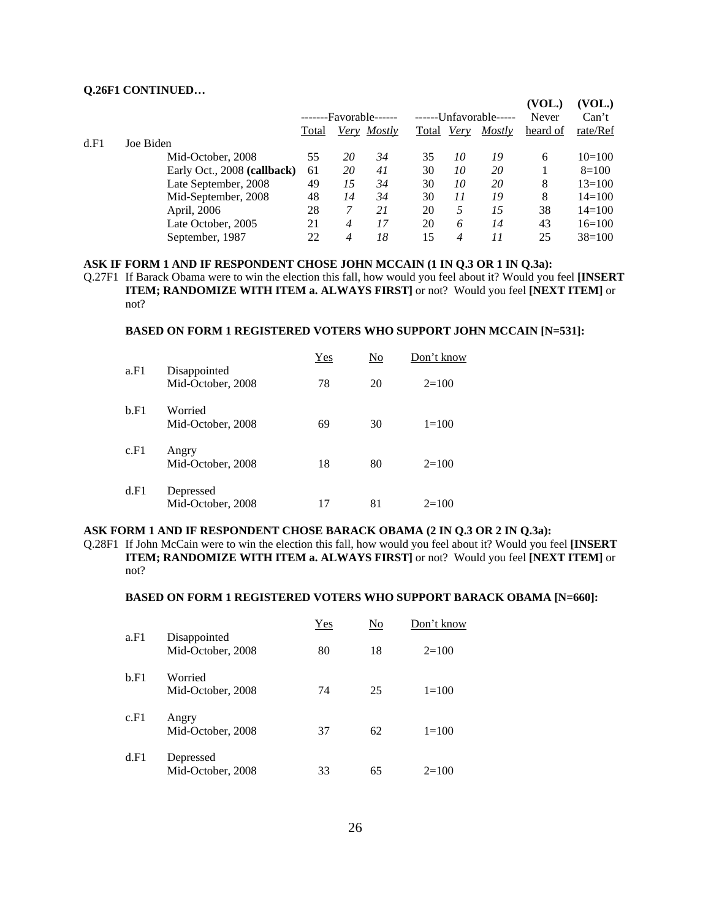#### **Q.26F1 CONTINUED…**

|      |                             |       |    |                        |                        |      |        | (VOL.)       | (VOL.)     |
|------|-----------------------------|-------|----|------------------------|------------------------|------|--------|--------------|------------|
|      |                             |       |    | -------Favorable------ | ------Unfavorable----- |      |        | <b>Never</b> | Can't      |
|      |                             | Total |    | Very Mostly            | Total                  | Very | Mostly | heard of     | rate/Ref   |
| d.F1 | Joe Biden                   |       |    |                        |                        |      |        |              |            |
|      | Mid-October, 2008           | 55    | 20 | 34                     | 35                     | 10   | 19     | 6            | $10=100$   |
|      | Early Oct., 2008 (callback) | 61    | 20 | 41                     | 30                     | 10   | 20     |              | $8=100$    |
|      | Late September, 2008        | 49    | 15 | 34                     | 30                     | 10   | 20     | 8            | $13=100$   |
|      | Mid-September, 2008         | 48    | 14 | 34                     | 30                     | 11   | 19     | 8            | $14 = 100$ |
|      | April, 2006                 | 28    |    | 21                     | 20                     | 5    | 15     | 38           | $14 = 100$ |
|      | Late October, 2005          | 21    | 4  | 17                     | 20                     | 6    | 14     | 43           | $16=100$   |
|      | September, 1987             | 22    | 4  | 18                     | 15                     | 4    | 11     | 25           | $38=100$   |

#### **ASK IF FORM 1 AND IF RESPONDENT CHOSE JOHN MCCAIN (1 IN Q.3 OR 1 IN Q.3a):**

Q.27F1 If Barack Obama were to win the election this fall, how would you feel about it? Would you feel **[INSERT ITEM; RANDOMIZE WITH ITEM a. ALWAYS FIRST]** or not? Would you feel **[NEXT ITEM]** or not?

#### **BASED ON FORM 1 REGISTERED VOTERS WHO SUPPORT JOHN MCCAIN [N=531]:**

|      |                                   | Yes | No | Don't know |
|------|-----------------------------------|-----|----|------------|
| a.F1 | Disappointed<br>Mid-October, 2008 | 78  | 20 | $2=100$    |
| b.F1 | Worried<br>Mid-October, 2008      | 69  | 30 | $1=100$    |
| c.F1 | Angry<br>Mid-October, 2008        | 18  | 80 | $2=100$    |
| d.F1 | Depressed<br>Mid-October, 2008    | 17  | 81 | $2=100$    |

#### **ASK FORM 1 AND IF RESPONDENT CHOSE BARACK OBAMA (2 IN Q.3 OR 2 IN Q.3a):**

Q.28F1 If John McCain were to win the election this fall, how would you feel about it? Would you feel **[INSERT ITEM; RANDOMIZE WITH ITEM a. ALWAYS FIRST]** or not? Would you feel **[NEXT ITEM]** or not?

#### **BASED ON FORM 1 REGISTERED VOTERS WHO SUPPORT BARACK OBAMA [N=660]:**

|      |                                   | Yes | No | Don't know |
|------|-----------------------------------|-----|----|------------|
| a.F1 | Disappointed<br>Mid-October, 2008 | 80  | 18 | $2=100$    |
| b.F1 | Worried<br>Mid-October, 2008      | 74  | 25 | $1 = 100$  |
| c.F1 | Angry<br>Mid-October, 2008        | 37  | 62 | $1=100$    |
| d.F1 | Depressed<br>Mid-October, 2008    | 33  | 65 | $2=100$    |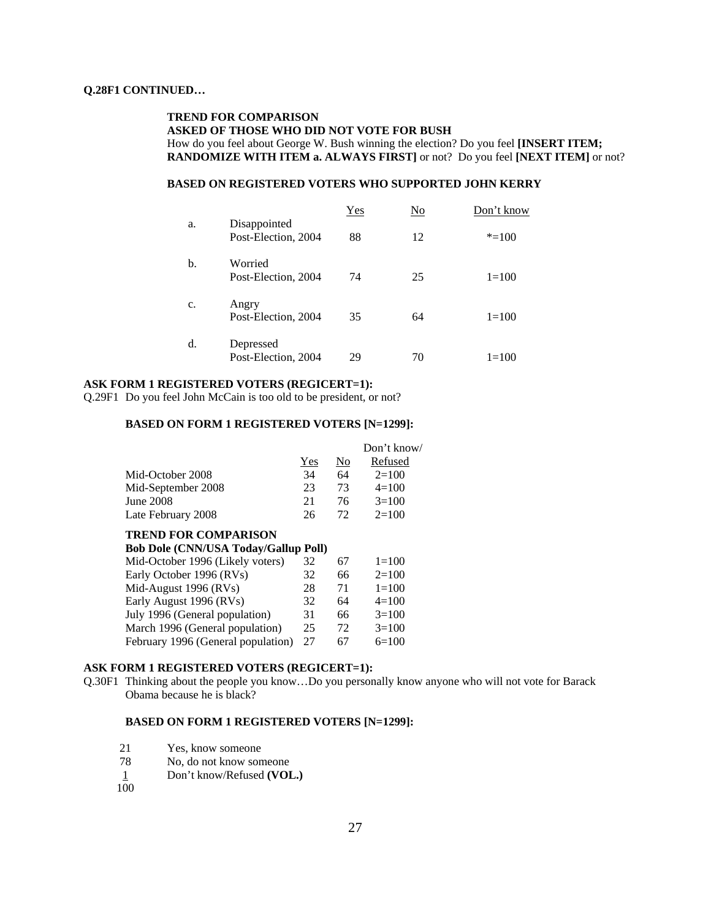#### **TREND FOR COMPARISON ASKED OF THOSE WHO DID NOT VOTE FOR BUSH**  How do you feel about George W. Bush winning the election? Do you feel **[INSERT ITEM; RANDOMIZE WITH ITEM a. ALWAYS FIRST]** or not? Do you feel **[NEXT ITEM]** or not?

#### **BASED ON REGISTERED VOTERS WHO SUPPORTED JOHN KERRY**

|                |                                     | Yes | $\underline{\mathrm{No}}$ | Don't know |
|----------------|-------------------------------------|-----|---------------------------|------------|
| a.             | Disappointed<br>Post-Election, 2004 | 88  | 12                        | $* = 100$  |
| b.             | Worried<br>Post-Election, 2004      | 74  | 25                        | $1 = 100$  |
| $\mathbf{c}$ . | Angry<br>Post-Election, 2004        | 35  | 64                        | $1 = 100$  |
| d.             | Depressed<br>Post-Election, 2004    | 29  | 70                        | $1=100$    |

#### **ASK FORM 1 REGISTERED VOTERS (REGICERT=1):**

Q.29F1 Do you feel John McCain is too old to be president, or not?

#### **BASED ON FORM 1 REGISTERED VOTERS [N=1299]:**

|                    |     |                | Don't know/ |
|--------------------|-----|----------------|-------------|
|                    | Yes | N <sub>0</sub> | Refused     |
| Mid-October 2008   | 34  | 64             | $2=100$     |
| Mid-September 2008 | 23  | 73             | $4=100$     |
| June 2008          | 21  | 76             | $3=100$     |
| Late February 2008 | 26  | 72             | $2=100$     |

#### **TREND FOR COMPARISON**

| <b>Bob Dole (CNN/USA Today/Gallup Poll)</b> |    |    |           |
|---------------------------------------------|----|----|-----------|
| Mid-October 1996 (Likely voters)            | 32 | 67 | $1=100$   |
| Early October 1996 (RVs)                    | 32 | 66 | $2=100$   |
| Mid-August 1996 (RVs)                       | 28 | 71 | $1 = 100$ |
| Early August 1996 (RVs)                     | 32 | 64 | $4=100$   |
| July 1996 (General population)              | 31 | 66 | $3=100$   |
| March 1996 (General population)             | 25 | 72 | $3=100$   |
| February 1996 (General population)          | 27 | 67 | $6=100$   |
|                                             |    |    |           |

#### **ASK FORM 1 REGISTERED VOTERS (REGICERT=1):**

Q.30F1 Thinking about the people you know…Do you personally know anyone who will not vote for Barack Obama because he is black?

#### **BASED ON FORM 1 REGISTERED VOTERS [N=1299]:**

- 21 Yes, know someone<br>
78 No. do not know son
- No, do not know someone
- 1 Don't know/Refused **(VOL.)**
- 100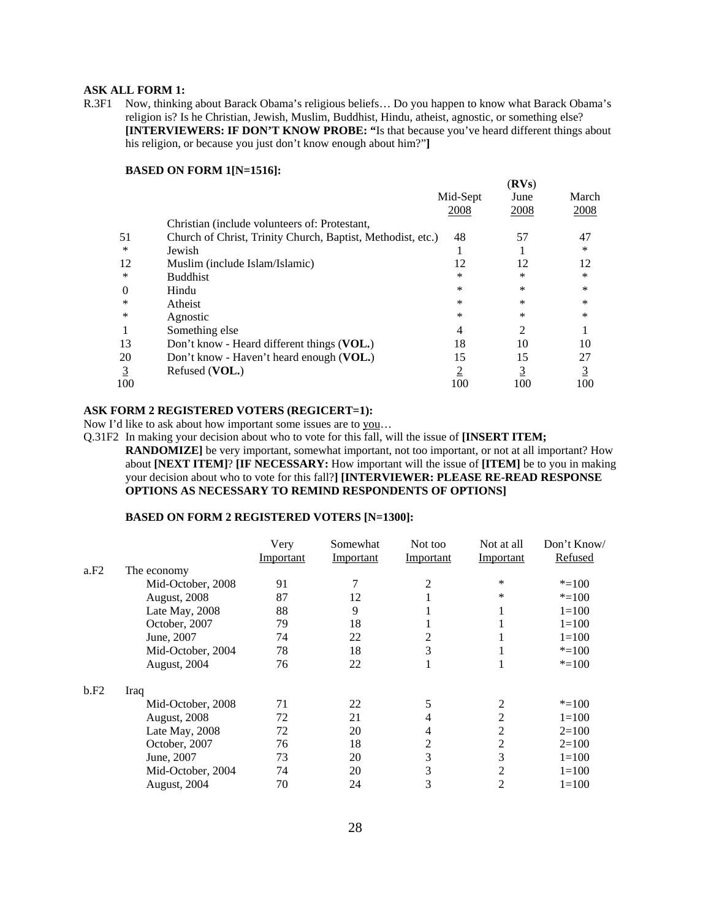#### **ASK ALL FORM 1:**

R.3F1 Now, thinking about Barack Obama's religious beliefs… Do you happen to know what Barack Obama's religion is? Is he Christian, Jewish, Muslim, Buddhist, Hindu, atheist, agnostic, or something else? **[INTERVIEWERS: IF DON'T KNOW PROBE: "**Is that because you've heard different things about his religion, or because you just don't know enough about him?"**]** 

#### **BASED ON FORM 1[N=1516]:**

|                |                                                             |                  | (RVs)          |                |
|----------------|-------------------------------------------------------------|------------------|----------------|----------------|
|                |                                                             | Mid-Sept<br>2008 | June<br>2008   | March<br>2008  |
|                | Christian (include volunteers of: Protestant,               |                  |                |                |
| 51             | Church of Christ, Trinity Church, Baptist, Methodist, etc.) | 48               | 57             | 47             |
| *              | Jewish                                                      |                  |                | *              |
| 12             | Muslim (include Islam/Islamic)                              | 12               | 12             | 12             |
| *              | <b>Buddhist</b>                                             | *                | $\ast$         | *              |
| $\Omega$       | Hindu                                                       | $\ast$           | $\ast$         | *              |
| ∗              | Atheist                                                     | *                | $\ast$         | *              |
| *              | Agnostic                                                    | *                | $\ast$         | $\ast$         |
|                | Something else                                              | 4                | 2              |                |
| 13             | Don't know - Heard different things (VOL.)                  | 18               | 10             | 10             |
| 20             | Don't know - Haven't heard enough (VOL.)                    | 15               | 15             | 27             |
| $\overline{3}$ | Refused (VOL.)                                              | $\overline{2}$   | $\overline{3}$ | $\overline{3}$ |
| 100            |                                                             | 100              | 100            | 100            |

#### **ASK FORM 2 REGISTERED VOTERS (REGICERT=1):**

Now I'd like to ask about how important some issues are to you…

Q.31F2 In making your decision about who to vote for this fall, will the issue of **[INSERT ITEM; RANDOMIZE**] be very important, somewhat important, not too important, or not at all important? How about **[NEXT ITEM]**? **[IF NECESSARY:** How important will the issue of **[ITEM]** be to you in making your decision about who to vote for this fall?**] [INTERVIEWER: PLEASE RE-READ RESPONSE OPTIONS AS NECESSARY TO REMIND RESPONDENTS OF OPTIONS]**

#### **BASED ON FORM 2 REGISTERED VOTERS [N=1300]:**

|      |                     | Very      | Somewhat  | Not too   | Not at all | Don't Know/ |
|------|---------------------|-----------|-----------|-----------|------------|-------------|
|      |                     | Important | Important | Important | Important  | Refused     |
| a.F2 | The economy         |           |           |           |            |             |
|      | Mid-October, 2008   | 91        |           | 2         | *          | $* = 100$   |
|      | August, 2008        | 87        | 12        |           | *          | $* = 100$   |
|      | Late May, 2008      | 88        | 9         |           |            | $1 = 100$   |
|      | October, 2007       | 79        | 18        |           |            | $1 = 100$   |
|      | June, 2007          | 74        | 22        | 2         |            | $1 = 100$   |
|      | Mid-October, 2004   | 78        | 18        | 3         |            | $* = 100$   |
|      | August, 2004        | 76        | 22        |           |            | $* = 100$   |
| b.F2 | Iraq                |           |           |           |            |             |
|      | Mid-October, 2008   | 71        | 22        |           | 2          | $* = 100$   |
|      | <b>August, 2008</b> | 72        | 21        | 4         | 2          | $1 = 100$   |
|      | Late May, 2008      | 72        | 20        | 4         | 2          | $2=100$     |
|      | October, 2007       | 76        | 18        | 2         | 2          | $2=100$     |
|      | June, 2007          | 73        | 20        | 3         | 3          | $1=100$     |
|      | Mid-October, 2004   | 74        | 20        | 3         | 2          | $1=100$     |
|      | August, 2004        | 70        | 24        | 3         | 2          | $1 = 100$   |
|      |                     |           |           |           |            |             |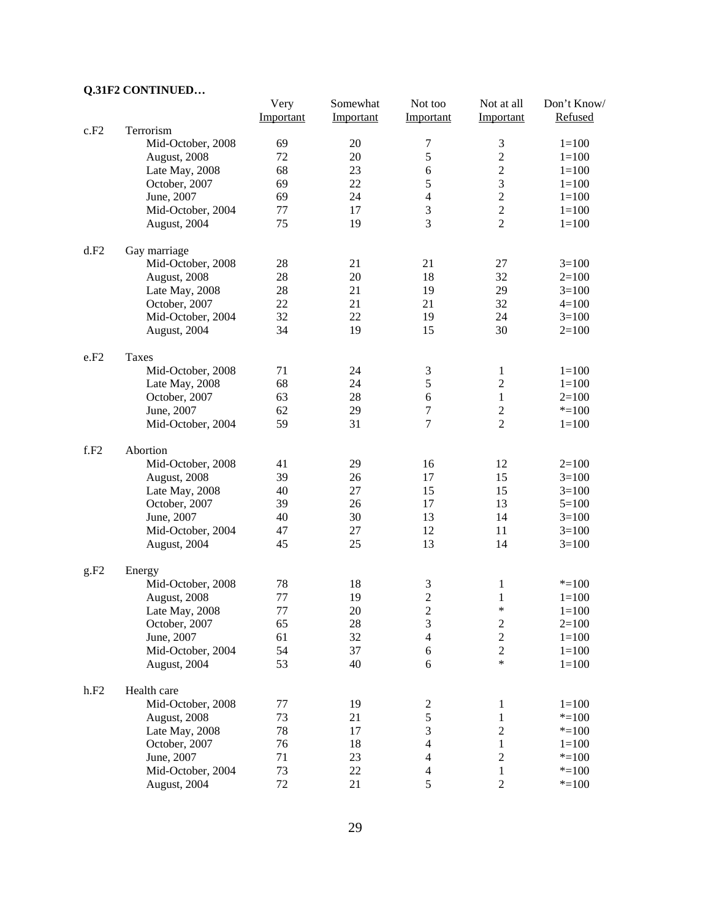# **Q.31F2 CONTINUED…**

|      |                   | Very      | Somewhat  | Not too                 | Not at all              | Don't Know/ |
|------|-------------------|-----------|-----------|-------------------------|-------------------------|-------------|
|      |                   | Important | Important | Important               | Important               | Refused     |
| c.F2 | Terrorism         |           |           |                         |                         |             |
|      | Mid-October, 2008 | 69        | 20        | 7                       | $\mathfrak 3$           | $1 = 100$   |
|      | August, 2008      | 72        | 20        | 5                       | $\overline{c}$          | $1 = 100$   |
|      | Late May, 2008    | 68        | 23        | 6                       | $\overline{c}$          | $1 = 100$   |
|      | October, 2007     | 69        | 22        | 5                       | $\overline{3}$          | $1 = 100$   |
|      | June, 2007        | 69        | 24        | $\overline{4}$          | $\overline{c}$          | $1 = 100$   |
|      | Mid-October, 2004 | 77        | 17        | $\mathfrak{Z}$          | $\overline{c}$          | $1 = 100$   |
|      | August, 2004      | 75        | 19        | 3                       | $\overline{2}$          | $1 = 100$   |
| d.F2 | Gay marriage      |           |           |                         |                         |             |
|      | Mid-October, 2008 | 28        | 21        | 21                      | 27                      | $3=100$     |
|      | August, 2008      | 28        | 20        | 18                      | 32                      | $2=100$     |
|      | Late May, 2008    | 28        | 21        | 19                      | 29                      | $3=100$     |
|      | October, 2007     | 22        | 21        | 21                      | 32                      | $4=100$     |
|      | Mid-October, 2004 | 32        | 22        | 19                      | 24                      | $3=100$     |
|      | August, 2004      | 34        | 19        | 15                      | 30                      | $2=100$     |
| e.F2 | Taxes             |           |           |                         |                         |             |
|      | Mid-October, 2008 | 71        | 24        | $\mathfrak{Z}$          | $\mathbf{1}$            | $1 = 100$   |
|      | Late May, 2008    | 68        | 24        | 5                       | $\overline{2}$          | $1 = 100$   |
|      | October, 2007     | 63        | 28        | 6                       | $\,1\,$                 | $2=100$     |
|      | June, 2007        | 62        | 29        | 7                       | $\boldsymbol{2}$        | $* = 100$   |
|      | Mid-October, 2004 | 59        | 31        | 7                       | $\overline{2}$          | $1 = 100$   |
| f.F2 | Abortion          |           |           |                         |                         |             |
|      | Mid-October, 2008 | 41        | 29        | 16                      | 12                      | $2=100$     |
|      | August, 2008      | 39        | 26        | 17                      | 15                      | $3=100$     |
|      | Late May, 2008    | 40        | 27        | 15                      | 15                      | $3=100$     |
|      | October, 2007     | 39        | 26        | 17                      | 13                      | $5=100$     |
|      | June, 2007        | 40        | 30        | 13                      | 14                      | $3=100$     |
|      | Mid-October, 2004 | 47        | 27        | 12                      | 11                      | $3=100$     |
|      | August, 2004      | 45        | 25        | 13                      | 14                      | $3=100$     |
| g.F2 | Energy            |           |           |                         |                         |             |
|      | Mid-October, 2008 | 78        | 18        | 3                       | 1                       | $* = 100$   |
|      | August, 2008      | 77        | 19        | $\overline{\mathbf{c}}$ | 1                       | $1=100$     |
|      | Late May, 2008    | 77        | 20        | $\overline{2}$          | $\ast$                  | $1 = 100$   |
|      | October, 2007     | 65        | 28        | 3                       | $\overline{c}$          | $2=100$     |
|      | June, 2007        | 61        | 32        | 4                       | $\overline{c}$          | $1 = 100$   |
|      | Mid-October, 2004 | 54        | 37        | 6                       | $\overline{c}$          | $1 = 100$   |
|      | August, 2004      | 53        | 40        | 6                       | $\ast$                  | $1 = 100$   |
| h.F2 | Health care       |           |           |                         |                         |             |
|      | Mid-October, 2008 | 77        | 19        | $\boldsymbol{2}$        | $\mathbf{1}$            | $1 = 100$   |
|      | August, 2008      | 73        | 21        | 5                       | $\mathbf{1}$            | $* = 100$   |
|      | Late May, 2008    | 78        | 17        | $\mathfrak 3$           | $\sqrt{2}$              | $* = 100$   |
|      | October, 2007     | 76        | 18        | $\overline{4}$          | 1                       | $1 = 100$   |
|      | June, 2007        | 71        | 23        | $\overline{4}$          | $\overline{\mathbf{c}}$ | $* = 100$   |
|      | Mid-October, 2004 | 73        | 22        | 4                       | 1                       | $* = 100$   |
|      | August, 2004      | 72        | 21        | 5                       | $\boldsymbol{2}$        | $* = 100$   |
|      |                   |           |           |                         |                         |             |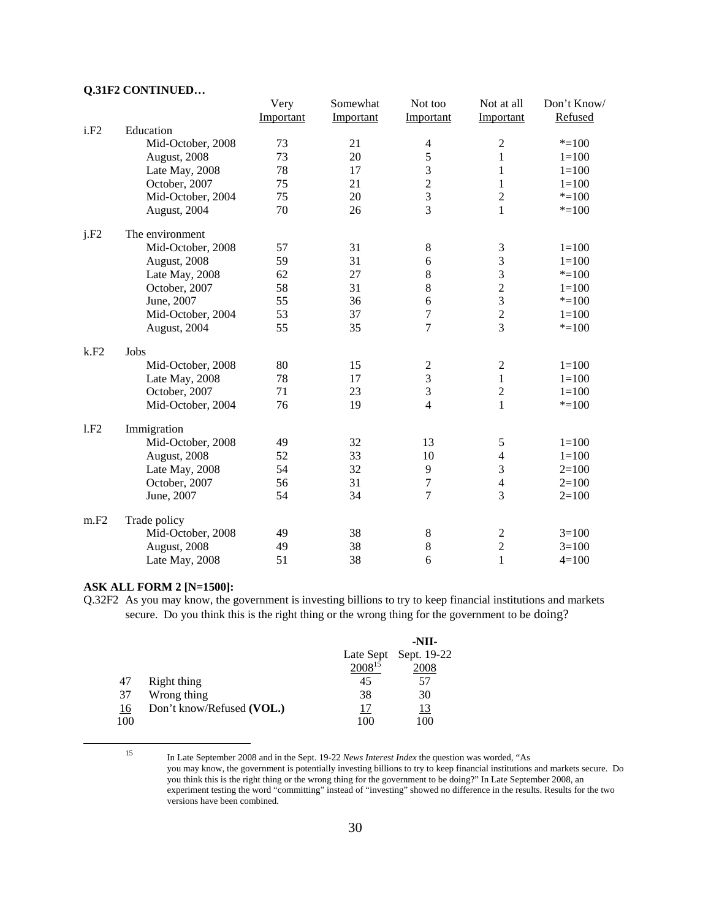#### **Q.31F2 CONTINUED…**

|      |                   | Very      | Somewhat  | Not too                 | Not at all     | Don't Know/ |
|------|-------------------|-----------|-----------|-------------------------|----------------|-------------|
|      |                   | Important | Important | Important               | Important      | Refused     |
| i.F2 | Education         |           |           |                         |                |             |
|      | Mid-October, 2008 | 73        | 21        | $\overline{4}$          | $\mathfrak 2$  | $* = 100$   |
|      | August, 2008      | 73        | 20        | 5                       | $\mathbf{1}$   | $1 = 100$   |
|      | Late May, 2008    | 78        | 17        | 3                       | $\mathbf{1}$   | $1 = 100$   |
|      | October, 2007     | 75        | 21        | $\overline{c}$          | 1              | $1 = 100$   |
|      | Mid-October, 2004 | 75        | 20        | 3                       | $\overline{2}$ | $* = 100$   |
|      | August, 2004      | 70        | 26        | 3                       | $\mathbf{1}$   | $* = 100$   |
| j.F2 | The environment   |           |           |                         |                |             |
|      | Mid-October, 2008 | 57        | 31        | 8                       | 3              | $1 = 100$   |
|      | August, 2008      | 59        | 31        | 6                       | 3              | $1 = 100$   |
|      | Late May, 2008    | 62        | 27        | 8                       | 3              | $* = 100$   |
|      | October, 2007     | 58        | 31        | 8                       | $\overline{2}$ | $1 = 100$   |
|      | June, 2007        | 55        | 36        | 6                       | $\overline{3}$ | $* = 100$   |
|      | Mid-October, 2004 | 53        | 37        | $\overline{7}$          | $\overline{c}$ | $1 = 100$   |
|      | August, 2004      | 55        | 35        | 7                       | $\overline{3}$ | $* = 100$   |
| k.F2 | Jobs              |           |           |                         |                |             |
|      | Mid-October, 2008 | 80        | 15        | $\overline{\mathbf{c}}$ | $\sqrt{2}$     | $1 = 100$   |
|      | Late May, 2008    | 78        | 17        | 3                       | $\mathbf{1}$   | $1 = 100$   |
|      | October, 2007     | 71        | 23        | $\mathfrak{Z}$          | $\sqrt{2}$     | $1 = 100$   |
|      | Mid-October, 2004 | 76        | 19        | $\overline{4}$          | $\mathbf{1}$   | $* = 100$   |
| 1.F2 | Immigration       |           |           |                         |                |             |
|      | Mid-October, 2008 | 49        | 32        | 13                      | 5              | $1 = 100$   |
|      | August, 2008      | 52        | 33        | 10                      | $\overline{4}$ | $1 = 100$   |
|      | Late May, 2008    | 54        | 32        | 9                       | 3              | $2=100$     |
|      | October, 2007     | 56        | 31        | 7                       | $\overline{4}$ | $2=100$     |
|      | June, 2007        | 54        | 34        | 7                       | 3              | $2=100$     |
| m.F2 | Trade policy      |           |           |                         |                |             |
|      | Mid-October, 2008 | 49        | 38        | 8                       | $\overline{c}$ | $3=100$     |
|      | August, 2008      | 49        | 38        | 8                       | $\overline{c}$ | $3=100$     |
|      | Late May, 2008    | 51        | 38        | 6                       | $\mathbf{1}$   | $4=100$     |

#### **ASK ALL FORM 2 [N=1500]:**

Q.32F2 As you may know, the government is investing billions to try to keep financial institutions and markets secure. Do you think this is the right thing or the wrong thing for the government to be doing?

|     |                           |             | -NII-                 |
|-----|---------------------------|-------------|-----------------------|
|     |                           |             | Late Sept Sept. 19-22 |
|     |                           | $2008^{15}$ | 2008                  |
| 47  | Right thing               | 45          | 57                    |
| 37  | Wrong thing               | 38          | 30                    |
| 16  | Don't know/Refused (VOL.) |             | <u>13</u>             |
| 100 |                           | 100         | 100                   |

 <sup>15</sup> In Late September 2008 and in the Sept. 19-22 *News Interest Index* the question was worded, "As you may know, the government is potentially investing billions to try to keep financial institutions and markets secure. Do you think this is the right thing or the wrong thing for the government to be doing?" In Late September 2008, an experiment testing the word "committing" instead of "investing" showed no difference in the results. Results for the two versions have been combined.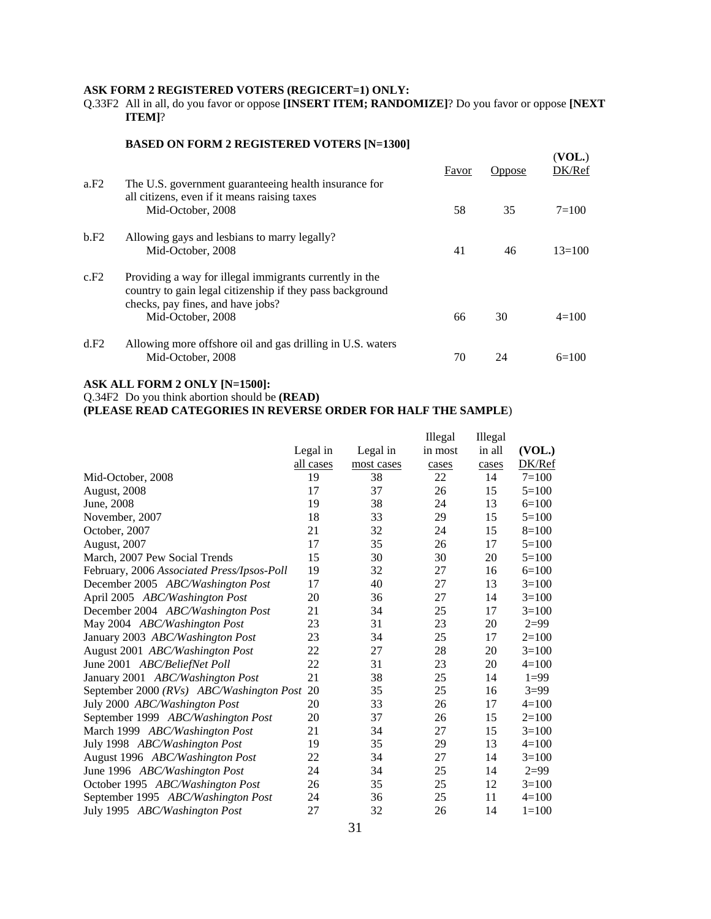#### **ASK FORM 2 REGISTERED VOTERS (REGICERT=1) ONLY:**

Q.33F2 All in all, do you favor or oppose **[INSERT ITEM; RANDOMIZE]**? Do you favor or oppose **[NEXT ITEM]**?

#### **BASED ON FORM 2 REGISTERED VOTERS [N=1300]**

| a.F2 | The U.S. government guaranteeing health insurance for                                                                                                     | Favor | <b>Oppose</b> | (VOL.)<br>DK/Ref |
|------|-----------------------------------------------------------------------------------------------------------------------------------------------------------|-------|---------------|------------------|
|      | all citizens, even if it means raising taxes<br>Mid-October, 2008                                                                                         | 58    | 35            | $7 = 100$        |
| b.F2 | Allowing gays and lesbians to marry legally?<br>Mid-October, 2008                                                                                         | 41    | 46            | $13=100$         |
| c.F2 | Providing a way for illegal immigrants currently in the<br>country to gain legal citizenship if they pass background<br>checks, pay fines, and have jobs? |       |               |                  |
|      | Mid-October, 2008                                                                                                                                         | 66    | 30            | $4=100$          |
| d.F2 | Allowing more offshore oil and gas drilling in U.S. waters<br>Mid-October, 2008                                                                           | 70    | 24            | $6=100$          |

#### **ASK ALL FORM 2 ONLY [N=1500]:**

Q.34F2 Do you think abortion should be **(READ)**

**(PLEASE READ CATEGORIES IN REVERSE ORDER FOR HALF THE SAMPLE**)

|                                            |           |            | Illegal | Illegal |           |
|--------------------------------------------|-----------|------------|---------|---------|-----------|
|                                            | Legal in  | Legal in   | in most | in all  | (VOL.)    |
|                                            | all cases | most cases | cases   | cases   | DK/Ref    |
| Mid-October, 2008                          | 19        | 38         | 22      | 14      | $7 = 100$ |
| August, 2008                               | 17        | 37         | 26      | 15      | $5=100$   |
| June, 2008                                 | 19        | 38         | 24      | 13      | $6=100$   |
| November, 2007                             | 18        | 33         | 29      | 15      | $5=100$   |
| October, 2007                              | 21        | 32         | 24      | 15      | $8=100$   |
| August, 2007                               | 17        | 35         | 26      | 17      | $5=100$   |
| March, 2007 Pew Social Trends              | 15        | 30         | 30      | 20      | $5=100$   |
| February, 2006 Associated Press/Ipsos-Poll | 19        | 32         | 27      | 16      | $6=100$   |
| December 2005 ABC/Washington Post          | 17        | 40         | 27      | 13      | $3=100$   |
| April 2005 ABC/Washington Post             | 20        | 36         | 27      | 14      | $3=100$   |
| December 2004 ABC/Washington Post          | 21        | 34         | 25      | 17      | $3=100$   |
| May 2004 ABC/Washington Post               | 23        | 31         | 23      | 20      | $2=99$    |
| January 2003 ABC/Washington Post           | 23        | 34         | 25      | 17      | $2=100$   |
| August 2001 ABC/Washington Post            | 22        | 27         | 28      | 20      | $3=100$   |
| June 2001 ABC/BeliefNet Poll               | 22        | 31         | 23      | 20      | $4=100$   |
| January 2001 ABC/Washington Post           | 21        | 38         | 25      | 14      | $1=99$    |
| September 2000 (RVs) ABC/Washington Post   | 20        | 35         | 25      | 16      | $3=99$    |
| July 2000 ABC/Washington Post              | 20        | 33         | 26      | 17      | $4=100$   |
| September 1999 ABC/Washington Post         | 20        | 37         | 26      | 15      | $2=100$   |
| March 1999 ABC/Washington Post             | 21        | 34         | 27      | 15      | $3=100$   |
| July 1998 ABC/Washington Post              | 19        | 35         | 29      | 13      | $4=100$   |
| August 1996 ABC/Washington Post            | 22        | 34         | 27      | 14      | $3=100$   |
| June 1996 ABC/Washington Post              | 24        | 34         | 25      | 14      | $2=99$    |
| October 1995 ABC/Washington Post           | 26        | 35         | 25      | 12      | $3=100$   |
| September 1995 ABC/Washington Post         | 24        | 36         | 25      | 11      | $4=100$   |
| July 1995 ABC/Washington Post              | 27        | 32         | 26      | 14      | $1 = 100$ |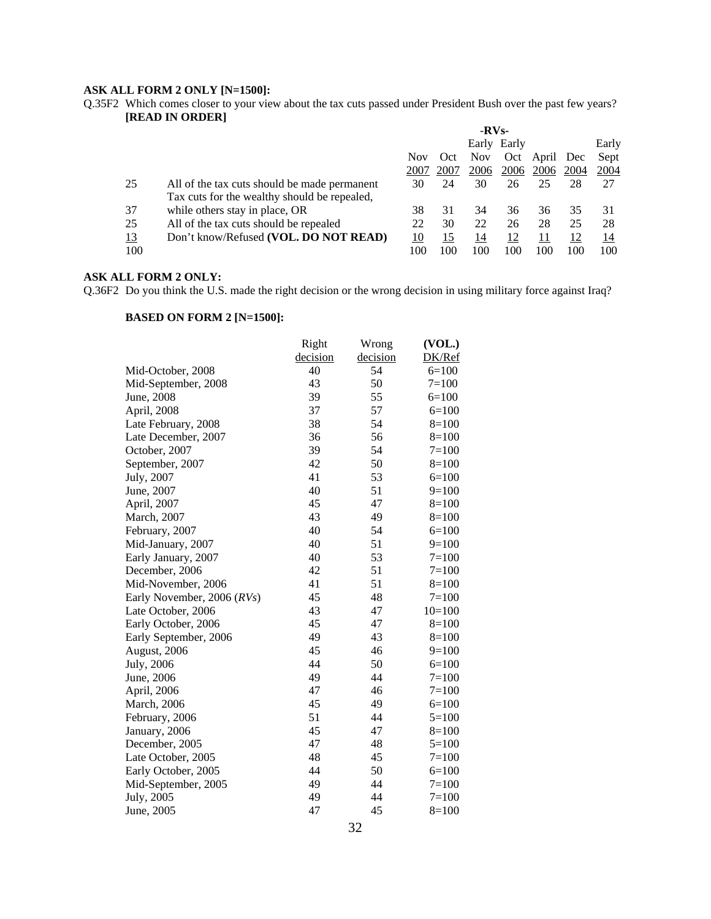#### **ASK ALL FORM 2 ONLY [N=1500]:**

Q.35F2 Which comes closer to your view about the tax cuts passed under President Bush over the past few years? **[READ IN ORDER]**

|           |                                              | $-RVs-$   |            |            |             |       |           |            |
|-----------|----------------------------------------------|-----------|------------|------------|-------------|-------|-----------|------------|
|           |                                              |           |            |            | Early Early |       |           | Early      |
|           |                                              | Nov       | Oct        | <b>Nov</b> | Oct         | April | Dec       | Sept       |
|           |                                              | 2007      | 2007       | 2006       | 2006        | 2006  | 2004      | 2004       |
| 25        | All of the tax cuts should be made permanent | 30        | 24         | 30         | 26          | 25    | 28        | 27         |
|           | Tax cuts for the wealthy should be repealed, |           |            |            |             |       |           |            |
| 37        | while others stay in place, OR               | 38        | 31         | 34         | 36          | 36    | 35        | 31         |
| 25        | All of the tax cuts should be repealed       | 22        | 30         | 22         | 26          | 28    | 25        | 28         |
| <u>13</u> | Don't know/Refused (VOL. DO NOT READ)        | <u>10</u> | <u> 15</u> | 14         | <u>12</u>   | 11    | <u>12</u> | <u> 14</u> |
| 100       |                                              | 100       | 100        | 100        | 100         | 100   | 100       | 100        |

### **ASK ALL FORM 2 ONLY:**

Q.36F2 Do you think the U.S. made the right decision or the wrong decision in using military force against Iraq?

|                            | Right    | Wrong    | (VOL.)    |
|----------------------------|----------|----------|-----------|
|                            | decision | decision | DK/Ref    |
| Mid-October, 2008          | 40       | 54       | $6=100$   |
| Mid-September, 2008        | 43       | 50       | $7 = 100$ |
| June, 2008                 | 39       | 55       | $6=100$   |
| April, 2008                | 37       | 57       | $6=100$   |
| Late February, 2008        | 38       | 54       | $8=100$   |
| Late December, 2007        | 36       | 56       | $8=100$   |
| October, 2007              | 39       | 54       | $7 = 100$ |
| September, 2007            | 42       | 50       | $8=100$   |
| July, 2007                 | 41       | 53       | $6=100$   |
| June, 2007                 | 40       | 51       | $9=100$   |
| April, 2007                | 45       | 47       | $8=100$   |
| March, 2007                | 43       | 49       | $8=100$   |
| February, 2007             | 40       | 54       | $6=100$   |
| Mid-January, 2007          | 40       | 51       | $9=100$   |
| Early January, 2007        | 40       | 53       | $7=100$   |
| December, 2006             | 42       | 51       | $7=100$   |
| Mid-November, 2006         | 41       | 51       | $8=100$   |
| Early November, 2006 (RVs) | 45       | 48       | $7=100$   |
| Late October, 2006         | 43       | 47       | $10=100$  |
| Early October, 2006        | 45       | 47       | $8=100$   |
| Early September, 2006      | 49       | 43       | $8=100$   |
| August, 2006               | 45       | 46       | $9=100$   |
| July, 2006                 | 44       | 50       | $6=100$   |
| June, 2006                 | 49       | 44       | $7=100$   |
| April, 2006                | 47       | 46       | $7=100$   |
| <b>March</b> , 2006        | 45       | 49       | $6=100$   |
| February, 2006             | 51       | 44       | $5=100$   |
| January, 2006              | 45       | 47       | $8=100$   |
| December, 2005             | 47       | 48       | $5=100$   |
| Late October, 2005         | 48       | 45       | $7=100$   |
| Early October, 2005        | 44       | 50       | $6=100$   |
| Mid-September, 2005        | 49       | 44       | $7=100$   |
| July, 2005                 | 49       | 44       | $7=100$   |
| June, 2005                 | 47       | 45       | $8=100$   |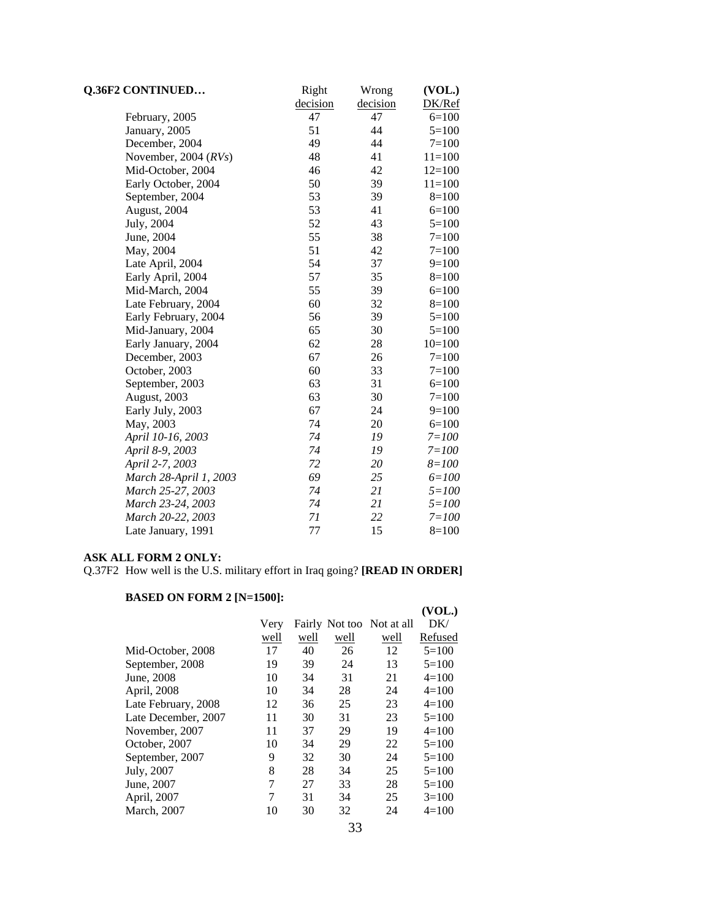| <b>Q.36F2 CONTINUED</b> | Right    | Wrong    | (VOL.)    |
|-------------------------|----------|----------|-----------|
|                         | decision | decision | DK/Ref    |
| February, 2005          | 47       | 47       | $6=100$   |
| January, 2005           | 51       | 44       | $5=100$   |
| December, 2004          | 49       | 44       | $7 = 100$ |
| November, 2004 (RVs)    | 48       | 41       | $11=100$  |
| Mid-October, 2004       | 46       | 42       | $12=100$  |
| Early October, 2004     | 50       | 39       | $11=100$  |
| September, 2004         | 53       | 39       | $8=100$   |
| August, 2004            | 53       | 41       | $6=100$   |
| July, 2004              | 52       | 43       | $5=100$   |
| June, 2004              | 55       | 38       | $7=100$   |
| May, 2004               | 51       | 42       | $7 = 100$ |
| Late April, 2004        | 54       | 37       | $9=100$   |
| Early April, 2004       | 57       | 35       | $8=100$   |
| Mid-March, 2004         | 55       | 39       | $6=100$   |
| Late February, 2004     | 60       | 32       | $8=100$   |
| Early February, 2004    | 56       | 39       | $5 = 100$ |
| Mid-January, 2004       | 65       | 30       | $5=100$   |
| Early January, 2004     | 62       | 28       | $10=100$  |
| December, 2003          | 67       | 26       | $7=100$   |
| October, 2003           | 60       | 33       | $7 = 100$ |
| September, 2003         | 63       | 31       | $6=100$   |
| August, 2003            | 63       | 30       | $7 = 100$ |
| Early July, 2003        | 67       | 24       | $9=100$   |
| May, 2003               | 74       | 20       | $6=100$   |
| April 10-16, 2003       | 74       | 19       | $7 = 100$ |
| April 8-9, 2003         | 74       | 19       | $7 = 100$ |
| April 2-7, 2003         | 72       | 20       | $8 = 100$ |
| March 28-April 1, 2003  | 69       | 25       | $6 = 100$ |
| March 25-27, 2003       | 74       | 21       | $5 = 100$ |
| March 23-24, 2003       | 74       | 21       | $5 = 100$ |
| March 20-22, 2003       | 71       | 22       | $7 = 100$ |
| Late January, 1991      | 77       | 15       | $8=100$   |

#### **ASK ALL FORM 2 ONLY:**

Q.37F2 How well is the U.S. military effort in Iraq going? **[READ IN ORDER]**

|                     |      |      |      |                           | (VOL.)  |
|---------------------|------|------|------|---------------------------|---------|
|                     | Very |      |      | Fairly Not too Not at all | DK/     |
|                     | well | well | well | well                      | Refused |
| Mid-October, 2008   | 17   | 40   | 26   | 12                        | $5=100$ |
| September, 2008     | 19   | 39   | 24   | 13                        | $5=100$ |
| June, 2008          | 10   | 34   | 31   | 21                        | $4=100$ |
| April, 2008         | 10   | 34   | 28   | 24                        | $4=100$ |
| Late February, 2008 | 12   | 36   | 25   | 23                        | $4=100$ |
| Late December, 2007 | 11   | 30   | 31   | 23                        | $5=100$ |
| November, 2007      | 11   | 37   | 29   | 19                        | $4=100$ |
| October, 2007       | 10   | 34   | 29   | 22                        | $5=100$ |
| September, 2007     | 9    | 32   | 30   | 24                        | $5=100$ |
| July, 2007          | 8    | 28   | 34   | 25                        | $5=100$ |
| June, 2007          | 7    | 27   | 33   | 28                        | $5=100$ |
| April, 2007         | 7    | 31   | 34   | 25                        | $3=100$ |
| March, 2007         | 10   | 30   | 32   | 24                        | $4=100$ |
|                     |      |      |      |                           |         |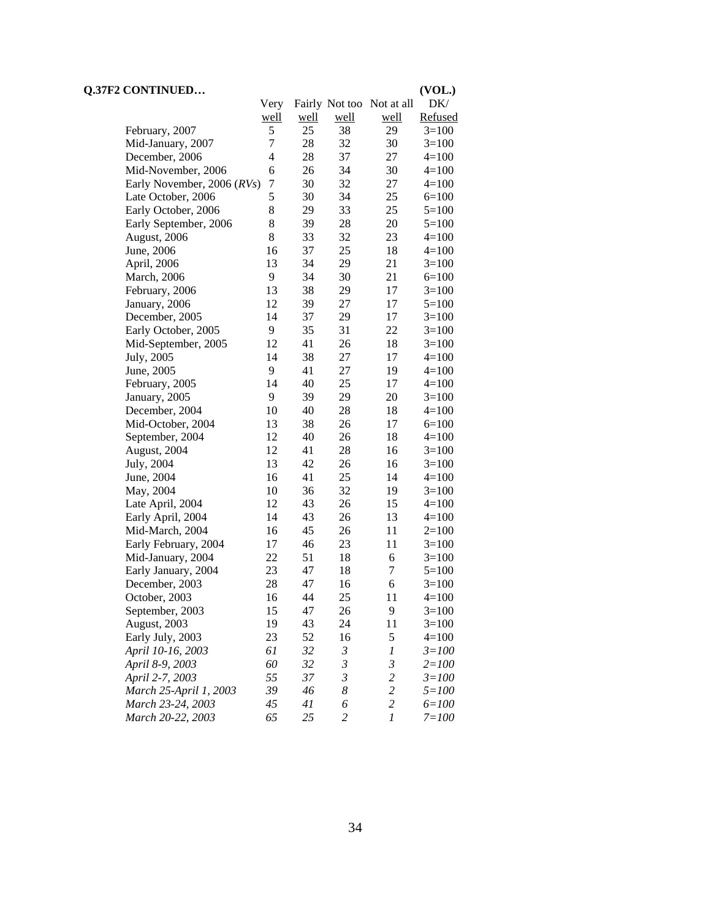| Fairly Not too Not at all<br>DK/<br>Very<br>Refused<br>well<br><u>well</u><br><u>well</u><br>well<br>5<br>25<br>38<br>29<br>$3=100$<br>February, 2007<br>7<br>28<br>32<br>30<br>$3=100$<br>Mid-January, 2007<br>4<br>28<br>37<br>December, 2006<br>27<br>$4 = 100$<br>30<br>Mid-November, 2006<br>6<br>26<br>34<br>$4=100$<br>$\tau$<br>30<br>32<br>27<br>Early November, 2006 (RVs)<br>$4=100$<br>5<br>25<br>Late October, 2006<br>30<br>34<br>$6=100$<br>8<br>29<br>Early October, 2006<br>33<br>25<br>$5=100$<br>8<br>39<br>28<br>20<br>Early September, 2006<br>$5=100$<br>8<br>23<br>33<br>32<br>August, 2006<br>4=100<br>37<br>25<br>18<br>16<br>June, 2006<br>4=100<br>13<br>34<br>29<br>21<br>April, 2006<br>$3=100$<br>9<br>34<br>30<br>21<br>$6=100$<br><b>March</b> , 2006<br>13<br>38<br>29<br>17<br>$3=100$<br>February, 2006<br>39<br>27<br>12<br>17<br>$5=100$<br>January, 2006<br>37<br>29<br>December, 2005<br>14<br>17<br>$3=100$<br>9<br>35<br>31<br>22<br>Early October, 2005<br>$3=100$<br>41<br>26<br>12<br>18<br>Mid-September, 2005<br>$3=100$<br>38<br>27<br>July, 2005<br>14<br>17<br>4=100<br>41<br>9<br>27<br>19<br>June, 2005<br>$4=100$<br>25<br>14<br>40<br>17<br>February, 2005<br>$4=100$<br>39<br>9<br>29<br>20<br>January, 2005<br>$3=100$<br>40<br>18<br>10<br>28<br>December, 2004<br>$4=100$<br>26<br>13<br>38<br>17<br>$6=100$<br>Mid-October, 2004<br>12<br>40<br>26<br>18<br>$4 = 100$<br>September, 2004<br>12<br>41<br>28<br>16<br>August, 2004<br>$3=100$<br>13<br>42<br>26<br>July, 2004<br>16<br>$3=100$<br>25<br>June, 2004<br>16<br>41<br>14<br>$4=100$<br>32<br>May, 2004<br>10<br>36<br>19<br>$3=100$<br>12<br>43<br>26<br>15<br>Late April, 2004<br>$4=100$<br>14<br>43<br>26<br>13<br>Early April, 2004<br>$4=100$<br>45<br>26<br>11<br>Mid-March, 2004<br>16<br>$2=100$<br>17<br>46<br>23<br>11<br>Early February, 2004<br>$3=100$<br>22<br>51<br>18<br>6<br>Mid-January, 2004<br>$3=100$<br>47<br>7<br>23<br>18<br>Early January, 2004<br>$5=100$<br>28<br>47<br>6<br>16<br>$3=100$<br>December, 2003<br>16<br>25<br>44<br>$4 = 100$<br>October, 2003<br>11<br>9<br>September, 2003<br>15<br>47<br>26<br>$3=100$<br>19<br>43<br>24<br>11<br>August, 2003<br>$3=100$<br>5<br>Early July, 2003<br>52<br>16<br>23<br>$4=100$<br>32<br>$\mathfrak{Z}$<br>61<br>$\boldsymbol{l}$<br>April 10-16, 2003<br>$3 = 100$<br>$\mathfrak{Z}$<br>$\mathfrak{Z}$<br>April 8-9, 2003<br>60<br>32<br>$2 = 100$<br>April 2-7, 2003<br>55<br>37<br>3<br>$\overline{c}$<br>$3 = 100$<br>$\overline{c}$<br>39<br>46<br>8<br>March 25-April 1, 2003<br>$5 = 100$<br>$\overline{c}$<br>6<br>March 23-24, 2003<br>45<br>41<br>$6 = 100$ | <b>Q.37F2 CONTINUED</b> |    |    |                |                  | (VOL.)    |
|-----------------------------------------------------------------------------------------------------------------------------------------------------------------------------------------------------------------------------------------------------------------------------------------------------------------------------------------------------------------------------------------------------------------------------------------------------------------------------------------------------------------------------------------------------------------------------------------------------------------------------------------------------------------------------------------------------------------------------------------------------------------------------------------------------------------------------------------------------------------------------------------------------------------------------------------------------------------------------------------------------------------------------------------------------------------------------------------------------------------------------------------------------------------------------------------------------------------------------------------------------------------------------------------------------------------------------------------------------------------------------------------------------------------------------------------------------------------------------------------------------------------------------------------------------------------------------------------------------------------------------------------------------------------------------------------------------------------------------------------------------------------------------------------------------------------------------------------------------------------------------------------------------------------------------------------------------------------------------------------------------------------------------------------------------------------------------------------------------------------------------------------------------------------------------------------------------------------------------------------------------------------------------------------------------------------------------------------------------------------------------------------------------------------------------------------------------------------------------------------------------------------------------------------------------------------------------------------------------------------------------------------------------------------------|-------------------------|----|----|----------------|------------------|-----------|
|                                                                                                                                                                                                                                                                                                                                                                                                                                                                                                                                                                                                                                                                                                                                                                                                                                                                                                                                                                                                                                                                                                                                                                                                                                                                                                                                                                                                                                                                                                                                                                                                                                                                                                                                                                                                                                                                                                                                                                                                                                                                                                                                                                                                                                                                                                                                                                                                                                                                                                                                                                                                                                                                       |                         |    |    |                |                  |           |
|                                                                                                                                                                                                                                                                                                                                                                                                                                                                                                                                                                                                                                                                                                                                                                                                                                                                                                                                                                                                                                                                                                                                                                                                                                                                                                                                                                                                                                                                                                                                                                                                                                                                                                                                                                                                                                                                                                                                                                                                                                                                                                                                                                                                                                                                                                                                                                                                                                                                                                                                                                                                                                                                       |                         |    |    |                |                  |           |
|                                                                                                                                                                                                                                                                                                                                                                                                                                                                                                                                                                                                                                                                                                                                                                                                                                                                                                                                                                                                                                                                                                                                                                                                                                                                                                                                                                                                                                                                                                                                                                                                                                                                                                                                                                                                                                                                                                                                                                                                                                                                                                                                                                                                                                                                                                                                                                                                                                                                                                                                                                                                                                                                       |                         |    |    |                |                  |           |
|                                                                                                                                                                                                                                                                                                                                                                                                                                                                                                                                                                                                                                                                                                                                                                                                                                                                                                                                                                                                                                                                                                                                                                                                                                                                                                                                                                                                                                                                                                                                                                                                                                                                                                                                                                                                                                                                                                                                                                                                                                                                                                                                                                                                                                                                                                                                                                                                                                                                                                                                                                                                                                                                       |                         |    |    |                |                  |           |
|                                                                                                                                                                                                                                                                                                                                                                                                                                                                                                                                                                                                                                                                                                                                                                                                                                                                                                                                                                                                                                                                                                                                                                                                                                                                                                                                                                                                                                                                                                                                                                                                                                                                                                                                                                                                                                                                                                                                                                                                                                                                                                                                                                                                                                                                                                                                                                                                                                                                                                                                                                                                                                                                       |                         |    |    |                |                  |           |
|                                                                                                                                                                                                                                                                                                                                                                                                                                                                                                                                                                                                                                                                                                                                                                                                                                                                                                                                                                                                                                                                                                                                                                                                                                                                                                                                                                                                                                                                                                                                                                                                                                                                                                                                                                                                                                                                                                                                                                                                                                                                                                                                                                                                                                                                                                                                                                                                                                                                                                                                                                                                                                                                       |                         |    |    |                |                  |           |
|                                                                                                                                                                                                                                                                                                                                                                                                                                                                                                                                                                                                                                                                                                                                                                                                                                                                                                                                                                                                                                                                                                                                                                                                                                                                                                                                                                                                                                                                                                                                                                                                                                                                                                                                                                                                                                                                                                                                                                                                                                                                                                                                                                                                                                                                                                                                                                                                                                                                                                                                                                                                                                                                       |                         |    |    |                |                  |           |
|                                                                                                                                                                                                                                                                                                                                                                                                                                                                                                                                                                                                                                                                                                                                                                                                                                                                                                                                                                                                                                                                                                                                                                                                                                                                                                                                                                                                                                                                                                                                                                                                                                                                                                                                                                                                                                                                                                                                                                                                                                                                                                                                                                                                                                                                                                                                                                                                                                                                                                                                                                                                                                                                       |                         |    |    |                |                  |           |
|                                                                                                                                                                                                                                                                                                                                                                                                                                                                                                                                                                                                                                                                                                                                                                                                                                                                                                                                                                                                                                                                                                                                                                                                                                                                                                                                                                                                                                                                                                                                                                                                                                                                                                                                                                                                                                                                                                                                                                                                                                                                                                                                                                                                                                                                                                                                                                                                                                                                                                                                                                                                                                                                       |                         |    |    |                |                  |           |
|                                                                                                                                                                                                                                                                                                                                                                                                                                                                                                                                                                                                                                                                                                                                                                                                                                                                                                                                                                                                                                                                                                                                                                                                                                                                                                                                                                                                                                                                                                                                                                                                                                                                                                                                                                                                                                                                                                                                                                                                                                                                                                                                                                                                                                                                                                                                                                                                                                                                                                                                                                                                                                                                       |                         |    |    |                |                  |           |
|                                                                                                                                                                                                                                                                                                                                                                                                                                                                                                                                                                                                                                                                                                                                                                                                                                                                                                                                                                                                                                                                                                                                                                                                                                                                                                                                                                                                                                                                                                                                                                                                                                                                                                                                                                                                                                                                                                                                                                                                                                                                                                                                                                                                                                                                                                                                                                                                                                                                                                                                                                                                                                                                       |                         |    |    |                |                  |           |
|                                                                                                                                                                                                                                                                                                                                                                                                                                                                                                                                                                                                                                                                                                                                                                                                                                                                                                                                                                                                                                                                                                                                                                                                                                                                                                                                                                                                                                                                                                                                                                                                                                                                                                                                                                                                                                                                                                                                                                                                                                                                                                                                                                                                                                                                                                                                                                                                                                                                                                                                                                                                                                                                       |                         |    |    |                |                  |           |
|                                                                                                                                                                                                                                                                                                                                                                                                                                                                                                                                                                                                                                                                                                                                                                                                                                                                                                                                                                                                                                                                                                                                                                                                                                                                                                                                                                                                                                                                                                                                                                                                                                                                                                                                                                                                                                                                                                                                                                                                                                                                                                                                                                                                                                                                                                                                                                                                                                                                                                                                                                                                                                                                       |                         |    |    |                |                  |           |
|                                                                                                                                                                                                                                                                                                                                                                                                                                                                                                                                                                                                                                                                                                                                                                                                                                                                                                                                                                                                                                                                                                                                                                                                                                                                                                                                                                                                                                                                                                                                                                                                                                                                                                                                                                                                                                                                                                                                                                                                                                                                                                                                                                                                                                                                                                                                                                                                                                                                                                                                                                                                                                                                       |                         |    |    |                |                  |           |
|                                                                                                                                                                                                                                                                                                                                                                                                                                                                                                                                                                                                                                                                                                                                                                                                                                                                                                                                                                                                                                                                                                                                                                                                                                                                                                                                                                                                                                                                                                                                                                                                                                                                                                                                                                                                                                                                                                                                                                                                                                                                                                                                                                                                                                                                                                                                                                                                                                                                                                                                                                                                                                                                       |                         |    |    |                |                  |           |
|                                                                                                                                                                                                                                                                                                                                                                                                                                                                                                                                                                                                                                                                                                                                                                                                                                                                                                                                                                                                                                                                                                                                                                                                                                                                                                                                                                                                                                                                                                                                                                                                                                                                                                                                                                                                                                                                                                                                                                                                                                                                                                                                                                                                                                                                                                                                                                                                                                                                                                                                                                                                                                                                       |                         |    |    |                |                  |           |
|                                                                                                                                                                                                                                                                                                                                                                                                                                                                                                                                                                                                                                                                                                                                                                                                                                                                                                                                                                                                                                                                                                                                                                                                                                                                                                                                                                                                                                                                                                                                                                                                                                                                                                                                                                                                                                                                                                                                                                                                                                                                                                                                                                                                                                                                                                                                                                                                                                                                                                                                                                                                                                                                       |                         |    |    |                |                  |           |
|                                                                                                                                                                                                                                                                                                                                                                                                                                                                                                                                                                                                                                                                                                                                                                                                                                                                                                                                                                                                                                                                                                                                                                                                                                                                                                                                                                                                                                                                                                                                                                                                                                                                                                                                                                                                                                                                                                                                                                                                                                                                                                                                                                                                                                                                                                                                                                                                                                                                                                                                                                                                                                                                       |                         |    |    |                |                  |           |
|                                                                                                                                                                                                                                                                                                                                                                                                                                                                                                                                                                                                                                                                                                                                                                                                                                                                                                                                                                                                                                                                                                                                                                                                                                                                                                                                                                                                                                                                                                                                                                                                                                                                                                                                                                                                                                                                                                                                                                                                                                                                                                                                                                                                                                                                                                                                                                                                                                                                                                                                                                                                                                                                       |                         |    |    |                |                  |           |
|                                                                                                                                                                                                                                                                                                                                                                                                                                                                                                                                                                                                                                                                                                                                                                                                                                                                                                                                                                                                                                                                                                                                                                                                                                                                                                                                                                                                                                                                                                                                                                                                                                                                                                                                                                                                                                                                                                                                                                                                                                                                                                                                                                                                                                                                                                                                                                                                                                                                                                                                                                                                                                                                       |                         |    |    |                |                  |           |
|                                                                                                                                                                                                                                                                                                                                                                                                                                                                                                                                                                                                                                                                                                                                                                                                                                                                                                                                                                                                                                                                                                                                                                                                                                                                                                                                                                                                                                                                                                                                                                                                                                                                                                                                                                                                                                                                                                                                                                                                                                                                                                                                                                                                                                                                                                                                                                                                                                                                                                                                                                                                                                                                       |                         |    |    |                |                  |           |
|                                                                                                                                                                                                                                                                                                                                                                                                                                                                                                                                                                                                                                                                                                                                                                                                                                                                                                                                                                                                                                                                                                                                                                                                                                                                                                                                                                                                                                                                                                                                                                                                                                                                                                                                                                                                                                                                                                                                                                                                                                                                                                                                                                                                                                                                                                                                                                                                                                                                                                                                                                                                                                                                       |                         |    |    |                |                  |           |
|                                                                                                                                                                                                                                                                                                                                                                                                                                                                                                                                                                                                                                                                                                                                                                                                                                                                                                                                                                                                                                                                                                                                                                                                                                                                                                                                                                                                                                                                                                                                                                                                                                                                                                                                                                                                                                                                                                                                                                                                                                                                                                                                                                                                                                                                                                                                                                                                                                                                                                                                                                                                                                                                       |                         |    |    |                |                  |           |
|                                                                                                                                                                                                                                                                                                                                                                                                                                                                                                                                                                                                                                                                                                                                                                                                                                                                                                                                                                                                                                                                                                                                                                                                                                                                                                                                                                                                                                                                                                                                                                                                                                                                                                                                                                                                                                                                                                                                                                                                                                                                                                                                                                                                                                                                                                                                                                                                                                                                                                                                                                                                                                                                       |                         |    |    |                |                  |           |
|                                                                                                                                                                                                                                                                                                                                                                                                                                                                                                                                                                                                                                                                                                                                                                                                                                                                                                                                                                                                                                                                                                                                                                                                                                                                                                                                                                                                                                                                                                                                                                                                                                                                                                                                                                                                                                                                                                                                                                                                                                                                                                                                                                                                                                                                                                                                                                                                                                                                                                                                                                                                                                                                       |                         |    |    |                |                  |           |
|                                                                                                                                                                                                                                                                                                                                                                                                                                                                                                                                                                                                                                                                                                                                                                                                                                                                                                                                                                                                                                                                                                                                                                                                                                                                                                                                                                                                                                                                                                                                                                                                                                                                                                                                                                                                                                                                                                                                                                                                                                                                                                                                                                                                                                                                                                                                                                                                                                                                                                                                                                                                                                                                       |                         |    |    |                |                  |           |
|                                                                                                                                                                                                                                                                                                                                                                                                                                                                                                                                                                                                                                                                                                                                                                                                                                                                                                                                                                                                                                                                                                                                                                                                                                                                                                                                                                                                                                                                                                                                                                                                                                                                                                                                                                                                                                                                                                                                                                                                                                                                                                                                                                                                                                                                                                                                                                                                                                                                                                                                                                                                                                                                       |                         |    |    |                |                  |           |
|                                                                                                                                                                                                                                                                                                                                                                                                                                                                                                                                                                                                                                                                                                                                                                                                                                                                                                                                                                                                                                                                                                                                                                                                                                                                                                                                                                                                                                                                                                                                                                                                                                                                                                                                                                                                                                                                                                                                                                                                                                                                                                                                                                                                                                                                                                                                                                                                                                                                                                                                                                                                                                                                       |                         |    |    |                |                  |           |
|                                                                                                                                                                                                                                                                                                                                                                                                                                                                                                                                                                                                                                                                                                                                                                                                                                                                                                                                                                                                                                                                                                                                                                                                                                                                                                                                                                                                                                                                                                                                                                                                                                                                                                                                                                                                                                                                                                                                                                                                                                                                                                                                                                                                                                                                                                                                                                                                                                                                                                                                                                                                                                                                       |                         |    |    |                |                  |           |
|                                                                                                                                                                                                                                                                                                                                                                                                                                                                                                                                                                                                                                                                                                                                                                                                                                                                                                                                                                                                                                                                                                                                                                                                                                                                                                                                                                                                                                                                                                                                                                                                                                                                                                                                                                                                                                                                                                                                                                                                                                                                                                                                                                                                                                                                                                                                                                                                                                                                                                                                                                                                                                                                       |                         |    |    |                |                  |           |
|                                                                                                                                                                                                                                                                                                                                                                                                                                                                                                                                                                                                                                                                                                                                                                                                                                                                                                                                                                                                                                                                                                                                                                                                                                                                                                                                                                                                                                                                                                                                                                                                                                                                                                                                                                                                                                                                                                                                                                                                                                                                                                                                                                                                                                                                                                                                                                                                                                                                                                                                                                                                                                                                       |                         |    |    |                |                  |           |
|                                                                                                                                                                                                                                                                                                                                                                                                                                                                                                                                                                                                                                                                                                                                                                                                                                                                                                                                                                                                                                                                                                                                                                                                                                                                                                                                                                                                                                                                                                                                                                                                                                                                                                                                                                                                                                                                                                                                                                                                                                                                                                                                                                                                                                                                                                                                                                                                                                                                                                                                                                                                                                                                       |                         |    |    |                |                  |           |
|                                                                                                                                                                                                                                                                                                                                                                                                                                                                                                                                                                                                                                                                                                                                                                                                                                                                                                                                                                                                                                                                                                                                                                                                                                                                                                                                                                                                                                                                                                                                                                                                                                                                                                                                                                                                                                                                                                                                                                                                                                                                                                                                                                                                                                                                                                                                                                                                                                                                                                                                                                                                                                                                       |                         |    |    |                |                  |           |
|                                                                                                                                                                                                                                                                                                                                                                                                                                                                                                                                                                                                                                                                                                                                                                                                                                                                                                                                                                                                                                                                                                                                                                                                                                                                                                                                                                                                                                                                                                                                                                                                                                                                                                                                                                                                                                                                                                                                                                                                                                                                                                                                                                                                                                                                                                                                                                                                                                                                                                                                                                                                                                                                       |                         |    |    |                |                  |           |
|                                                                                                                                                                                                                                                                                                                                                                                                                                                                                                                                                                                                                                                                                                                                                                                                                                                                                                                                                                                                                                                                                                                                                                                                                                                                                                                                                                                                                                                                                                                                                                                                                                                                                                                                                                                                                                                                                                                                                                                                                                                                                                                                                                                                                                                                                                                                                                                                                                                                                                                                                                                                                                                                       |                         |    |    |                |                  |           |
|                                                                                                                                                                                                                                                                                                                                                                                                                                                                                                                                                                                                                                                                                                                                                                                                                                                                                                                                                                                                                                                                                                                                                                                                                                                                                                                                                                                                                                                                                                                                                                                                                                                                                                                                                                                                                                                                                                                                                                                                                                                                                                                                                                                                                                                                                                                                                                                                                                                                                                                                                                                                                                                                       |                         |    |    |                |                  |           |
|                                                                                                                                                                                                                                                                                                                                                                                                                                                                                                                                                                                                                                                                                                                                                                                                                                                                                                                                                                                                                                                                                                                                                                                                                                                                                                                                                                                                                                                                                                                                                                                                                                                                                                                                                                                                                                                                                                                                                                                                                                                                                                                                                                                                                                                                                                                                                                                                                                                                                                                                                                                                                                                                       |                         |    |    |                |                  |           |
|                                                                                                                                                                                                                                                                                                                                                                                                                                                                                                                                                                                                                                                                                                                                                                                                                                                                                                                                                                                                                                                                                                                                                                                                                                                                                                                                                                                                                                                                                                                                                                                                                                                                                                                                                                                                                                                                                                                                                                                                                                                                                                                                                                                                                                                                                                                                                                                                                                                                                                                                                                                                                                                                       |                         |    |    |                |                  |           |
|                                                                                                                                                                                                                                                                                                                                                                                                                                                                                                                                                                                                                                                                                                                                                                                                                                                                                                                                                                                                                                                                                                                                                                                                                                                                                                                                                                                                                                                                                                                                                                                                                                                                                                                                                                                                                                                                                                                                                                                                                                                                                                                                                                                                                                                                                                                                                                                                                                                                                                                                                                                                                                                                       |                         |    |    |                |                  |           |
|                                                                                                                                                                                                                                                                                                                                                                                                                                                                                                                                                                                                                                                                                                                                                                                                                                                                                                                                                                                                                                                                                                                                                                                                                                                                                                                                                                                                                                                                                                                                                                                                                                                                                                                                                                                                                                                                                                                                                                                                                                                                                                                                                                                                                                                                                                                                                                                                                                                                                                                                                                                                                                                                       |                         |    |    |                |                  |           |
|                                                                                                                                                                                                                                                                                                                                                                                                                                                                                                                                                                                                                                                                                                                                                                                                                                                                                                                                                                                                                                                                                                                                                                                                                                                                                                                                                                                                                                                                                                                                                                                                                                                                                                                                                                                                                                                                                                                                                                                                                                                                                                                                                                                                                                                                                                                                                                                                                                                                                                                                                                                                                                                                       |                         |    |    |                |                  |           |
|                                                                                                                                                                                                                                                                                                                                                                                                                                                                                                                                                                                                                                                                                                                                                                                                                                                                                                                                                                                                                                                                                                                                                                                                                                                                                                                                                                                                                                                                                                                                                                                                                                                                                                                                                                                                                                                                                                                                                                                                                                                                                                                                                                                                                                                                                                                                                                                                                                                                                                                                                                                                                                                                       |                         |    |    |                |                  |           |
|                                                                                                                                                                                                                                                                                                                                                                                                                                                                                                                                                                                                                                                                                                                                                                                                                                                                                                                                                                                                                                                                                                                                                                                                                                                                                                                                                                                                                                                                                                                                                                                                                                                                                                                                                                                                                                                                                                                                                                                                                                                                                                                                                                                                                                                                                                                                                                                                                                                                                                                                                                                                                                                                       |                         |    |    |                |                  |           |
|                                                                                                                                                                                                                                                                                                                                                                                                                                                                                                                                                                                                                                                                                                                                                                                                                                                                                                                                                                                                                                                                                                                                                                                                                                                                                                                                                                                                                                                                                                                                                                                                                                                                                                                                                                                                                                                                                                                                                                                                                                                                                                                                                                                                                                                                                                                                                                                                                                                                                                                                                                                                                                                                       |                         |    |    |                |                  |           |
|                                                                                                                                                                                                                                                                                                                                                                                                                                                                                                                                                                                                                                                                                                                                                                                                                                                                                                                                                                                                                                                                                                                                                                                                                                                                                                                                                                                                                                                                                                                                                                                                                                                                                                                                                                                                                                                                                                                                                                                                                                                                                                                                                                                                                                                                                                                                                                                                                                                                                                                                                                                                                                                                       |                         |    |    |                |                  |           |
|                                                                                                                                                                                                                                                                                                                                                                                                                                                                                                                                                                                                                                                                                                                                                                                                                                                                                                                                                                                                                                                                                                                                                                                                                                                                                                                                                                                                                                                                                                                                                                                                                                                                                                                                                                                                                                                                                                                                                                                                                                                                                                                                                                                                                                                                                                                                                                                                                                                                                                                                                                                                                                                                       |                         |    |    |                |                  |           |
|                                                                                                                                                                                                                                                                                                                                                                                                                                                                                                                                                                                                                                                                                                                                                                                                                                                                                                                                                                                                                                                                                                                                                                                                                                                                                                                                                                                                                                                                                                                                                                                                                                                                                                                                                                                                                                                                                                                                                                                                                                                                                                                                                                                                                                                                                                                                                                                                                                                                                                                                                                                                                                                                       | March 20-22, 2003       | 65 | 25 | $\overline{c}$ | $\boldsymbol{l}$ | $7 = 100$ |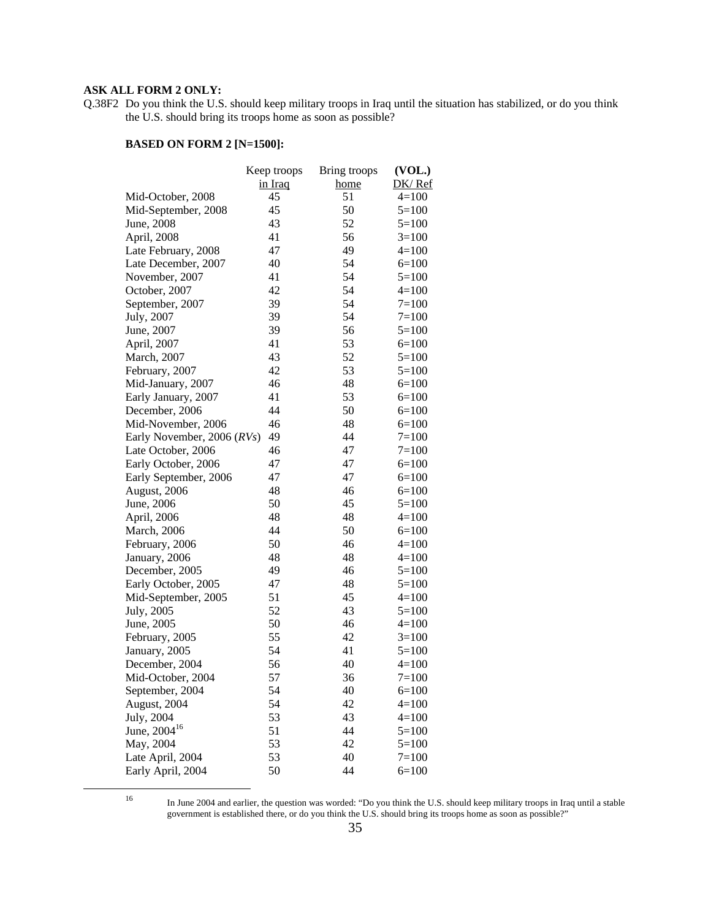#### **ASK ALL FORM 2 ONLY:**

Q.38F2 Do you think the U.S. should keep military troops in Iraq until the situation has stabilized, or do you think the U.S. should bring its troops home as soon as possible?

|                            | Keep troops | Bring troops | (VOL.)    |
|----------------------------|-------------|--------------|-----------|
|                            | in Iraq     | home         | DK/Ref    |
| Mid-October, 2008          | 45          | 51           | $4=100$   |
| Mid-September, 2008        | 45          | 50           | $5=100$   |
| June, 2008                 | 43          | 52           | $5=100$   |
| April, 2008                | 41          | 56           | $3=100$   |
| Late February, 2008        | 47          | 49           | $4=100$   |
| Late December, 2007        | 40          | 54           | $6=100$   |
| November, 2007             | 41          | 54           | $5=100$   |
| October, 2007              | 42          | 54           | $4=100$   |
| September, 2007            | 39          | 54           | $7=100$   |
| July, 2007                 | 39          | 54           | $7=100$   |
| June, 2007                 | 39          | 56           | $5=100$   |
| April, 2007                | 41          | 53           | $6=100$   |
| March, 2007                | 43          | 52           | $5=100$   |
| February, 2007             | 42          | 53           | $5=100$   |
| Mid-January, 2007          | 46          | 48           | $6=100$   |
| Early January, 2007        | 41          | 53           | $6=100$   |
| December, 2006             | 44          | 50           | $6=100$   |
| Mid-November, 2006         | 46          | 48           | $6=100$   |
| Early November, 2006 (RVs) | 49          | 44           | $7=100$   |
| Late October, 2006         | 46          | 47           | $7 = 100$ |
| Early October, 2006        | 47          | 47           | $6=100$   |
| Early September, 2006      | 47          | 47           | $6=100$   |
| August, 2006               | 48          | 46           | $6=100$   |
| June, 2006                 | 50          | 45           | $5=100$   |
| April, 2006                | 48          | 48           | $4=100$   |
| <b>March</b> , 2006        | 44          | 50           | $6=100$   |
| February, 2006             | 50          | 46           | $4=100$   |
| January, 2006              | 48          | 48           | $4=100$   |
| December, 2005             | 49          | 46           | $5=100$   |
| Early October, 2005        | 47          | 48           | $5=100$   |
| Mid-September, 2005        | 51          | 45           | $4=100$   |
| July, 2005                 | 52          | 43           | $5=100$   |
| June, 2005                 | 50          | 46           | $4=100$   |
| February, 2005             | 55          | 42           | $3=100$   |
| January, 2005              | 54          | 41           | $5=100$   |
| December, 2004             | 56          | 40           | $4 = 100$ |
| Mid-October, 2004          | 57          | 36           | $7=100$   |
| September, 2004            | 54          | 40           | $6=100$   |
| August, 2004               | 54          | 42           | $4 = 100$ |
| July, 2004                 | 53          | 43           | $4=100$   |
| June, 2004 <sup>16</sup>   | 51          | 44           | $5 = 100$ |
| May, 2004                  | 53          | 42           | $5=100$   |
| Late April, 2004           | 53          | 40           | $7 = 100$ |
| Early April, 2004          | 50          | 44           | $6 = 100$ |
|                            |             |              |           |

 <sup>16</sup> In June 2004 and earlier, the question was worded: "Do you think the U.S. should keep military troops in Iraq until a stable government is established there, or do you think the U.S. should bring its troops home as soon as possible?"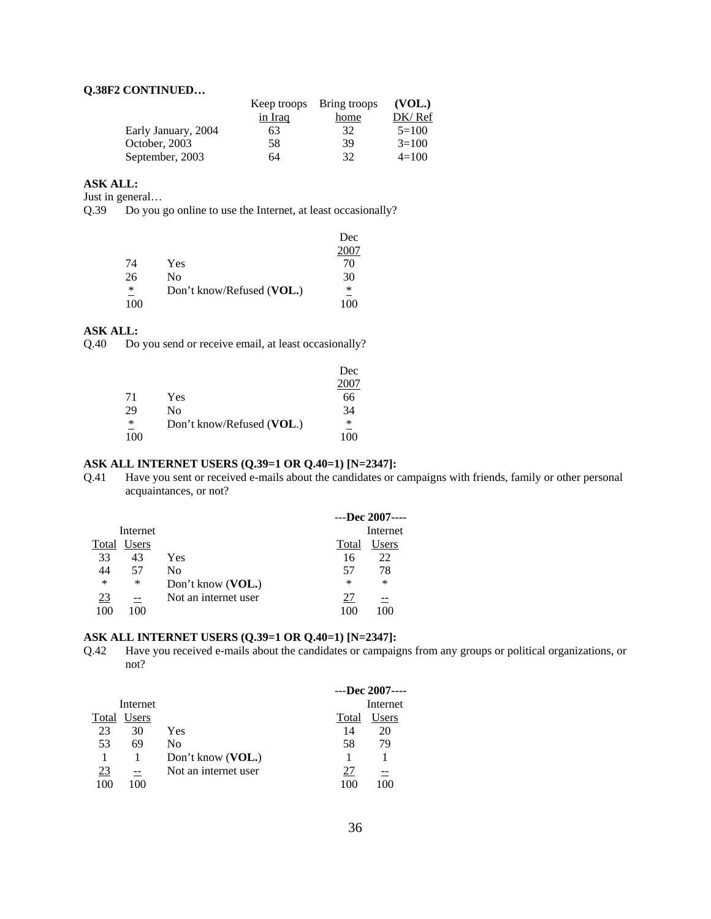#### **Q.38F2 CONTINUED…**

|                     |                | Keep troops Bring troops | (VOL.)  |
|---------------------|----------------|--------------------------|---------|
|                     | <u>in Iraq</u> | home                     | DK/Ref  |
| Early January, 2004 | 63             | 32                       | $5=100$ |
| October, 2003       | 58             | 39                       | $3=100$ |
| September, 2003     | 64             | 32                       | $4=100$ |

#### **ASK ALL:**

Just in general…

Q.39 Do you go online to use the Internet, at least occasionally?

|     |                           | Dec |
|-----|---------------------------|-----|
|     |                           |     |
| 74  | Yes                       | 70  |
| 26  | No                        | 30  |
| ∗   | Don't know/Refused (VOL.) | *   |
| 100 |                           |     |

## **ASK ALL:**

Q.40 Do you send or receive email, at least occasionally?

|     |                           | Dec |
|-----|---------------------------|-----|
|     |                           |     |
| 71  | Yes                       | 66  |
| 29  | No                        | 34  |
| ∗   | Don't know/Refused (VOL.) | ∗   |
| 100 |                           | 100 |

#### **ASK ALL INTERNET USERS (Q.39=1 OR Q.40=1) [N=2347]:**

Q.41 Have you sent or received e-mails about the candidates or campaigns with friends, family or other personal acquaintances, or not?

|           |          |                      |        | $---Dec~2007---$ |
|-----------|----------|----------------------|--------|------------------|
|           | Internet |                      |        | Internet         |
| Total     | Users    |                      | Total  | Users            |
| 33        | 43       | Yes                  | 16     | 22               |
| 44        | 57       | Nο                   | 57     | 78               |
| $\ast$    | ∗        | Don't know (VOL.)    | $\ast$ | $\ast$           |
| <u>23</u> | --       | Not an internet user |        |                  |
| 100       | 100      |                      |        |                  |

#### **ASK ALL INTERNET USERS (Q.39=1 OR Q.40=1) [N=2347]:**

Q.42 Have you received e-mails about the candidates or campaigns from any groups or political organizations, or not?

|       |          |                      |       | $---$ Dec 2007---- |
|-------|----------|----------------------|-------|--------------------|
|       | Internet |                      |       | Internet           |
| Total | Users    |                      | Total | Jsers              |
| 23    | 30       | Yes                  | 14    | 20                 |
| 53    | 69       | No                   | 58    | 79                 |
|       |          | Don't know (VOL.)    |       |                    |
| 23    | --       | Not an internet user |       |                    |
| 100   | 100      |                      |       |                    |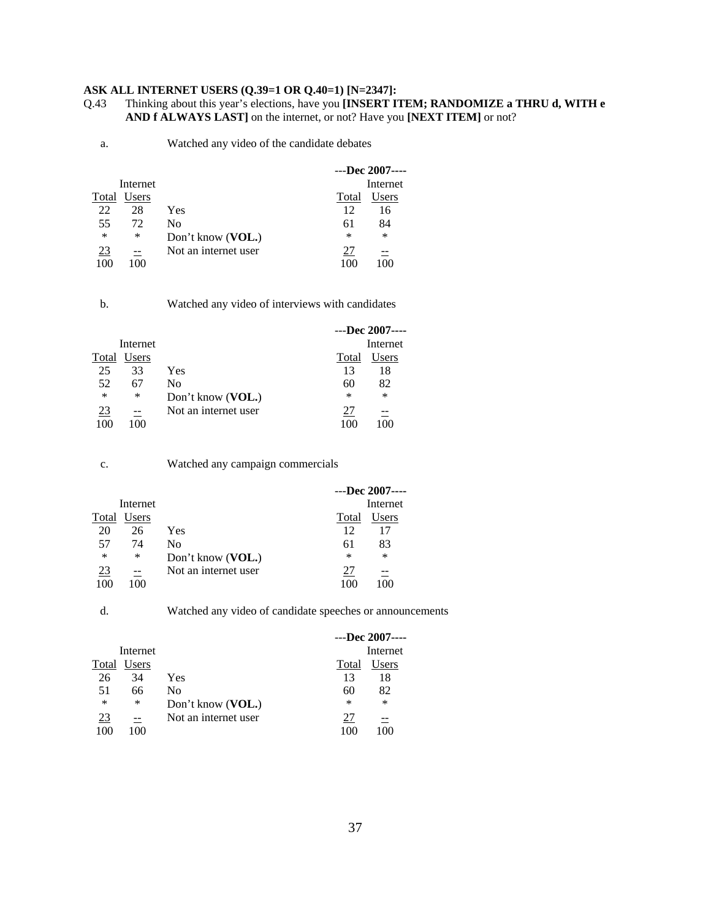#### **ASK ALL INTERNET USERS (Q.39=1 OR Q.40=1) [N=2347]:**

Q.43 Thinking about this year's elections, have you **[INSERT ITEM; RANDOMIZE a THRU d, WITH e AND f ALWAYS LAST]** on the internet, or not? Have you **[NEXT ITEM]** or not?

a. Watched any video of the candidate debates

|           |          |                      |        | $---Dec~2007---$ |
|-----------|----------|----------------------|--------|------------------|
|           | Internet |                      |        | Internet         |
| Total     | Users    |                      | Total  | Users            |
| 22        | 28       | Yes                  | 12     | 16               |
| 55        | 72       | No                   | 61     | 84               |
| $\ast$    | ∗        | Don't know (VOL.)    | $\ast$ | $\ast$           |
| <u>23</u> |          | Not an internet user | 27     |                  |
| 10C       | 100      |                      | 100    |                  |

b. Watched any video of interviews with candidates

|       |          |                      |        | $---$ Dec 2007---- |
|-------|----------|----------------------|--------|--------------------|
|       | Internet |                      |        | Internet           |
| Total | Users    |                      | Total  | Users              |
| 25    | 33       | Yes                  | 13     | 18                 |
| 52    | 67       | No                   | 60     | 82                 |
| ∗     | ∗        | Don't know (VOL.)    | $\ast$ | $\ast$             |
| 23    |          | Not an internet user |        |                    |
|       | 100      |                      |        |                    |

| ٧<br>٦ |   |
|--------|---|
|        | I |

Watched any campaign commercials

|        |          |                      |        | $---Dec~2007---$ |
|--------|----------|----------------------|--------|------------------|
|        | Internet |                      |        | Internet         |
| Total  | Users    |                      | Total  | Users            |
| 20     | 26       | Yes                  | 12     |                  |
| 57     | 74       | No                   | 61     | 83               |
| $\ast$ | ∗        | Don't know (VOL.)    | $\ast$ | $\ast$           |
| 23     |          | Not an internet user |        |                  |
|        | 100      |                      |        |                  |

d. Watched any video of candidate speeches or announcements

|           |              |                      |        | $---$ Dec 2007---- |
|-----------|--------------|----------------------|--------|--------------------|
|           | Internet     |                      |        | Internet           |
| Total     | <b>Users</b> |                      | Total  | Users              |
| 26        | 34           | Yes                  | 13     | 18                 |
| -51       | 66           | No                   | 60     | 82                 |
| ∗         | ∗            | Don't know (VOL.)    | $\ast$ | $\ast$             |
| <u>23</u> |              | Not an internet user | 27     |                    |
| 100       | 100          |                      |        | $\Omega$           |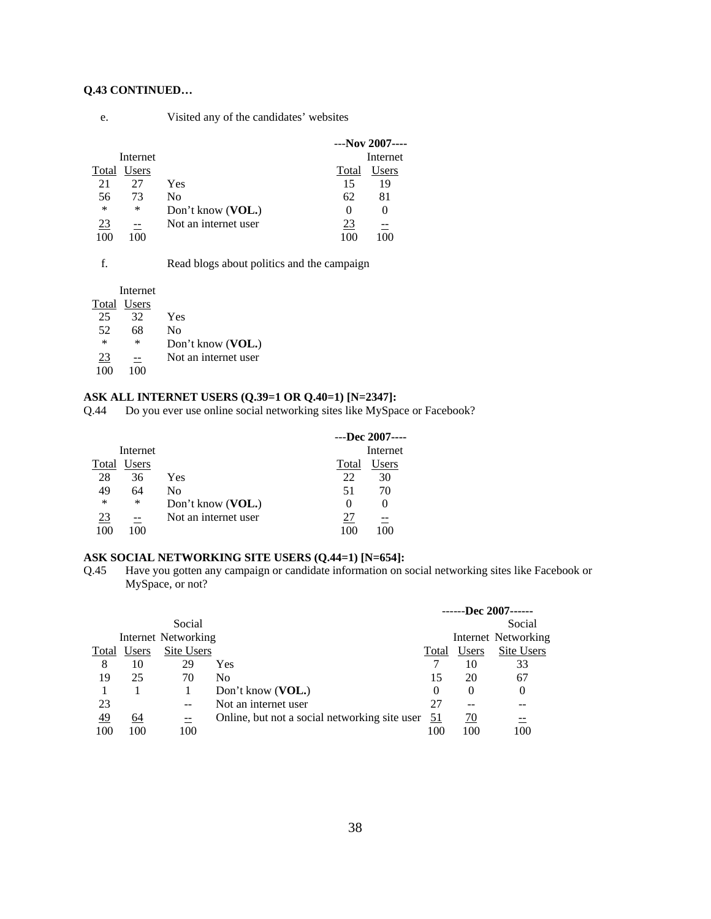#### **Q.43 CONTINUED…**

| e. | Visited any of the candidates' websites |  |
|----|-----------------------------------------|--|
|    |                                         |  |

|       |          |                      |          | $--$ Nov 2007---- |
|-------|----------|----------------------|----------|-------------------|
|       | Internet |                      |          | Internet          |
| Total | Users    |                      | Total    | Users             |
| 21    | 27       | Yes                  | 15       | 19                |
| 56    | 73       | Nο                   | 62       | 81                |
| ∗     | ∗        | Don't know (VOL.)    | $^{(1)}$ |                   |
| 23    | --       | Not an internet user | 23       |                   |
| 100   | 100      |                      | 100      |                   |

|  | Read blogs about politics and the campaign |  |
|--|--------------------------------------------|--|
|--|--------------------------------------------|--|

|        | Internet    |                      |
|--------|-------------|----------------------|
|        | Total Users |                      |
| 25     | 32          | Yes                  |
| 52     | 68          | No                   |
| $\ast$ | $\ast$      | Don't know (VOL.)    |
| 23     |             | Not an internet user |
| 100    | 100         |                      |

# **ASK ALL INTERNET USERS (Q.39=1 OR Q.40=1) [N=2347]:**

Q.44 Do you ever use online social networking sites like MySpace or Facebook?

|           |          |                            |          | $---Dec~2007---$ |
|-----------|----------|----------------------------|----------|------------------|
|           | Internet |                            |          | Internet         |
| Total     | Users    |                            | Total    | Users            |
| 28        | 36       | Yes                        | 22       | 30               |
| 49        | 64       | No                         | 51       | 70               |
| ∗         | ∗        | Don't know ( <b>VOL.</b> ) | $\theta$ | 0                |
| <u>23</u> |          | Not an internet user       | 27       |                  |
| 100       | 100      |                            | 100      |                  |

#### **ASK SOCIAL NETWORKING SITE USERS (Q.44=1) [N=654]:**

Q.45 Have you gotten any campaign or candidate information on social networking sites like Facebook or MySpace, or not?

|           |       |                     |                                               |           |           | ------Dec 2007------ |
|-----------|-------|---------------------|-----------------------------------------------|-----------|-----------|----------------------|
|           |       | Social              |                                               |           |           | Social               |
|           |       | Internet Networking |                                               |           |           | Internet Networking  |
| Total     | Users | Site Users          |                                               | Total     | Users     | Site Users           |
| 8         | 10    | 29                  | Yes                                           |           | 10        | 33                   |
| 19        | 25    | 70                  | N <sub>0</sub>                                | 15        | 20        | 67                   |
|           |       |                     | Don't know (VOL.)                             | $\theta$  | $\theta$  | 0                    |
| 23        |       | $- -$               | Not an internet user                          | 27        | --        | --                   |
| <u>49</u> | 64    | $\equiv$            | Online, but not a social networking site user | <u>51</u> | <u>70</u> | $\equiv$             |
| 100       | 100   | 100                 |                                               | 100       | 100       | 100                  |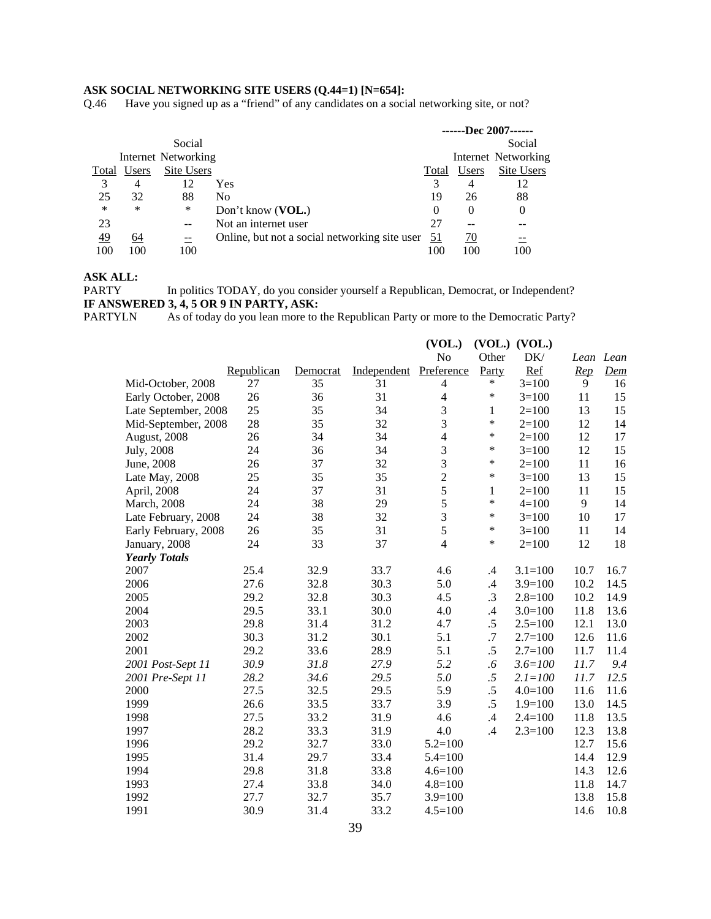#### **ASK SOCIAL NETWORKING SITE USERS (Q.44=1) [N=654]:**

Q.46 Have you signed up as a "friend" of any candidates on a social networking site, or not?

|           |                |                     |                                               |           |          | ------Dec 2007------ |
|-----------|----------------|---------------------|-----------------------------------------------|-----------|----------|----------------------|
|           |                | Social              |                                               |           |          | Social               |
|           |                | Internet Networking |                                               |           |          | Internet Networking  |
| Total     | Users          | Site Users          |                                               | Total     | Users    | Site Users           |
| 3         | 4              | 12                  | Yes                                           | 3         | 4        | 12                   |
| 25        | 32             | 88                  | N <sub>0</sub>                                | 19        | 26       | 88                   |
| $\ast$    | ∗              | $\ast$              | Don't know (VOL.)                             | $\theta$  | $\theta$ | $\theta$             |
| 23        |                | --                  | Not an internet user                          | 27        |          |                      |
| <u>49</u> | 64             | $\equiv$            | Online, but not a social networking site user | <u>51</u> | 70       |                      |
| 100       | 0 <sup>0</sup> | 100                 |                                               | 100       | 100      | 100                  |

### **ASK ALL:**

PARTYLN As of today do you lean more to the Republican Party or more to the Democratic Party?

|                      |            |          |             | (VOL.)         |              | $(VOL.)$ $(VOL.)$ |           |                       |
|----------------------|------------|----------|-------------|----------------|--------------|-------------------|-----------|-----------------------|
|                      |            |          |             | No             | Other        | DK/               | Lean Lean |                       |
|                      | Republican | Democrat | Independent | Preference     | Party        | Ref               | Rep       | $\underline{\it Dem}$ |
| Mid-October, 2008    | 27         | 35       | 31          | $\overline{4}$ | $\ast$       | $3=100$           | 9         | 16                    |
| Early October, 2008  | 26         | 36       | 31          | $\overline{4}$ | $\ast$       | $3=100$           | 11        | 15                    |
| Late September, 2008 | 25         | 35       | 34          | 3              | $\mathbf{1}$ | $2=100$           | 13        | 15                    |
| Mid-September, 2008  | 28         | 35       | 32          | 3              | $\ast$       | $2 = 100$         | 12        | 14                    |
| August, 2008         | 26         | 34       | 34          | $\overline{4}$ | $\ast$       | $2 = 100$         | 12        | 17                    |
| July, 2008           | 24         | 36       | 34          | 3              | $\ast$       | $3=100$           | 12        | 15                    |
| June, 2008           | 26         | 37       | 32          | $\overline{3}$ | $\ast$       | $2=100$           | 11        | 16                    |
| Late May, 2008       | 25         | 35       | 35          | $\overline{2}$ | $\ast$       | $3=100$           | 13        | 15                    |
| April, 2008          | 24         | 37       | 31          | 5              | $\mathbf{1}$ | $2=100$           | 11        | 15                    |
| March, 2008          | 24         | 38       | 29          | 5              | $\ast$       | $4 = 100$         | 9         | 14                    |
| Late February, 2008  | 24         | 38       | 32          | $\mathfrak{Z}$ | $\ast$       | $3=100$           | 10        | 17                    |
| Early February, 2008 | 26         | 35       | 31          | 5              | $\ast$       | $3=100$           | 11        | 14                    |
| January, 2008        | 24         | 33       | 37          | $\overline{4}$ | $\ast$       | $2=100$           | 12        | 18                    |
| <b>Yearly Totals</b> |            |          |             |                |              |                   |           |                       |
| 2007                 | 25.4       | 32.9     | 33.7        | 4.6            | $\cdot$ 4    | $3.1 = 100$       | 10.7      | 16.7                  |
| 2006                 | 27.6       | 32.8     | 30.3        | 5.0            | .4           | $3.9=100$         | 10.2      | 14.5                  |
| 2005                 | 29.2       | 32.8     | 30.3        | 4.5            | $\cdot$ 3    | $2.8 = 100$       | 10.2      | 14.9                  |
| 2004                 | 29.5       | 33.1     | 30.0        | 4.0            | $\cdot$ 4    | $3.0=100$         | 11.8      | 13.6                  |
| 2003                 | 29.8       | 31.4     | 31.2        | 4.7            | .5           | $2.5 = 100$       | 12.1      | 13.0                  |
| 2002                 | 30.3       | 31.2     | 30.1        | 5.1            | .7           | $2.7=100$         | 12.6      | 11.6                  |
| 2001                 | 29.2       | 33.6     | 28.9        | 5.1            | .5           | $2.7=100$         | 11.7      | 11.4                  |
| 2001 Post-Sept 11    | 30.9       | 31.8     | 27.9        | 5.2            | .6           | $3.6 = 100$       | 11.7      | 9.4                   |
| 2001 Pre-Sept 11     | 28.2       | 34.6     | 29.5        | 5.0            | $.5\,$       | $2.1 = 100$       | 11.7      | 12.5                  |
| 2000                 | 27.5       | 32.5     | 29.5        | 5.9            | $.5\,$       | $4.0 = 100$       | 11.6      | 11.6                  |
| 1999                 | 26.6       | 33.5     | 33.7        | 3.9            | $.5\,$       | $1.9 = 100$       | 13.0      | 14.5                  |
| 1998                 | 27.5       | 33.2     | 31.9        | 4.6            | .4           | $2.4 = 100$       | 11.8      | 13.5                  |
| 1997                 | 28.2       | 33.3     | 31.9        | 4.0            | .4           | $2.3 = 100$       | 12.3      | 13.8                  |
| 1996                 | 29.2       | 32.7     | 33.0        | $5.2 = 100$    |              |                   | 12.7      | 15.6                  |
| 1995                 | 31.4       | 29.7     | 33.4        | $5.4 = 100$    |              |                   | 14.4      | 12.9                  |
| 1994                 | 29.8       | 31.8     | 33.8        | $4.6 = 100$    |              |                   | 14.3      | 12.6                  |
| 1993                 | 27.4       | 33.8     | 34.0        | $4.8 = 100$    |              |                   | 11.8      | 14.7                  |
| 1992                 | 27.7       | 32.7     | 35.7        | $3.9=100$      |              |                   | 13.8      | 15.8                  |
| 1991                 | 30.9       | 31.4     | 33.2        | $4.5 = 100$    |              |                   | 14.6      | 10.8                  |

PARTY In politics TODAY, do you consider yourself a Republican, Democrat, or Independent? **IF ANSWERED 3, 4, 5 OR 9 IN PARTY, ASK:**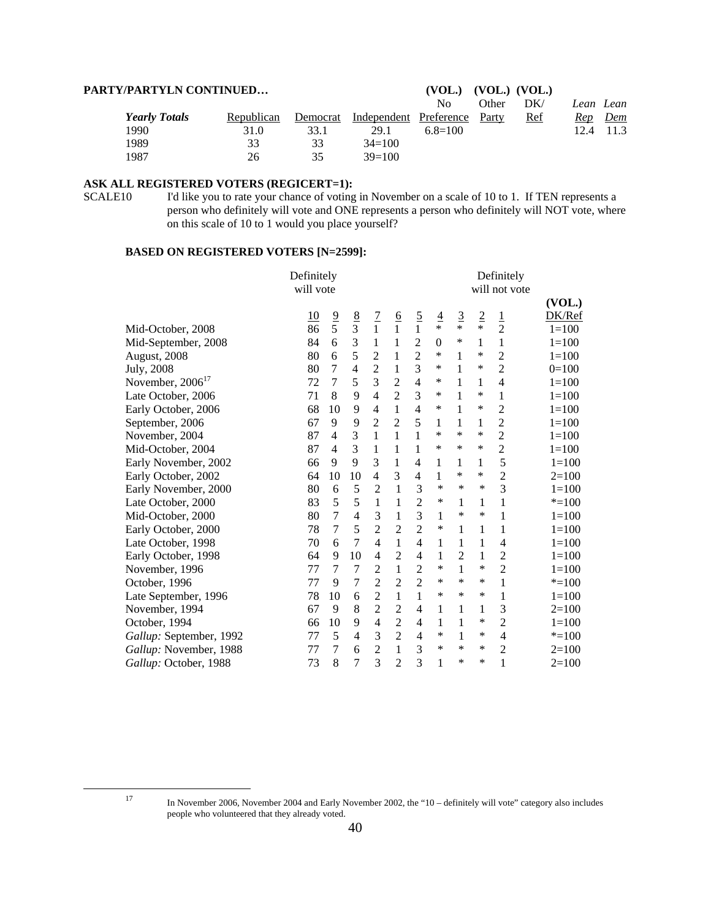| <b>PARTY/PARTYLN CONTINUED</b> | (VOL.)     | $(VOL.)$ $(VOL.)$ |                        |               |       |       |      |            |
|--------------------------------|------------|-------------------|------------------------|---------------|-------|-------|------|------------|
|                                |            |                   |                        | No.           | Other | DK/   |      | Lean Lean  |
| <b>Yearly Totals</b>           | Republican | Democrat          | Independent Preference |               | Party | $Ref$ | Rep  | <u>Dem</u> |
| 1990                           | 31.0       | 33.1              | 29.1                   | $6.8 \pm 100$ |       |       | 12.4 | 11.3       |
| 1989                           | 33         | 33                | $34=100$               |               |       |       |      |            |
| 1987                           | 26         | 35                | $39=100$               |               |       |       |      |            |

#### **ASK ALL REGISTERED VOTERS (REGICERT=1):**

SCALE10 I'd like you to rate your chance of voting in November on a scale of 10 to 1. If TEN represents a person who definitely will vote and ONE represents a person who definitely will NOT vote, where on this scale of 10 to 1 would you place yourself?

|                         | Definitely |                |                |                |                |                |               |                |                | Definitely     |           |
|-------------------------|------------|----------------|----------------|----------------|----------------|----------------|---------------|----------------|----------------|----------------|-----------|
|                         | will vote  |                |                |                |                |                |               |                |                | will not vote  |           |
|                         |            |                |                |                |                |                |               |                |                |                | (VOL.)    |
|                         | <u>10</u>  | $\frac{9}{5}$  |                | $\frac{7}{1}$  |                |                | $\frac{4}{1}$ | $\overline{3}$ | $\overline{2}$ | $\mathbf 1$    | DK/Ref    |
| Mid-October, 2008       | 86         |                | $\frac{8}{3}$  |                | $rac{6}{1}$    | $\frac{5}{1}$  |               | $\ast$         | $\ast$         | $\overline{2}$ | $1 = 100$ |
| Mid-September, 2008     | 84         | 6              | 3              | 1              | 1              | $\overline{2}$ | $\mathbf{0}$  | ∗              | 1              | 1              | $1 = 100$ |
| August, 2008            | 80         | 6              | 5              | $\overline{2}$ | $\mathbf{1}$   | $\overline{c}$ | ∗             | 1              | ∗              | $\overline{2}$ | $1 = 100$ |
| <b>July</b> , 2008      | 80         | 7              | $\overline{4}$ | $\overline{2}$ | 1              | $\overline{3}$ | ∗             | 1              | ∗              | $\overline{2}$ | $0=100$   |
| November, $2006^{17}$   | 72         | 7              | 5              | 3              | $\overline{c}$ | $\overline{4}$ | ∗             | 1              | 1              | $\overline{4}$ | $1=100$   |
| Late October, 2006      | 71         | 8              | 9              | 4              | $\overline{2}$ | 3              | *             | $\mathbf{1}$   | *              | 1              | $1 = 100$ |
| Early October, 2006     | 68         | 10             | 9              | $\overline{4}$ | $\mathbf{1}$   | $\overline{4}$ | $\ast$        | 1              | ∗              | $\overline{2}$ | $1 = 100$ |
| September, 2006         | 67         | 9              | 9              | $\overline{2}$ | $\overline{2}$ | 5              | 1             | 1              | 1              | 2              | $1=100$   |
| November, 2004          | 87         | $\overline{4}$ | 3              | 1              | 1              | $\mathbf{1}$   | *             | *              | ∗              | $\overline{2}$ | $1 = 100$ |
| Mid-October, 2004       | 87         | $\overline{4}$ | 3              | 1              | 1              | 1              | *             | ∗              | *              | $\overline{c}$ | $1 = 100$ |
| Early November, 2002    | 66         | 9              | 9              | 3              | 1              | 4              | 1             | 1              | 1              | 5              | $1 = 100$ |
| Early October, 2002     | 64         | 10             | 10             | 4              | 3              | 4              | 1             | *              | *              | $\overline{c}$ | $2=100$   |
| Early November, 2000    | 80         | 6              | 5              | $\overline{2}$ | 1              | 3              | $\ast$        | $\ast$         | $\ast$         | 3              | $1=100$   |
| Late October, 2000      | 83         | 5              | 5              | $\mathbf{1}$   | 1              | $\overline{2}$ | ∗             | 1              | 1              | 1              | $* = 100$ |
| Mid-October, 2000       | 80         | 7              | $\overline{4}$ | 3              | 1              | 3              | 1             | ∗              | ∗              | 1              | $1=100$   |
| Early October, 2000     | 78         | 7              | 5              | $\overline{2}$ | $\overline{2}$ | $\overline{2}$ | $\ast$        | 1              | 1              | 1              | $1 = 100$ |
| Late October, 1998      | 70         | 6              | 7              | $\overline{4}$ | 1              | $\overline{4}$ | 1             | 1              | 1              | 4              | $1=100$   |
| Early October, 1998     | 64         | 9              | 10             | $\overline{4}$ | $\overline{2}$ | $\overline{4}$ | 1             | $\overline{2}$ | 1              | $\overline{2}$ | $1 = 100$ |
| November, 1996          | 77         | 7              | 7              | $\overline{2}$ | $\mathbf{1}$   | $\overline{2}$ | $\ast$        | $\mathbf{1}$   | $\ast$         | $\overline{2}$ | $1 = 100$ |
| October, 1996           | 77         | 9              | 7              | $\overline{2}$ | $\overline{2}$ | $\overline{2}$ | ∗             | ∗              | ∗              | 1              | $* = 100$ |
| Late September, 1996    | 78         | 10             | 6              | $\overline{2}$ | $\mathbf{1}$   | $\mathbf{1}$   | *             | $\ast$         | $\ast$         | 1              | $1=100$   |
| November, 1994          | 67         | 9              | 8              | $\overline{c}$ | $\overline{2}$ | $\overline{4}$ | 1             | 1              | 1              | 3              | $2=100$   |
| October, 1994           | 66         | 10             | 9              | $\overline{4}$ | $\overline{2}$ | $\overline{4}$ | 1             | $\mathbf{1}$   | ∗              | $\overline{2}$ | $1 = 100$ |
| Gallup: September, 1992 | 77         | 5              | $\overline{4}$ | 3              | $\overline{2}$ | $\overline{4}$ | ∗             | $\mathbf{1}$   | ∗              | 4              | $* = 100$ |
| Gallup: November, 1988  | 77         | 7              | 6              | $\overline{2}$ | 1              | 3              | ∗             | *              | ∗              | $\overline{2}$ | $2=100$   |
| Gallup: October, 1988   | 73         | 8              | 7              | 3              | $\overline{2}$ | 3              | 1             | $\ast$         | *              | 1              | $2=100$   |

 <sup>17</sup> In November 2006, November 2004 and Early November 2002, the "10 – definitely will vote" category also includes people who volunteered that they already voted.